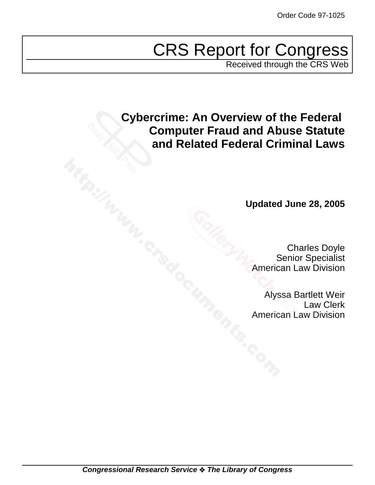# CRS Report for Congress

Received through the CRS Web

# **Cybercrime: An Overview of the Federal Computer Fraud and Abuse Statute and Related Federal Criminal Laws**

**Updated June 28, 2005**

Charles Doyle Senior Specialist American Law Division

Alyssa Bartlett Weir Law Clerk American Law Division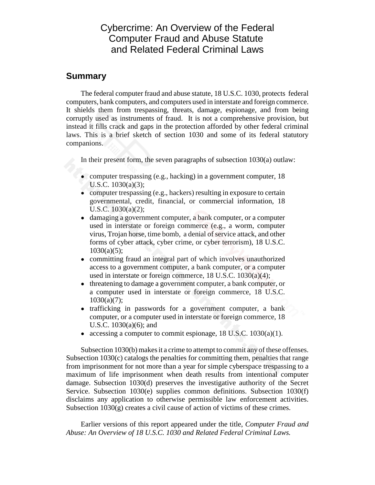# Cybercrime: An Overview of the Federal Computer Fraud and Abuse Statute and Related Federal Criminal Laws

## **Summary**

The federal computer fraud and abuse statute, 18 U.S.C. 1030, protects federal computers, bank computers, and computers used in interstate and foreign commerce. It shields them from trespassing, threats, damage, espionage, and from being corruptly used as instruments of fraud. It is not a comprehensive provision, but instead it fills crack and gaps in the protection afforded by other federal criminal laws. This is a brief sketch of section 1030 and some of its federal statutory companions.

In their present form, the seven paragraphs of subsection 1030(a) outlaw:

- computer trespassing (e.g., hacking) in a government computer, 18 U.S.C. 1030(a)(3);
- computer trespassing (e.g., hackers) resulting in exposure to certain governmental, credit, financial, or commercial information, 18 U.S.C. 1030(a)(2);
- damaging a government computer, a bank computer, or a computer used in interstate or foreign commerce (e.g., a worm, computer virus, Trojan horse, time bomb, a denial of service attack, and other forms of cyber attack, cyber crime, or cyber terrorism), 18 U.S.C.  $1030(a)(5)$ ;
- committing fraud an integral part of which involves unauthorized access to a government computer, a bank computer, or a computer used in interstate or foreign commerce, 18 U.S.C. 1030(a)(4);
- threatening to damage a government computer, a bank computer, or a computer used in interstate or foreign commerce, 18 U.S.C.  $1030(a)(7)$ ;
- trafficking in passwords for a government computer, a bank computer, or a computer used in interstate or foreign commerce, 18 U.S.C. 1030(a)(6); and
- accessing a computer to commit espionage, 18 U.S.C.  $1030(a)(1)$ .

Subsection 1030(b) makes it a crime to attempt to commit any of these offenses. Subsection 1030(c) catalogs the penalties for committing them, penalties that range from imprisonment for not more than a year for simple cyberspace trespassing to a maximum of life imprisonment when death results from intentional computer damage. Subsection 1030(d) preserves the investigative authority of the Secret Service. Subsection 1030(e) supplies common definitions. Subsection 1030(f) disclaims any application to otherwise permissible law enforcement activities. Subsection  $1030(g)$  creates a civil cause of action of victims of these crimes.

Earlier versions of this report appeared under the title, *Computer Fraud and Abuse: An Overview of 18 U.S.C. 1030 and Related Federal Criminal Laws.*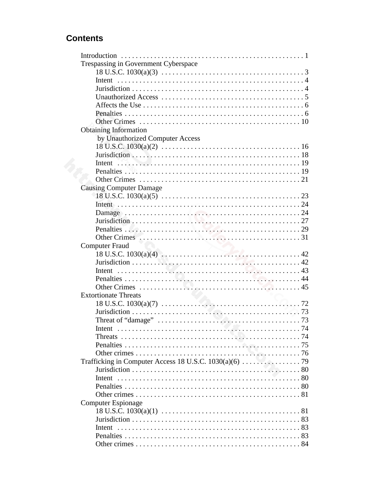# **Contents**

| Trespassing in Government Cyberspace |    |
|--------------------------------------|----|
|                                      |    |
|                                      |    |
|                                      |    |
|                                      |    |
|                                      |    |
|                                      |    |
|                                      |    |
| <b>Obtaining Information</b>         |    |
| by Unauthorized Computer Access      |    |
|                                      |    |
|                                      |    |
|                                      |    |
|                                      |    |
|                                      |    |
| <b>Causing Computer Damage</b>       |    |
|                                      |    |
|                                      |    |
|                                      |    |
|                                      |    |
|                                      |    |
|                                      |    |
|                                      |    |
| <b>Computer Fraud</b>                |    |
|                                      |    |
|                                      |    |
|                                      |    |
|                                      |    |
|                                      |    |
| <b>Extortionate Threats</b>          |    |
|                                      |    |
|                                      |    |
|                                      |    |
| Intent                               |    |
|                                      | 74 |
|                                      |    |
|                                      |    |
|                                      |    |
|                                      |    |
|                                      |    |
|                                      |    |
|                                      |    |
| <b>Computer Espionage</b>            |    |
|                                      |    |
|                                      |    |
| Intent                               |    |
|                                      |    |
|                                      |    |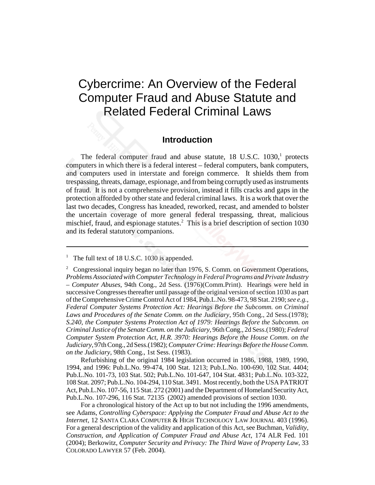# Cybercrime: An Overview of the Federal Computer Fraud and Abuse Statute and Related Federal Criminal Laws

### **Introduction**

The federal computer fraud and abuse statute, 18 U.S.C. 1030,<sup>1</sup> protects computers in which there is a federal interest – federal computers, bank computers, and computers used in interstate and foreign commerce. It shields them from trespassing, threats, damage, espionage, and from being corruptly used as instruments of fraud. It is not a comprehensive provision, instead it fills cracks and gaps in the protection afforded by other state and federal criminal laws. It is a work that over the last two decades, Congress has kneaded, reworked, recast, and amended to bolster the uncertain coverage of more general federal trespassing, threat, malicious mischief, fraud, and espionage statutes. $2$  This is a brief description of section 1030 and its federal statutory companions.

1 The full text of 18 U.S.C. 1030 is appended.

Refurbishing of the original 1984 legislation occurred in 1986, 1988, 1989, 1990, 1994, and 1996: Pub.L.No. 99-474, 100 Stat. 1213; Pub.L.No. 100-690, 102 Stat. 4404; Pub.L.No. 101-73, 103 Stat. 502; Pub.L.No. 101-647, 104 Stat. 4831; Pub.L.No. 103-322, 108 Stat. 2097; Pub.L.No. 104-294, 110 Stat. 3491. Most recently, both the USA PATRIOT Act, Pub.L.No. 107-56, 115 Stat. 272 (2001) and the Department of Homeland Security Act, Pub.L.No. 107-296, 116 Stat. 72135 (2002) amended provisions of section 1030.

For a chronological history of the Act up to but not including the 1996 amendments, see Adams, *Controlling Cyberspace: Applying the Computer Fraud and Abuse Act to the Internet*, 12 SANTA CLARA COMPUTER & HIGH TECHNOLOGY LAW JOURNAL 403 (1996). For a general description of the validity and application of this Act, see Buchman, *Validity, Construction, and Application of Computer Fraud and Abuse Act*, 174 ALR Fed. 101 (2004); Berkowitz, *Computer Security and Privacy: The Third Wave of Property Law*, 33 COLORADO LAWYER 57 (Feb. 2004).

<sup>&</sup>lt;sup>2</sup> Congressional inquiry began no later than 1976, S. Comm. on Government Operations, *Problems Associated with Computer Technology in Federal Programs and Private Industry – Computer Abuses*, 94th Cong., 2d Sess. (1976)(Comm.Print). Hearings were held in successive Congresses thereafter until passage of the original version of section 1030 as part of the Comprehensive Crime Control Act of 1984, Pub.L.No. 98-473, 98 Stat. 2190; *see e.g.*, *Federal Computer Systems Protection Act: Hearings Before the Subcomm. on Criminal Laws and Procedures of the Senate Comm. on the Judiciary*, 95th Cong., 2d Sess.(1978); *S.240, the Computer Systems Protection Act of 1979: Hearings Before the Subcomm. on Criminal Justice of the Senate Comm. on the Judiciary*, 96th Cong., 2d Sess.(1980); *Federal Computer System Protection Act, H.R. 3970: Hearings Before the House Comm. on the Judiciary*, 97th Cong., 2d Sess.(1982); *Computer Crime: Hearings Before the House Comm. on the Judiciary*, 98th Cong., 1st Sess. (1983).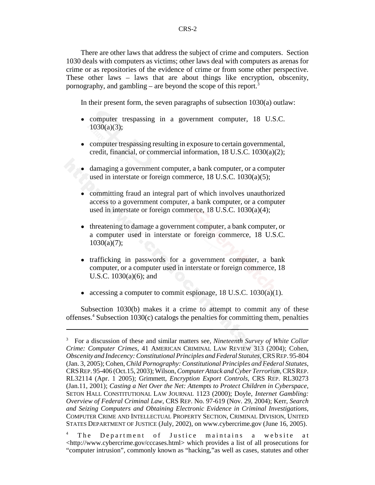There are other laws that address the subject of crime and computers. Section 1030 deals with computers as victims; other laws deal with computers as arenas for crime or as repositories of the evidence of crime or from some other perspective. These other laws – laws that are about things like encryption, obscenity, pornography, and gambling – are beyond the scope of this report.<sup>3</sup>

In their present form, the seven paragraphs of subsection  $1030(a)$  outlaw:

- computer trespassing in a government computer, 18 U.S.C.  $1030(a)(3)$ ;
- computer trespassing resulting in exposure to certain governmental, credit, financial, or commercial information, 18 U.S.C. 1030(a)(2);
- damaging a government computer, a bank computer, or a computer used in interstate or foreign commerce, 18 U.S.C. 1030(a)(5);
- committing fraud an integral part of which involves unauthorized access to a government computer, a bank computer, or a computer used in interstate or foreign commerce, 18 U.S.C. 1030(a)(4);
- threatening to damage a government computer, a bank computer, or a computer used in interstate or foreign commerce, 18 U.S.C.  $1030(a)(7)$ ;
- trafficking in passwords for a government computer, a bank computer, or a computer used in interstate or foreign commerce, 18 U.S.C. 1030(a)(6); and
- accessing a computer to commit espionage,  $18 \text{ U.S.C. } 1030(a)(1)$ .

Subsection 1030(b) makes it a crime to attempt to commit any of these offenses.<sup>4</sup> Subsection 1030(c) catalogs the penalties for committing them, penalties

<sup>3</sup> For a discussion of these and similar matters see, *Nineteenth Survey of White Collar Crime: Computer Crimes*, 41 AMERICAN CRIMINAL LAW REVIEW 313 (2004); Cohen, *Obscenity and Indecency: Constitutional Principles and Federal Statutes*, CRSREP. 95-804 (Jan. 3, 2005); Cohen, *Child Pornography: Constitutional Principles and Federal Statutes*, CRSREP. 95-406 (Oct.15, 2003); Wilson, *Computer Attack and Cyber Terrorism*, CRSREP. RL32114 (Apr. 1 2005); Grimmett, *Encryption Export Controls*, CRS REP. RL30273 (Jan.11, 2001); *Casting a Net Over the Net: Attempts to Protect Children in Cyberspace*, SETON HALL CONSTITUTIONAL LAW JOURNAL 1123 (2000); Doyle, *Internet Gambling: Overview of Federal Criminal Law*, CRS REP. No. 97-619 (Nov. 29, 2004); Kerr, *Search and Seizing Computers and Obtaining Electronic Evidence in Criminal Investigations*, COMPUTER CRIME AND INTELLECTUAL PROPERTY SECTION, CRIMINAL DIVISION, UNITED STATES DEPARTMENT OF JUSTICE (July, 2002), on www.cybercrime.gov (June 16, 2005).

<sup>4</sup> The Department of Justice maintains a website at <http://www.cybercrime.gov/cccases.html> which provides a list of all prosecutions for "computer intrusion", commonly known as "hacking,"as well as cases, statutes and other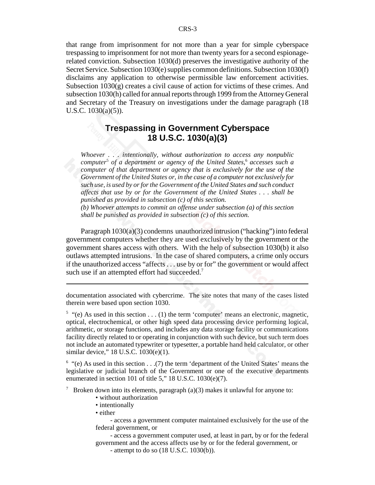that range from imprisonment for not more than a year for simple cyberspace trespassing to imprisonment for not more than twenty years for a second espionagerelated conviction. Subsection 1030(d) preserves the investigative authority of the Secret Service. Subsection 1030(e) supplies common definitions. Subsection 1030(f) disclaims any application to otherwise permissible law enforcement activities. Subsection  $1030(g)$  creates a civil cause of action for victims of these crimes. And subsection 1030(h) called for annual reports through 1999 from the Attorney General and Secretary of the Treasury on investigations under the damage paragraph (18 U.S.C. 1030(a)(5)).

## **Trespassing in Government Cyberspace 18 U.S.C. 1030(a)(3)**

*Whoever . . . intentionally, without authorization to access any nonpublic computer*<sup>5</sup>  *of a department or agency of the United States,*<sup>6</sup>  *accesses such a computer of that department or agency that is exclusively for the use of the Government of the United States or, in the case of a computer not exclusively for such use, is used by or for the Government of the United States and such conduct affects that use by or for the Government of the United States . . . shall be punished as provided in subsection (c) of this section.*

*(b) Whoever attempts to commit an offense under subsection (a) of this section shall be punished as provided in subsection (c) of this section.*

Paragraph 1030(a)(3) condemns unauthorized intrusion ("hacking") into federal government computers whether they are used exclusively by the government or the government shares access with others. With the help of subsection 1030(b) it also outlaws attempted intrusions. In the case of shared computers, a crime only occurs if the unauthorized access "affects . . . use by or for" the government or would affect such use if an attempted effort had succeeded.<sup>7</sup>

documentation associated with cybercrime. The site notes that many of the cases listed therein were based upon section 1030.

<sup>5</sup> "(e) As used in this section . . . (1) the term 'computer' means an electronic, magnetic, optical, electrochemical, or other high speed data processing device performing logical, arithmetic, or storage functions, and includes any data storage facility or communications facility directly related to or operating in conjunction with such device, but such term does not include an automated typewriter or typesetter, a portable hand held calculator, or other similar device," 18 U.S.C. 1030(e)(1).

 $6$  "(e) As used in this section . . .(7) the term 'department of the United States' means the legislative or judicial branch of the Government or one of the executive departments enumerated in section 101 of title 5," 18 U.S.C. 1030(e)(7).

7 Broken down into its elements, paragraph (a)(3) makes it unlawful for anyone to:

- without authorization
- intentionally
- either

- access a government computer maintained exclusively for the use of the federal government, or

- access a government computer used, at least in part, by or for the federal government and the access affects use by or for the federal government, or - attempt to do so (18 U.S.C. 1030(b)).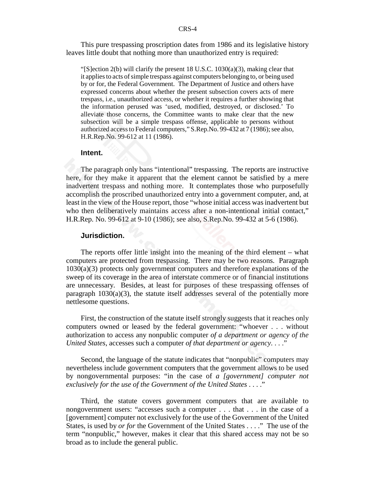This pure trespassing proscription dates from 1986 and its legislative history leaves little doubt that nothing more than unauthorized entry is required:

"[S]ection 2(b) will clarify the present 18 U.S.C.  $1030(a)(3)$ , making clear that it applies to acts of simple trespass against computers belonging to, or being used by or for, the Federal Government. The Department of Justice and others have expressed concerns about whether the present subsection covers acts of mere trespass, i.e., unauthorized access, or whether it requires a further showing that the information perused was 'used, modified, destroyed, or disclosed.' To alleviate those concerns, the Committee wants to make clear that the new subsection will be a simple trespass offense, applicable to persons without authorized access to Federal computers," S.Rep.No. 99-432 at 7 (1986); see also, H.R.Rep.No. 99-612 at 11 (1986).

#### **Intent.**

The paragraph only bans "intentional" trespassing. The reports are instructive here, for they make it apparent that the element cannot be satisfied by a mere inadvertent trespass and nothing more. It contemplates those who purposefully accomplish the proscribed unauthorized entry into a government computer, and, at least in the view of the House report, those "whose initial access was inadvertent but who then deliberatively maintains access after a non-intentional initial contact," H.R.Rep. No. 99-612 at 9-10 (1986); see also, S.Rep.No. 99-432 at 5-6 (1986).

#### **Jurisdiction.**

The reports offer little insight into the meaning of the third element – what computers are protected from trespassing. There may be two reasons. Paragraph 1030(a)(3) protects only government computers and therefore explanations of the sweep of its coverage in the area of interstate commerce or of financial institutions are unnecessary. Besides, at least for purposes of these trespassing offenses of paragraph  $1030(a)(3)$ , the statute itself addresses several of the potentially more nettlesome questions.

First, the construction of the statute itself strongly suggests that it reaches only computers owned or leased by the federal government: "whoever . . . without authorization to access any nonpublic computer *of a department or agency of the United States*, accesses such a computer *of that department or agency*. . . ."

Second, the language of the statute indicates that "nonpublic" computers may nevertheless include government computers that the government allows to be used by nongovernmental purposes: "in the case of *a [government] computer not exclusively for the use of the Government of the United States* . . . ."

Third, the statute covers government computers that are available to nongovernment users: "accesses such a computer . . . that . . . in the case of a [government] computer not exclusively for the use of the Government of the United States, is used by *or for* the Government of the United States . . . ." The use of the term "nonpublic," however, makes it clear that this shared access may not be so broad as to include the general public.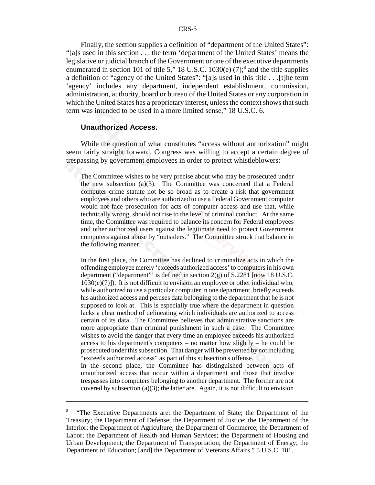Finally, the section supplies a definition of "department of the United States": "[a]s used in this section . . . the term 'department of the United States' means the legislative or judicial branch of the Government or one of the executive departments enumerated in section 101 of title 5," 18 U.S.C.  $1030(e)$  (7);<sup>8</sup> and the title supplies a definition of "agency of the United States": "[a]s used in this title . . .[t]he term 'agency' includes any department, independent establishment, commission, administration, authority, board or bureau of the United States or any corporation in which the United States has a proprietary interest, unless the context shows that such term was intended to be used in a more limited sense," 18 U.S.C. 6.

#### **Unauthorized Access.**

While the question of what constitutes "access without authorization" might seem fairly straight forward, Congress was willing to accept a certain degree of trespassing by government employees in order to protect whistleblowers:

The Committee wishes to be very precise about who may be prosecuted under the new subsection  $(a)(3)$ . The Committee was concerned that a Federal computer crime statute not be so broad as to create a risk that government employees and others who are authorized to use a Federal Government computer would not face prosecution for acts of computer access and use that, while technically wrong, should not rise to the level of criminal conduct. At the same time, the Committee was required to balance its concern for Federal employees and other authorized users against the legitimate need to protect Government computers against abuse by "outsiders." The Committee struck that balance in the following manner.

In the first place, the Committee has declined to criminalize acts in which the offending employee merely 'exceeds authorized access' to computers in his own department ("department"' is defined in section 2(g) of S.2281 [now 18 U.S.C. 1030(e)(7)]). It is not difficult to envision an employee or other individual who, while authorized to use a particular computer in one department, briefly exceeds his authorized access and peruses data belonging to the department that he is not supposed to look at. This is especially true where the department in question lacks a clear method of delineating which individuals are authorized to access certain of its data. The Committee believes that administrative sanctions are more appropriate than criminal punishment in such a case. The Committee wishes to avoid the danger that every time an employee exceeds his authorized access to his department's computers – no matter how slightly – he could be prosecuted under this subsection. That danger will be prevented by not including "exceeds authorized access" as part of this subsection's offense.

In the second place, the Committee has distinguished between acts of unauthorized access that occur within a department and those that involve trespasses into computers belonging to another department. The former are not covered by subsection (a)(3); the latter are. Again, it is not difficult to envision

<sup>8</sup> "The Executive Departments are: the Department of State; the Department of the Treasury; the Department of Defense; the Department of Justice; the Department of the Interior; the Department of Agriculture; the Department of Commerce; the Department of Labor; the Department of Health and Human Services; the Department of Housing and Urban Development; the Department of Transportation; the Department of Energy; the Department of Education; [and] the Department of Veterans Affairs," 5 U.S.C. 101.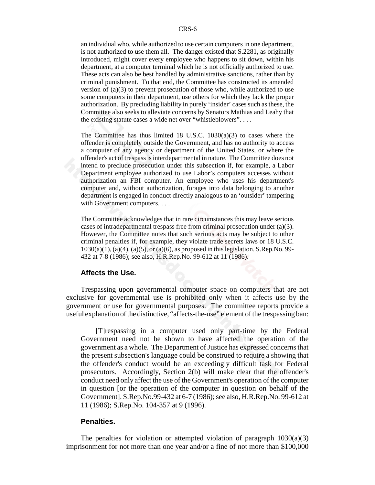an individual who, while authorized to use certain computers in one department, is not authorized to use them all. The danger existed that S.2281, as originally introduced, might cover every employee who happens to sit down, within his department, at a computer terminal which he is not officially authorized to use. These acts can also be best handled by administrative sanctions, rather than by criminal punishment. To that end, the Committee has constructed its amended version of (a)(3) to prevent prosecution of those who, while authorized to use some computers in their department, use others for which they lack the proper authorization. By precluding liability in purely 'insider' cases such as these, the Committee also seeks to alleviate concerns by Senators Mathias and Leahy that the existing statute cases a wide net over "whistleblowers". . . .

The Committee has thus limited 18 U.S.C. 1030(a)(3) to cases where the offender is completely outside the Government, and has no authority to access a computer of any agency or department of the United States, or where the offender's act of trespass is interdepartmental in nature. The Committee does not intend to preclude prosecution under this subsection if, for example, a Labor Department employee authorized to use Labor's computers accesses without authorization an FBI computer. An employee who uses his department's computer and, without authorization, forages into data belonging to another department is engaged in conduct directly analogous to an 'outsider' tampering with Government computers. . . .

The Committee acknowledges that in rare circumstances this may leave serious cases of intradepartmental trespass free from criminal prosecution under (a)(3). However, the Committee notes that such serious acts may be subject to other criminal penalties if, for example, they violate trade secrets laws or 18 U.S.C. 1030(a)(1), (a)(4), (a)(5), or (a)(6), as proposed in this legislation. S.Rep.No. 99- 432 at 7-8 (1986); see also, H.R.Rep.No. 99-612 at 11 (1986).

#### **Affects the Use.**

Trespassing upon governmental computer space on computers that are not exclusive for governmental use is prohibited only when it affects use by the government or use for governmental purposes. The committee reports provide a useful explanation of the distinctive, "affects-the-use" element of the trespassing ban:

[T]respassing in a computer used only part-time by the Federal Government need not be shown to have affected the operation of the government as a whole. The Department of Justice has expressed concerns that the present subsection's language could be construed to require a showing that the offender's conduct would be an exceedingly difficult task for Federal prosecutors. Accordingly, Section 2(b) will make clear that the offender's conduct need only affect the use of the Government's operation of the computer in question [or the operation of the computer in question on behalf of the Government]. S.Rep.No.99-432 at 6-7 (1986); see also, H.R.Rep.No. 99-612 at 11 (1986); S.Rep.No. 104-357 at 9 (1996).

#### **Penalties.**

The penalties for violation or attempted violation of paragraph  $1030(a)(3)$ imprisonment for not more than one year and/or a fine of not more than \$100,000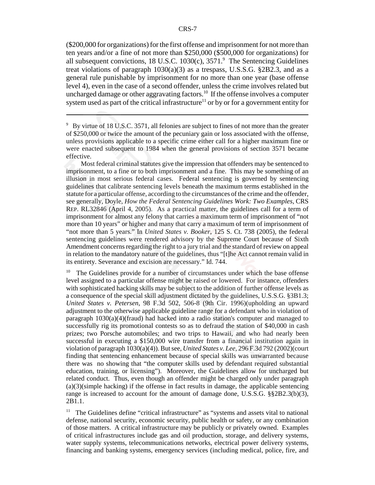(\$200,000 for organizations) for the first offense and imprisonment for not more than ten years and/or a fine of not more than \$250,000 (\$500,000 for organizations) for all subsequent convictions, 18 U.S.C. 1030 $(c)$ , 3571. $^9$  The Sentencing Guidelines treat violations of paragraph  $1030(a)(3)$  as a trespass, U.S.S.G. §2B2.3, and as a general rule punishable by imprisonment for no more than one year (base offense level 4), even in the case of a second offender, unless the crime involves related but uncharged damage or other aggravating factors.<sup>10</sup> If the offense involves a computer system used as part of the critical infrastructure<sup>11</sup> or by or for a government entity for

Most federal criminal statutes give the impression that offenders may be sentenced to imprisonment, to a fine or to both imprisonment and a fine. This may be something of an illusion in most serious federal cases. Federal sentencing is governed by sentencing guidelines that calibrate sentencing levels beneath the maximum terms established in the statute for a particular offense, according to the circumstances of the crime and the offender, see generally, Doyle, *How the Federal Sentencing Guidelines Work: Two Examples*, CRS REP. RL32846 (April 4, 2005). As a practical matter, the guidelines call for a term of imprisonment for almost any felony that carries a maximum term of imprisonment of "not more than 10 years" or higher and many that carry a maximum of term of imprisonment of "not more than 5 years." In *United States v. Booker*, 125 S. Ct. 738 (2005), the federal sentencing guidelines were rendered advisory by the Supreme Court because of Sixth Amendment concerns regarding the right to a jury trial and the standard of review on appeal in relation to the mandatory nature of the guidelines, thus "[t]he Act cannot remain valid in its entirety. Severance and excision are necessary." Id. 744.

<sup>10</sup> The Guidelines provide for a number of circumstances under which the base offense level assigned to a particular offense might be raised or lowered. For instance, offenders with sophisticated hacking skills may be subject to the addition of further offense levels as a consequence of the special skill adjustment dictated by the guidelines, U.S.S.G. §3B1.3; *United States v. Petersen*, 98 F.3d 502, 506-8 (9th Cir. 1996)(upholding an upward adjustment to the otherwise applicable guideline range for a defendant who in violation of paragraph  $1030(a)(4)$ (fraud) had hacked into a radio station's computer and managed to successfully rig its promotional contests so as to defraud the station of \$40,000 in cash prizes; two Porsche automobiles; and two trips to Hawaii, and who had nearly been successful in executing a \$150,000 wire transfer from a financial institution again in violation of paragraph 1030(a)(4)). But see, *United States v. Lee,* 296 F.3d 792 (2002)(court finding that sentencing enhancement because of special skills was unwarranted because there was no showing that "the computer skills used by defendant required substantial education, training, or licensing"). Moreover, the Guidelines allow for uncharged but related conduct. Thus, even though an offender might be charged only under paragraph  $(a)(3)(simple \,hacking)$  if the offense in fact results in damage, the applicable sentencing range is increased to account for the amount of damage done, U.S.S.G. §§2B2.3(b)(3), 2B1.1.

<sup>11</sup> The Guidelines define "critical infrastructure" as "systems and assets vital to national defense, national security, economic security, public health or safety, or any combination of those matters. A critical infrastructure may be publicly or privately owned. Examples of critical infrastructures include gas and oil production, storage, and delivery systems, water supply systems, telecommunications networks, electrical power delivery systems, financing and banking systems, emergency services (including medical, police, fire, and

<sup>&</sup>lt;sup>9</sup> By virtue of 18 U.S.C. 3571, all felonies are subject to fines of not more than the greater of \$250,000 or twice the amount of the pecuniary gain or loss associated with the offense, unless provisions applicable to a specific crime either call for a higher maximum fine or were enacted subsequent to 1984 when the general provisions of section 3571 became effective.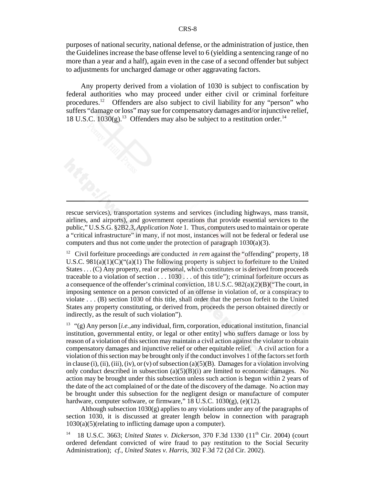purposes of national security, national defense, or the administration of justice, then the Guidelines increase the base offense level to 6 (yielding a sentencing range of no more than a year and a half), again even in the case of a second offender but subject to adjustments for uncharged damage or other aggravating factors.

Any property derived from a violation of 1030 is subject to confiscation by federal authorities who may proceed under either civil or criminal forfeiture procedures.12 Offenders are also subject to civil liability for any "person" who suffers "damage or loss" may sue for compensatory damages and/or injunctive relief, 18 U.S.C.  $1030(g)$ .<sup>13</sup> Offenders may also be subject to a restitution order.<sup>14</sup>

rescue services), transportation systems and services (including highways, mass transit, airlines, and airports), and government operations that provide essential services to the public," U.S.S.G. §2B2.3, *Application Note* 1. Thus, computers used to maintain or operate a "critical infrastructure" in many, if not most, instances will not be federal or federal use computers and thus not come under the protection of paragraph 1030(a)(3).

<sup>12</sup> Civil forfeiture proceedings are conducted *in rem* against the "offending" property, 18 U.S.C.  $981(a)(1)(C)'(a)(1)$  The following property is subject to forfeiture to the United States . . . (C) Any property, real or personal, which constitutes or is derived from proceeds traceable to a violation of section . . . 1030 . . . of this title"); criminal forfeiture occurs as a consequence of the offender's criminal conviction, 18 U.S.C. 982(a)(2)(B)("The court, in imposing sentence on a person convicted of an offense in violation of, or a conspiracy to violate . . . (B) section 1030 of this title, shall order that the person forfeit to the United States any property constituting, or derived from, proceeds the person obtained directly or indirectly, as the result of such violation").

13 "(g) Any person [*i.e.*,any individual, firm, corporation, educational institution, financial institution, governmental entity, or legal or other entity] who suffers damage or loss by reason of a violation of this section may maintain a civil action against the violator to obtain compensatory damages and injunctive relief or other equitable relief. A civil action for a violation of this section may be brought only if the conduct involves 1 of the factors set forth in clause (i), (ii), (iii), (iv), or (v) of subsection (a)(5)(B). Damages for a violation involving only conduct described in subsection  $(a)(5)(B)(i)$  are limited to economic damages. No action may be brought under this subsection unless such action is begun within 2 years of the date of the act complained of or the date of the discovery of the damage. No action may be brought under this subsection for the negligent design or manufacture of computer hardware, computer software, or firmware," 18 U.S.C. 1030(g), (e)(12).

Although subsection  $1030(g)$  applies to any violations under any of the paragraphs of section 1030, it is discussed at greater length below in connection with paragraph 1030(a)(5)(relating to inflicting damage upon a computer).

14 18 U.S.C. 3663; *United States v. Dickerson*, 370 F.3d 1330 (11th Cir. 2004) (court ordered defendant convicted of wire fraud to pay restitution to the Social Security Administration); *cf., United States v. Harris*, 302 F.3d 72 (2d Cir. 2002).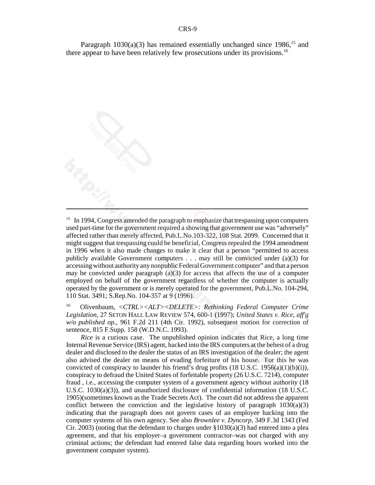Paragraph  $1030(a)(3)$  has remained essentially unchanged since 1986,<sup>15</sup> and there appear to have been relatively few prosecutions under its provisions.<sup>16</sup>

<sup>15</sup> In 1994, Congress amended the paragraph to emphasize that trespassing upon computers used part-time for the government required a showing that government use was "adversely" affected rather than merely affected, Pub.L.No.103-322, 108 Stat. 2099. Concerned that it might suggest that trespassing could be beneficial, Congress repealed the 1994 amendment in 1996 when it also made changes to make it clear that a person "permitted to access publicly available Government computers . . . may still be convicted under (a)(3) for accessing without authority any nonpublic Federal Government computer" and that a person may be convicted under paragraph  $(a)(3)$  for access that affects the use of a computer employed on behalf of the government regardless of whether the computer is actually operated by the government or is merely operated for the government, Pub.L.No. 104-294, 110 Stat. 3491; S.Rep.No. 104-357 at 9 (1996).

16 Olivenbaum, *<CTRL><ALT><DELETE>: Rethinking Federal Computer Crime Legislation*, 27 SETON HALL LAW REVIEW 574, 600-1 (1997); *United States v. Rice*, *aff'g w/o published op.*, 961 F.2d 211 (4th Cir. 1992), subsequent motion for correction of sentence, 815 F.Supp. 158 (W.D.N.C. 1993).

*Rice* is a curious case. The unpublished opinion indicates that Rice, a long time Internal Revenue Service (IRS) agent, hacked into the IRS computers at the behest of a drug dealer and disclosed to the dealer the status of an IRS investigation of the dealer; the agent also advised the dealer on means of evading forfeiture of his house. For this he was convicted of conspiracy to launder his friend's drug profits  $(18 \text{ U.S.C. } 1956(a)(1)(b)(i))$ , conspiracy to defraud the United States of forfeitable property (26 U.S.C. 7214), computer fraud , i.e., accessing the computer system of a government agency without authority (18 U.S.C. 1030(a)(3)), and unauthorized disclosure of confidential information (18 U.S.C. 1905)(sometimes known as the Trade Secrets Act). The court did not address the apparent conflict between the conviction and the legislative history of paragraph  $1030(a)(3)$ indicating that the paragraph does not govern cases of an employee hacking into the computer systems of his own agency. See also *Brownlee v. Dyncorp*, 349 F.3d 1343 (Fed Cir. 2003) (noting that the defendant to charges under §1030(a)(3) had entered into a plea agreement, and that his employer–a government contractor–was not charged with any criminal actions; the defendant had entered false data regarding hours worked into the government computer system).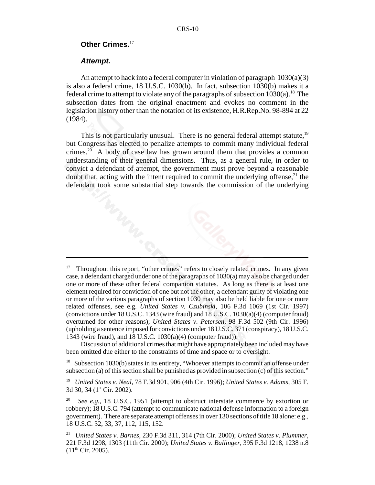#### **Other Crimes.**<sup>17</sup>

#### *Attempt.*

An attempt to hack into a federal computer in violation of paragraph 1030(a)(3) is also a federal crime, 18 U.S.C. 1030(b). In fact, subsection 1030(b) makes it a federal crime to attempt to violate any of the paragraphs of subsection  $1030(a)$ .<sup>18</sup> The subsection dates from the original enactment and evokes no comment in the legislation history other than the notation of its existence, H.R.Rep.No. 98-894 at 22 (1984).

This is not particularly unusual. There is no general federal attempt statute.<sup>19</sup> but Congress has elected to penalize attempts to commit many individual federal crimes.<sup>20</sup> A body of case law has grown around them that provides a common understanding of their general dimensions. Thus, as a general rule, in order to convict a defendant of attempt, the government must prove beyond a reasonable doubt that, acting with the intent required to commit the underlying offense, $^{21}$  the defendant took some substantial step towards the commission of the underlying

<sup>&</sup>lt;sup>17</sup> Throughout this report, "other crimes" refers to closely related crimes. In any given case, a defendant charged under one of the paragraphs of 1030(a) may also be charged under one or more of these other federal companion statutes. As long as there is at least one element required for conviction of one but not the other, a defendant guilty of violating one or more of the various paragraphs of section 1030 may also be held liable for one or more related offenses, see e.g. *United States v. Czubinski*, 106 F.3d 1069 (1st Cir. 1997) (convictions under 18 U.S.C. 1343 (wire fraud) and 18 U.S.C. 1030(a)(4) (computer fraud) overturned for other reasons); *United States v. Petersen*, 98 F.3d 502 (9th Cir. 1996) (upholding a sentence imposed for convictions under 18 U.S.C. 371 (conspiracy), 18 U.S.C. 1343 (wire fraud), and 18 U.S.C. 1030(a)(4) (computer fraud)).

Discussion of additional crimes that might have appropriately been included may have been omitted due either to the constraints of time and space or to oversight.

 $18$  Subsection 1030(b) states in its entirety, "Whoever attempts to commit an offense under subsection (a) of this section shall be punished as provided in subsection (c) of this section."

<sup>19</sup> *United States v. Neal*, 78 F.3d 901, 906 (4th Cir. 1996); *United States v. Adams*, 305 F. 3d 30, 34 ( $1<sup>st</sup>$  Cir. 2002).

<sup>20</sup> *See e.g.,* 18 U.S.C. 1951 (attempt to obstruct interstate commerce by extortion or robbery); 18 U.S.C. 794 (attempt to communicate national defense information to a foreign government). There are separate attempt offenses in over 130 sections of title 18 alone: e.g., 18 U.S.C. 32, 33, 37, 112, 115, 152.

<sup>21</sup> *United States v. Barnes*, 230 F.3d 311, 314 (7th Cir. 2000); *United States v. Plummer*, 221 F.3d 1298, 1303 (11th Cir. 2000); *United States v. Ballinger*, 395 F.3d 1218, 1238 n.8  $(11<sup>th</sup> Cir. 2005).$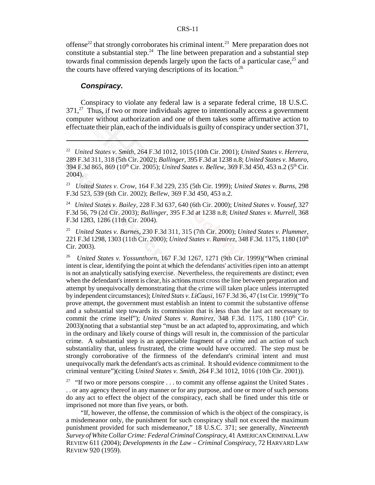#### CRS-11

offense<sup>22</sup> that strongly corroborates his criminal intent.<sup>23</sup> Mere preparation does not constitute a substantial step.<sup>24</sup> The line between preparation and a substantial step towards final commission depends largely upon the facts of a particular case,<sup>25</sup> and the courts have offered varying descriptions of its location.<sup>26</sup>

#### *Conspiracy.*

Conspiracy to violate any federal law is a separate federal crime, 18 U.S.C.  $371<sup>27</sup>$  Thus, if two or more individuals agree to intentionally access a government computer without authorization and one of them takes some affirmative action to effectuate their plan, each of the individuals is guilty of conspiracy under section 371,

23 *United States v. Crow*, 164 F.3d 229, 235 (5th Cir. 1999); *United States v. Burns*, 298 F.3d 523, 539 (6th Cir. 2002); *Bellew*, 369 F.3d 450, 453 n.2.

24 *United States v. Bailey*, 228 F.3d 637, 640 (6th Cir. 2000); *United States v. Yousef*, 327 F.3d 56, 79 (2d Cir. 2003); *Ballinger*, 395 F.3d at 1238 n.8; *United States v. Murrell*, 368 F.3d 1283, 1286 (11th Cir. 2004).

25 *United States v. Barnes*, 230 F.3d 311, 315 (7th Cir. 2000); *United States v. Plummer*, 221 F.3d 1298, 1303 (11th Cir. 2000); *United States v. Ramirez*, 348 F.3d. 1175, 1180 (10<sup>th</sup> Cir. 2003).

26 *United States v. Yossunthorn*, 167 F.3d 1267, 1271 (9th Cir. 1999)("When criminal intent is clear, identifying the point at which the defendants' activities ripen into an attempt is not an analytically satisfying exercise. Nevertheless, the requirements are distinct; even when the defendant's intent is clear, his actions must cross the line between preparation and attempt by unequivocally demonstrating that the crime will taken place unless interrupted by independent circumstances); *United Stats v. LiCausi*, 167 F.3d 36, 47 (1st Cir. 1999)("To prove attempt, the government must establish an intent to commit the substantive offense and a substantial step towards its commission that is less than the last act necessary to commit the crime itself"); *United States v. Ramirez*,  $348$  F.3d. 1175, 1180 (10<sup>th</sup> Cir. 2003)(noting that a substantial step "must be an act adapted to, approximating, and which in the ordinary and likely course of things will result in, the commission of the particular crime. A substantial step is an appreciable fragment of a crime and an action of such substantiality that, unless frustrated, the crime would have occurred. The step must be strongly corroborative of the firmness of the defendant's criminal intent and must unequivocally mark the defendant's acts as criminal. It should evidence commitment to the criminal venture")(citing *United States v. Smith*, 264 F.3d 1012, 1016 (10th Cir. 2001)).

27 "If two or more persons conspire . . . to commit any offense against the United States . . . or any agency thereof in any manner or for any purpose, and one or more of such persons do any act to effect the object of the conspiracy, each shall be fined under this title or imprisoned not more than five years, or both.

"If, however, the offense, the commission of which is the object of the conspiracy, is a misdemeanor only, the punishment for such conspiracy shall not exceed the maximum punishment provided for such misdemeanor," 18 U.S.C. 371; see generally, *Nineteenth Survey of White Collar Crime: Federal Criminal Conspiracy*, 41 AMERICAN CRIMINAL LAW REVIEW 611 (2004); *Developments in the Law – Criminal Conspiracy*, 72 HARVARD LAW REVIEW 920 (1959).

<sup>22</sup> *United States v. Smith*, 264 F.3d 1012, 1015 (10th Cir. 2001); *United States v. Herrera*, 289 F.3d 311, 318 (5th Cir. 2002); *Ballinger*, 395 F.3d at 1238 n.8; *United States v. Munro*, 394 F.3d 865, 869 (10<sup>th</sup> Cir. 2005); *United States v. Bellew*, 369 F.3d 450, 453 n.2 (5<sup>th</sup> Cir. 2004).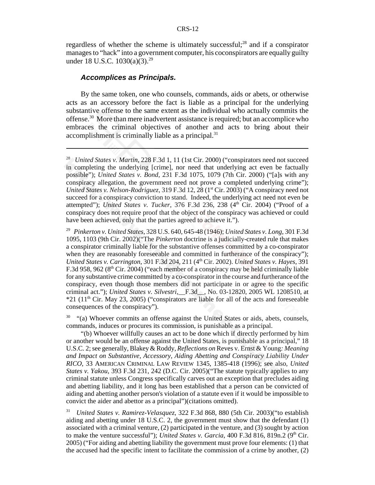regardless of whether the scheme is ultimately successful; $^{28}$  and if a conspirator manages to "hack" into a government computer, his coconspirators are equally guilty under 18 U.S.C.  $1030(a)(3)$ .<sup>29</sup>

#### *Accomplices as Principals.*

By the same token, one who counsels, commands, aids or abets, or otherwise acts as an accessory before the fact is liable as a principal for the underlying substantive offense to the same extent as the individual who actually commits the offense.30 More than mere inadvertent assistance is required; but an accomplice who embraces the criminal objectives of another and acts to bring about their accomplishment is criminally liable as a principal.<sup>31</sup>

<sup>30</sup> "(a) Whoever commits an offense against the United States or aids, abets, counsels, commands, induces or procures its commission, is punishable as a principal.

"(b) Whoever willfully causes an act to be done which if directly performed by him or another would be an offense against the United States, is punishable as a principal," 18 U.S.C. 2; see generally, Blakey & Roddy, *Reflections on* Reves v. Ernst & Young*: Meaning and Impact on Substantive, Accessory, Aiding Abetting and Conspiracy Liability Under RICO*, 33 AMERICAN CRIMINAL LAW REVIEW 1345, 1385-418 (1996); see also*, United States v. Yakou*, 393 F.3d 231, 242 (D.C. Cir. 2005)("The statute typically applies to any criminal statute unless Congress specifically carves out an exception that precludes aiding and abetting liability, and it long has been established that a person can be convicted of aiding and abetting another person's violation of a statute even if it would be impossible to convict the aider and abettor as a principal")(citations omitted).

31 *United States v. Ramirez-Velasquez*, 322 F.3d 868, 880 (5th Cir. 2003)("to establish aiding and abetting under 18 U.S.C. 2, the government must show that the defendant (1) associated with a criminal venture, (2) participated in the venture, and (3) sought by action to make the venture successful"); *United States v. Garcia*, 400 F.3d 816, 819n.2 (9<sup>th</sup> Cir. 2005) ("For aiding and abetting liability the government must prove four elements: (1) that the accused had the specific intent to facilitate the commission of a crime by another, (2)

<sup>28</sup> *United States v. Martin*, 228 F.3d 1, 11 (1st Cir. 2000) ("conspirators need not succeed in completing the underlying [crime], nor need that underlying act even be factually possible"); *United States v. Bond*, 231 F.3d 1075, 1079 (7th Cir. 2000) ("[a]s with any conspiracy allegation, the government need not prove a completed underlying crime"); *United States v. Nelson-Rodriguez*, 319 F.3d 12, 28 (1<sup>st</sup> Cir. 2003) ("A conspiracy need not succeed for a conspiracy conviction to stand. Indeed, the underlying act need not even be attempted"); *United States v. Tucker*,  $376$  F.3d  $236$ ,  $238$  ( $4<sup>th</sup>$  Cir. 2004) ("Proof of a conspiracy does not require proof that the object of the conspiracy was achieved or could have been achieved, only that the parties agreed to achieve it.").

<sup>29</sup> *Pinkerton v. United States*, 328 U.S. 640, 645-48 (1946); *United States v. Long*, 301 F.3d 1095, 1103 (9th Cir. 2002)("The *Pinkerton* doctrine is a judicially-created rule that makes a conspirator criminally liable for the substantive offenses committed by a co-conspirator when they are reasonably foreseeable and committed in furtherance of the conspiracy"); *United States v. Carrington*, 301 F.3d 204, 211 (4th Cir. 2002). *United States v. Hayes*, 391 F.3d 958, 962 (8<sup>th</sup> Cir. 2004) ("each member of a conspiracy may be held criminally liable for any substantive crime committed by a co-conspirator in the course and furtherance of the conspiracy, even though those members did not participate in or agree to the specific criminal act."); *United States v. Silvestri*,\_\_F.3d\_\_, No. 03-12820, 2005 WL 1208510, at  $*21$  (11<sup>th</sup> Cir. May 23, 2005) ("conspirators are liable for all of the acts and foreseeable consequences of the conspiracy").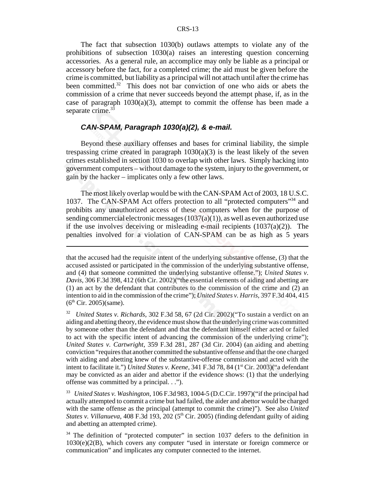The fact that subsection 1030(b) outlaws attempts to violate any of the prohibitions of subsection 1030(a) raises an interesting question concerning accessories. As a general rule, an accomplice may only be liable as a principal or accessory before the fact, for a completed crime; the aid must be given before the crime is committed, but liability as a principal will not attach until after the crime has been committed.<sup>32</sup> This does not bar conviction of one who aids or abets the commission of a crime that never succeeds beyond the attempt phase, if, as in the case of paragraph  $1030(a)(3)$ , attempt to commit the offense has been made a separate crime.<sup>33</sup>

#### *CAN-SPAM, Paragraph 1030(a)(2), & e-mail.*

Beyond these auxiliary offenses and bases for criminal liability, the simple trespassing crime created in paragraph  $1030(a)(3)$  is the least likely of the seven crimes established in section 1030 to overlap with other laws. Simply hacking into government computers – without damage to the system, injury to the government, or gain by the hacker – implicates only a few other laws.

The most likely overlap would be with the CAN-SPAM Act of 2003, 18 U.S.C. 1037. The CAN-SPAM Act offers protection to all "protected computers"34 and prohibits any unauthorized access of these computers when for the purpose of sending commercial electronic messages  $(1037(a)(1))$ , as well as even authorized use if the use involves deceiving or misleading e-mail recipients  $(1037(a)(2))$ . The penalties involved for a violation of CAN-SPAM can be as high as 5 years

that the accused had the requisite intent of the underlying substantive offense, (3) that the accused assisted or participated in the commission of the underlying substantive offense, and (4) that someone committed the underlying substantive offense."); *United States v. Davis*, 306 F.3d 398, 412 (6th Cir. 2002)("the essential elements of aiding and abetting are (1) an act by the defendant that contributes to the commission of the crime and (2) an intention to aid in the commission of the crime"); *United States v. Harris*, 397 F.3d 404, 415  $(6^{th}$  Cir. 2005)(same).

<sup>32</sup> *United States v. Richards*, 302 F.3d 58, 67 (2d Cir. 2002)("To sustain a verdict on an aiding and abetting theory, the evidence must show that the underlying crime was committed by someone other than the defendant and that the defendant himself either acted or failed to act with the specific intent of advancing the commission of the underlying crime"); *United States v. Cartwright*, 359 F.3d 281, 287 (3d Cir. 2004) (an aiding and abetting conviction "requires that another committed the substantive offense and that the one charged with aiding and abetting knew of the substantive-offense commission and acted with the intent to facilitate it.") *United States v. Keene*, 341 F.3d 78, 84 (1<sup>st</sup> Cir. 2003)("a defendant may be convicted as an aider and abettor if the evidence shows: (1) that the underlying offense was committed by a principal. . .").

<sup>33</sup> *United States v. Washington*, 106 F.3d 983, 1004-5 (D.C.Cir. 1997)("if the principal had actually attempted to commit a crime but had failed, the aider and abettor would be charged with the same offense as the principal (attempt to commit the crime)"). See also *United States v. Villanueva*, 408 F.3d 193, 202 (5<sup>th</sup> Cir. 2005) (finding defendant guilty of aiding and abetting an attempted crime).

<sup>&</sup>lt;sup>34</sup> The definition of "protected computer" in section 1037 defers to the definition in 1030(e)(2(B), which covers any computer "used in interstate or foreign commerce or communication" and implicates any computer connected to the internet.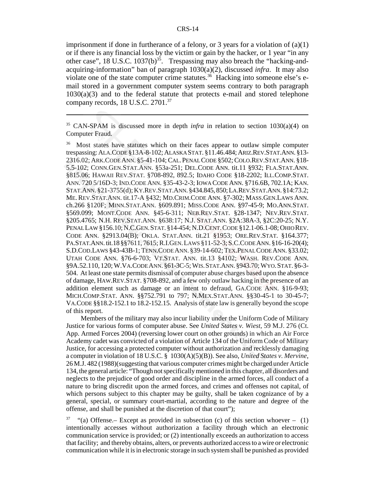imprisonment if done in furtherance of a felony, or 3 years for a violation of  $(a)(1)$ or if there is any financial loss by the victim or gain by the hacker, or 1 year "in any other case",  $18$  U.S.C.  $1037(b)^{35}$ . Trespassing may also breach the "hacking-andacquiring-information" ban of paragraph 1030(a)(2), discussed *infra*. It may also violate one of the state computer crime statutes.<sup>36</sup> Hacking into someone else's email stored in a government computer system seems contrary to both paragraph  $1030(a)(3)$  and to the federal statute that protects e-mail and stored telephone company records,  $18$  U.S.C.  $2701.^{37}$ 

36 Most states have statutes which on their faces appear to outlaw simple computer trespassing: ALA.CODE §13A-8-102; ALASKA STAT. §11.46.484; ARIZ.REV.STAT.ANN. §13- 2316.02; ARK.CODE ANN. §5-41-104; CAL.PENAL CODE §502; COLO.REV.STAT.ANN. §18- 5.5-102; CONN.GEN.STAT.ANN. §53a-251; DEL.CODE ANN. tit.11 §932; FLA.STAT.ANN. §815.06; HAWAII REV.STAT. §708-892, 892.5; IDAHO CODE §18-2202; ILL.COMP.STAT. ANN. 720 5/16D-3; IND.CODE ANN. §35-43-2-3; IOWA CODE ANN. §716.6B, 702.1A; KAN. STAT.ANN. §21-3755(d); KY.REV.STAT.ANN. §434.845, 850; LA.REV.STAT.ANN. §14:73.2; ME.REV.STAT.ANN. tit.17-A §432; MD.CRIM.CODE ANN. §7-302; MASS.GEN.LAWS ANN. ch.266 §120F; MINN.STAT.ANN. §609.891; MISS.CODE ANN. §97-45-9; MO.ANN.STAT. §569.099; MONT.CODE ANN. §45-6-311; NEB.REV.STAT. §28-1347; NEV.REV.STAT. §205.4765; N.H. REV.STAT.ANN. §638:17; N.J. STAT.ANN. §2A:38A-3, §2C:20-25; N.Y. PENAL LAW §156.10; N.C.GEN.STAT. §14-454; N.D.CENT.CODE §12.1-06.1-08; OHIO REV. CODE ANN. §2913.04(B); OKLA. STAT.ANN. tit.21 §1953; ORE.REV.STAT. §164.377; PA.STAT.ANN. tit.18 §§7611, 7615; R.I.GEN.LAWS §11-52-3; S.C.CODE ANN. §16-16-20(4); S.D.COD.LAWS §43-43B-1; TENN.CODE ANN. §39-14-602; TEX.PENAL CODE ANN. §33.02; UTAH CODE ANN. §76-6-703; VT.STAT. ANN. tit.13 §4102; WASH. REV.CODE ANN. §9A.52.110, 120; W.VA.CODE ANN. §61-3C-5; WIS.STAT.ANN. §943.70; WYO.STAT. §6-3- 504. At least one state permits dismissal of computer abuse charges based upon the absence of damage, HAW.REV.STAT. §708-892, and a few only outlaw hacking in the presence of an addition element such as damage or an intent to defraud, GA.CODE ANN. §16-9-93; MICH.COMP.STAT. ANN. §§752.791 to 797; N.MEX.STAT.ANN. §§30-45-1 to 30-45-7; VA.CODE §§18.2-152.1 to 18.2-152.15. Analysis of state law is generally beyond the scope of this report.

Members of the military may also incur liability under the Uniform Code of Military Justice for various forms of computer abuse. See *United States v. Wiest*, 59 M.J. 276 (Ct. App. Armed Forces 2004) (reversing lower court on other grounds) in which an Air Force Academy cadet was convicted of a violation of Article 134 of the Uniform Code of Military Justice, for accessing a protected computer without authorization and recklessly damaging a computer in violation of 18 U.S.C. § 1030(A)(5)(B)). See also, *United States v. Mervine*, 26 M.J. 482 (1988)(suggesting that various computer crimes might be charged under Article 134, the general article: "Though not specifically mentioned in this chapter, all disorders and neglects to the prejudice of good order and discipline in the armed forces, all conduct of a nature to bring discredit upon the armed forces, and crimes and offenses not capital, of which persons subject to this chapter may be guilty, shall be taken cognizance of by a general, special, or summary court-martial, according to the nature and degree of the offense, and shall be punished at the discretion of that court");

 $37$  "(a) Offense. Except as provided in subsection (c) of this section whoever – (1) intentionally accesses without authorization a facility through which an electronic communication service is provided; or (2) intentionally exceeds an authorization to access that facility; and thereby obtains, alters, or prevents authorized access to a wire or electronic communication while it is in electronic storage in such system shall be punished as provided

<sup>35</sup> CAN-SPAM is discussed more in depth *infra* in relation to section 1030(a)(4) on Computer Fraud.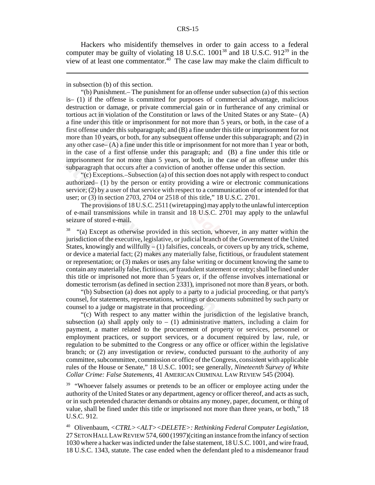Hackers who misidentify themselves in order to gain access to a federal computer may be guilty of violating 18 U.S.C.  $1001^{38}$  and 18 U.S.C.  $912^{39}$  in the view of at least one commentator.<sup>40</sup> The case law may make the claim difficult to

in subsection (b) of this section.

"(b) Punishment.– The punishment for an offense under subsection (a) of this section is– (1) if the offense is committed for purposes of commercial advantage, malicious destruction or damage, or private commercial gain or in furtherance of any criminal or tortious act in violation of the Constitution or laws of the United States or any State– $(A)$ a fine under this title or imprisonment for not more than 5 years, or both, in the case of a first offense under this subparagraph; and (B) a fine under this title or imprisonment for not more than 10 years, or both, for any subsequent offense under this subparagraph; and (2) in any other case– (A) a fine under this title or imprisonment for not more than 1 year or both, in the case of a first offense under this paragraph; and (B) a fine under this title or imprisonment for not more than 5 years, or both, in the case of an offense under this subparagraph that occurs after a conviction of another offense under this section.

"(c) Exceptions.–Subsection (a) of this section does not apply with respect to conduct authorized– (1) by the person or entity providing a wire or electronic communications service; (2) by a user of that service with respect to a communication of or intended for that user; or (3) in section 2703, 2704 or 2518 of this title," 18 U.S.C. 2701.

The provisions of 18 U.S.C. 2511 (wiretapping) may apply to the unlawful interception of e-mail transmissions while in transit and 18 U.S.C. 2701 may apply to the unlawful seizure of stored e-mail.

<sup>38</sup> "(a) Except as otherwise provided in this section, whoever, in any matter within the jurisdiction of the executive, legislative, or judicial branch of the Government of the United States, knowingly and willfully  $- (1)$  falsifies, conceals, or covers up by any trick, scheme, or device a material fact; (2) makes any materially false, fictitious, or fraudulent statement or representation; or (3) makes or uses any false writing or document knowing the same to contain any materially false, fictitious, or fraudulent statement or entry; shall be fined under this title or imprisoned not more than 5 years or, if the offense involves international or domestic terrorism (as defined in section 2331), imprisoned not more than 8 years, or both.

"(b) Subsection (a) does not apply to a party to a judicial proceeding, or that party's counsel, for statements, representations, writings or documents submitted by such party or counsel to a judge or magistrate in that proceeding.

"(c) With respect to any matter within the jurisdiction of the legislative branch, subsection (a) shall apply only to  $- (1)$  administrative matters, including a claim for payment, a matter related to the procurement of property or services, personnel or employment practices, or support services, or a document required by law, rule, or regulation to be submitted to the Congress or any office or officer within the legislative branch; or (2) any investigation or review, conducted pursuant to the authority of any committee, subcommittee, commission or office of the Congress, consistent with applicable rules of the House or Senate," 18 U.S.C. 1001; see generally, *Nineteenth Survey of White Collar Crime: False Statements*, 41 AMERICAN CRIMINAL LAW REVIEW 545 (2004).

<sup>39</sup> "Whoever falsely assumes or pretends to be an officer or employee acting under the authority of the United States or any department, agency or officer thereof, and acts as such, or in such pretended character demands or obtains any money, paper, document, or thing of value, shall be fined under this title or imprisoned not more than three years, or both," 18 U.S.C. 912.

40 Olivenbaum, *<CTRL><ALT><DELETE>: Rethinking Federal Computer Legislation*, 27 SETON HALL LAW REVIEW 574, 600 (1997)(citing an instance from the infancy of section 1030 where a hacker was indicted under the false statement, 18 U.S.C. 1001, and wire fraud, 18 U.S.C. 1343, statute. The case ended when the defendant pled to a misdemeanor fraud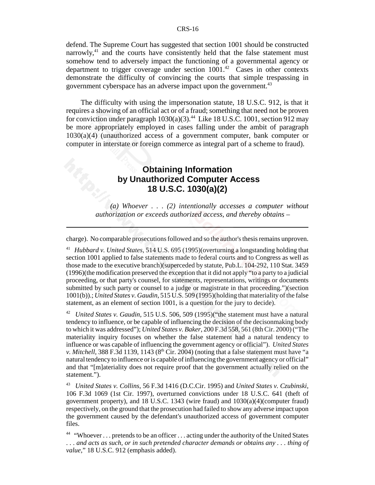defend. The Supreme Court has suggested that section 1001 should be constructed narrowly, $41$  and the courts have consistently held that the false statement must somehow tend to adversely impact the functioning of a governmental agency or department to trigger coverage under section  $1001<sup>42</sup>$  Cases in other contexts demonstrate the difficulty of convincing the courts that simple trespassing in government cyberspace has an adverse impact upon the government.<sup>43</sup>

The difficulty with using the impersonation statute, 18 U.S.C. 912, is that it requires a showing of an official act or of a fraud; something that need not be proven for conviction under paragraph  $1030(a)(3)$ .<sup>44</sup> Like 18 U.S.C. 1001, section 912 may be more appropriately employed in cases falling under the ambit of paragraph 1030(a)(4) (unauthorized access of a government computer, bank computer or computer in interstate or foreign commerce as integral part of a scheme to fraud).

# **Obtaining Information by Unauthorized Computer Access 18 U.S.C. 1030(a)(2)**

*(a) Whoever . . . (2) intentionally accesses a computer without authorization or exceeds authorized access, and thereby obtains –* 

charge). No comparable prosecutions followed and so the author's thesis remains unproven.

41 *Hubbard v. United States*, 514 U.S. 695 (1995)(overturning a longstanding holding that section 1001 applied to false statements made to federal courts and to Congress as well as those made to the executive branch)(superceded by statute, Pub.L. 104-292, 110 Stat. 3459 (1996)(the modification preserved the exception that it did not apply "to a party to a judicial proceeding, or that party's counsel, for statements, representations, writings or documents submitted by such party or counsel to a judge or magistrate in that proceeding.")(section 1001(b)).; *United States v. Gaudin*, 515 U.S. 509 (1995)(holding that materiality of the false statement, as an element of section 1001, is a question for the jury to decide).

42 *United States v. Gaudin*, 515 U.S. 506, 509 (1995)("the statement must have a natural tendency to influence, or be capable of influencing the decision of the decisonmaking body to which it was addressed"); *United States v. Baker*, 200 F.3d 558, 561 (8th Cir. 2000) ("The materiality inquiry focuses on whether the false statement had a natural tendency to influence or was capable of influencing the government agency or official"). *United States v. Mitchell*, 388 F.3d 1139, 1143 ( $8<sup>th</sup>$  Cir. 2004) (noting that a false statement must have "a natural tendency to influence or is capable of influencing the government agency or official" and that "[m]ateriality does not require proof that the government actually relied on the statement.").

43 *United States v. Collins*, 56 F.3d 1416 (D.C.Cir. 1995) and *United States v. Czubinski*, 106 F.3d 1069 (1st Cir. 1997), overturned convictions under 18 U.S.C. 641 (theft of government property), and 18 U.S.C. 1343 (wire fraud) and 1030(a)(4)(computer fraud) respectively, on the ground that the prosecution had failed to show any adverse impact upon the government caused by the defendant's unauthorized access of government computer files.

<sup>44</sup> "Whoever . . . pretends to be an officer . . . acting under the authority of the United States . . . *and acts as such, or in such pretended character demands or obtains any . . . thing of value*," 18 U.S.C. 912 (emphasis added).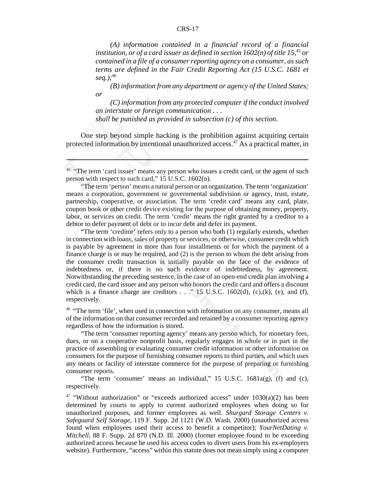#### CRS-17

*(A) information contained in a financial record of a financial institution, or of a card issuer as defined in section 1602(n) of title 15,*<sup>45</sup> *or contained in a file of a consumer reporting agency on a consumer, as such terms are defined in the Fair Credit Reporting Act (15 U.S.C. 1681 et seq.);*<sup>46</sup>

*(B) information from any department or agency of the United States; or*

*(C) information from any protected computer if the conduct involved an interstate or foreign communication . . .*

*shall be punished as provided in subsection (c) of this section.*

One step beyond simple hacking is the prohibition against acquiring certain protected information by intentional unauthorized access.47 As a practical matter, in

"The term 'person' means a natural person or an organization. The term 'organization' means a corporation, government or governmental subdivision or agency, trust, estate, partnership, cooperative, or association. The term 'credit card' means any card, plate, coupon book or other credit device existing for the purpose of obtaining money, property, labor, or services on credit. The term 'credit' means the right granted by a creditor to a debtor to defer payment of debt or to incur debt and defer its payment.

"The term 'creditor' refers only to a person who both (1) regularly extends, whether in connection with loans, sales of property or services, or otherwise, consumer credit which is payable by agreement in more than four installments or for which the payment of a finance charge is or may be required, and (2) is the person to whom the debt arising from the consumer credit transaction is initially payable on the face of the evidence of indebtedness or, if there is no such evidence of indebtedness, by agreement. Notwithstanding the preceding sentence, in the case of an open-end credit plan involving a credit card, the card issuer and any person who honors the credit card and offers a discount which is a finance charge are creditors  $\ldots$  ." 15 U.S.C. 1602(d), (c),(k), (e), and (f), respectively.

<sup>46</sup> "The term 'file', when used in connection with information on any consumer, means all of the information on that consumer recorded and retained by a consumer reporting agency regardless of how the information is stored.

"The term 'consumer reporting agency' means any person which, for monetary fees, dues, or on a cooperative nonprofit basis, regularly engages in whole or in part in the practice of assembling or evaluating consumer credit information or other information on consumers for the purpose of furnishing consumer reports to third parties, and which uses any means or facility of interstate commerce for the purpose of preparing or furnishing consumer reports.

"The term 'consumer' means an individual," 15 U.S.C. 1681a(g), (f) and (c), respectively.

<sup>47</sup> "Without authorization" or "exceeds authorized access" under  $1030(a)(2)$  has been determined by courts to apply to current authorized employees when doing so for unauthorized purposes, and former employees as well. *Shurgard Storage Centers v. Safeguard Self Storage*, 119 F. Supp. 2d 1121 (W.D. Wash. 2000) (unauthorized access found when employees used their access to benefit a competitor); *YourNetDating v. Mitchell*, 88 F. Supp. 2d 870 (N.D. Ill. 2000) (former employee found to be exceeding authorized access because he used his access codes to divert users from his ex-employers website). Furthermore, "access" within this statute does not mean simply using a computer

<sup>&</sup>lt;sup>45</sup> "The term 'card issuer' means any person who issues a credit card, or the agent of such person with respect to such card," 15 U.S.C. 1602(n).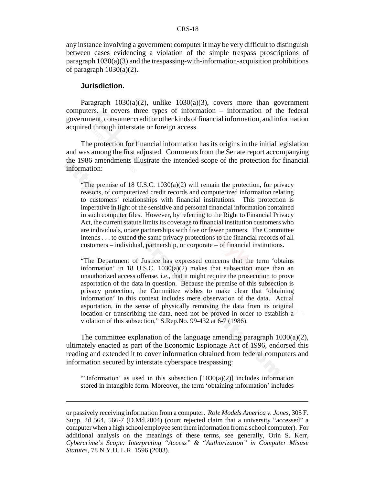#### CRS-18

any instance involving a government computer it may be very difficult to distinguish between cases evidencing a violation of the simple trespass proscriptions of paragraph 1030(a)(3) and the trespassing-with-information-acquisition prohibitions of paragraph  $1030(a)(2)$ .

#### **Jurisdiction.**

Paragraph  $1030(a)(2)$ , unlike  $1030(a)(3)$ , covers more than government computers. It covers three types of information – information of the federal government, consumer credit or other kinds of financial information, and information acquired through interstate or foreign access.

The protection for financial information has its origins in the initial legislation and was among the first adjusted. Comments from the Senate report accompanying the 1986 amendments illustrate the intended scope of the protection for financial information:

"The premise of  $18$  U.S.C.  $1030(a)(2)$  will remain the protection, for privacy reasons, of computerized credit records and computerized information relating to customers' relationships with financial institutions. This protection is imperative in light of the sensitive and personal financial information contained in such computer files. However, by referring to the Right to Financial Privacy Act, the current statute limits its coverage to financial institution customers who are individuals, or are partnerships with five or fewer partners. The Committee intends . . . to extend the same privacy protections to the financial records of all customers – individual, partnership, or corporate – of financial institutions.

"The Department of Justice has expressed concerns that the term 'obtains information' in 18 U.S.C.  $1030(a)(2)$  makes that subsection more than an unauthorized access offense, i.e., that it might require the prosecution to prove asportation of the data in question. Because the premise of this subsection is privacy protection, the Committee wishes to make clear that 'obtaining information' in this context includes mere observation of the data. Actual asportation, in the sense of physically removing the data from its original location or transcribing the data, need not be proved in order to establish a violation of this subsection," S.Rep.No. 99-432 at 6-7 (1986).

The committee explanation of the language amending paragraph  $1030(a)(2)$ , ultimately enacted as part of the Economic Espionage Act of 1996, endorsed this reading and extended it to cover information obtained from federal computers and information secured by interstate cyberspace trespassing:

"'Information' as used in this subsection  $[1030(a)(2)]$  includes information stored in intangible form. Moreover, the term 'obtaining information' includes

or passively receiving information from a computer. *Role Models America v. Jones*, 305 F. Supp. 2d 564, 566-7 (D.Md.2004) (court rejected claim that a university "accessed" a computer when a high school employee sent them information from a school computer). For additional analysis on the meanings of these terms, see generally, Orin S. Kerr, *Cybercrime's Scope: Interpreting "Access" & "Authorization" in Computer Misuse Statutes*, 78 N.Y.U. L.R. 1596 (2003).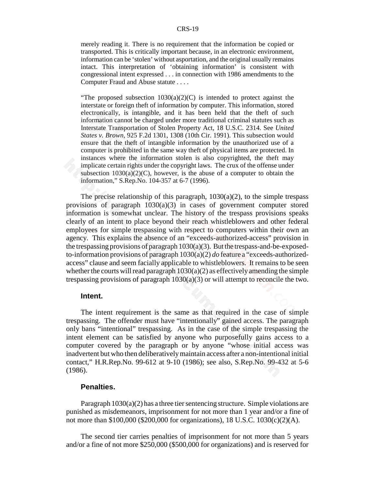merely reading it. There is no requirement that the information be copied or transported. This is critically important because, in an electronic environment, information can be 'stolen' without asportation, and the original usually remains intact. This interpretation of 'obtaining information' is consistent with congressional intent expressed . . . in connection with 1986 amendments to the Computer Fraud and Abuse statute . . . .

"The proposed subsection  $1030(a)(2)(C)$  is intended to protect against the interstate or foreign theft of information by computer. This information, stored electronically, is intangible, and it has been held that the theft of such information cannot be charged under more traditional criminal statutes such as Interstate Transportation of Stolen Property Act, 18 U.S.C. 2314. See *United States v. Brown*, 925 F.2d 1301, 1308 (10th Cir. 1991). This subsection would ensure that the theft of intangible information by the unauthorized use of a computer is prohibited in the same way theft of physical items are protected. In instances where the information stolen is also copyrighted, the theft may implicate certain rights under the copyright laws. The crux of the offense under subsection  $1030(a)(2)(C)$ , however, is the abuse of a computer to obtain the information," S.Rep.No. 104-357 at 6-7 (1996).

The precise relationship of this paragraph,  $1030(a)(2)$ , to the simple trespass provisions of paragraph  $1030(a)(3)$  in cases of government computer stored information is somewhat unclear. The history of the trespass provisions speaks clearly of an intent to place beyond their reach whistleblowers and other federal employees for simple trespassing with respect to computers within their own an agency. This explains the absence of an "exceeds-authorized-access" provision in the trespassing provisions of paragraph 1030(a)(3). But the trespass-and-be-exposedto-information provisions of paragraph 1030(a)(2) *do* feature a "exceeds-authorizedaccess" clause and seem facially applicable to whistleblowers. It remains to be seen whether the courts will read paragraph  $1030(a)(2)$  as effectively amending the simple trespassing provisions of paragraph  $1030(a)(3)$  or will attempt to reconcile the two.

#### **Intent.**

The intent requirement is the same as that required in the case of simple trespassing. The offender must have "intentionally" gained access. The paragraph only bans "intentional" trespassing. As in the case of the simple trespassing the intent element can be satisfied by anyone who purposefully gains access to a computer covered by the paragraph or by anyone "whose initial access was inadvertent but who then deliberatively maintain access after a non-intentional initial contact," H.R.Rep.No. 99-612 at 9-10 (1986); see also, S.Rep.No. 99-432 at 5-6 (1986).

#### **Penalties.**

Paragraph 1030(a)(2) has a three tier sentencing structure. Simple violations are punished as misdemeanors, imprisonment for not more than 1 year and/or a fine of not more than \$100,000 (\$200,000 for organizations), 18 U.S.C. 1030(c)(2)(A).

The second tier carries penalties of imprisonment for not more than 5 years and/or a fine of not more \$250,000 (\$500,000 for organizations) and is reserved for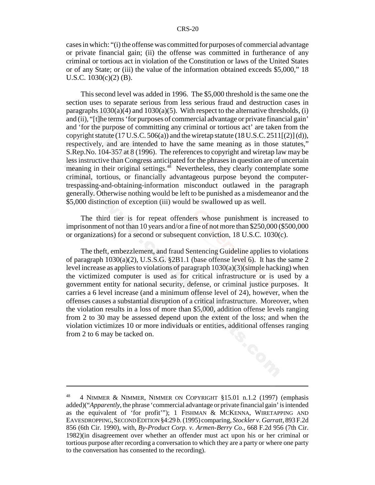cases in which: "(i) the offense was committed for purposes of commercial advantage or private financial gain; (ii) the offense was committed in furtherance of any criminal or tortious act in violation of the Constitution or laws of the United States or of any State; or (iii) the value of the information obtained exceeds \$5,000," 18 U.S.C. 1030(c)(2) (B).

This second level was added in 1996. The \$5,000 threshold is the same one the section uses to separate serious from less serious fraud and destruction cases in paragraphs  $1030(a)(4)$  and  $1030(a)(5)$ . With respect to the alternative thresholds, (i) and (ii), "[t]he terms 'for purposes of commercial advantage or private financial gain' and 'for the purpose of committing any criminal or tortious act' are taken from the copyright statute  $(17 \text{ U.S.C. } 506(a))$  and the wiretap statute  $(18 \text{ U.S.C. } 2511[(2)]$  (d)), respectively, and are intended to have the same meaning as in those statutes," S.Rep.No. 104-357 at 8 (1996). The references to copyright and wiretap law may be less instructive than Congress anticipated for the phrases in question are of uncertain meaning in their original settings. $48$  Nevertheless, they clearly contemplate some criminal, tortious, or financially advantageous purpose beyond the computertrespassing-and-obtaining-information misconduct outlawed in the paragraph generally. Otherwise nothing would be left to be punished as a misdemeanor and the \$5,000 distinction of exception (iii) would be swallowed up as well.

The third tier is for repeat offenders whose punishment is increased to imprisonment of not than 10 years and/or a fine of not more than \$250,000 (\$500,000 or organizations) for a second or subsequent conviction, 18 U.S.C. 1030(c).

The theft, embezzlement, and fraud Sentencing Guideline applies to violations of paragraph 1030(a)(2), U.S.S.G. §2B1.1 (base offense level 6). It has the same 2 level increase as applies to violations of paragraph 1030(a)(3)(simple hacking) when the victimized computer is used as for critical infrastructure or is used by a government entity for national security, defense, or criminal justice purposes. It carries a 6 level increase (and a minimum offense level of 24), however, when the offenses causes a substantial disruption of a critical infrastructure. Moreover, when the violation results in a loss of more than \$5,000, addition offense levels ranging from 2 to 30 may be assessed depend upon the extent of the loss; and when the violation victimizes 10 or more individuals or entities, additional offenses ranging from 2 to 6 may be tacked on.

<sup>48 4</sup> NIMMER & NIMMER, NIMMER ON COPYRIGHT §15.01 n.1.2 (1997) (emphasis added)("*Apparently*, the phrase 'commercial advantage or private financial gain' is intended as the equivalent of 'for profit'"); 1 FISHMAN & MCKENNA, WIRETAPPING AND EAVESDROPPING,SECOND EDITION §4:29 *b.* (1995) comparing, *Stockler v. Garratt*, 893 F.2d 856 (6th Cir. 1990), with, *By-Product Corp. v. Armen-Berry Co.*, 668 F.2d 956 (7th Cir. 1982)(in disagreement over whether an offender must act upon his or her criminal or tortious purpose after recording a conversation to which they are a party or where one party to the conversation has consented to the recording).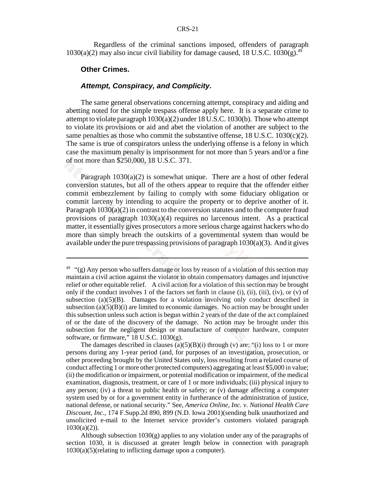Regardless of the criminal sanctions imposed, offenders of paragraph  $1030(a)(2)$  may also incur civil liability for damage caused, 18 U.S.C. 1030(g).<sup>49</sup>

#### **Other Crimes.**

#### *Attempt, Conspiracy, and Complicity.*

The same general observations concerning attempt, conspiracy and aiding and abetting noted for the simple trespass offense apply here. It is a separate crime to attempt to violate paragraph 1030(a)(2) under 18 U.S.C. 1030(b). Those who attempt to violate its provisions or aid and abet the violation of another are subject to the same penalties as those who commit the substantive offense, 18 U.S.C. 1030(c)(2). The same is true of conspirators unless the underlying offense is a felony in which case the maximum penalty is imprisonment for not more than 5 years and/or a fine of not more than \$250,000, 18 U.S.C. 371.

Paragraph  $1030(a)(2)$  is somewhat unique. There are a host of other federal conversion statutes, but all of the others appear to require that the offender either commit embezzlement by failing to comply with some fiduciary obligation or commit larceny by intending to acquire the property or to deprive another of it. Paragraph 1030(a)(2) in contrast to the conversion statutes and to the computer fraud provisions of paragraph 1030(a)(4) requires no larcenous intent. As a practical matter, it essentially gives prosecutors a more serious charge against hackers who do more than simply breach the outskirts of a governmental system than would be available under the pure trespassing provisions of paragraph  $1030(a)(3)$ . And it gives

 $^{49}$  "(g) Any person who suffers damage or loss by reason of a violation of this section may maintain a civil action against the violator to obtain compensatory damages and injunctive relief or other equitable relief. A civil action for a violation of this section may be brought only if the conduct involves 1 of the factors set forth in clause  $(i)$ ,  $(ii)$ ,  $(iii)$ ,  $(iv)$ , or  $(v)$  of subsection (a) $(5)(B)$ . Damages for a violation involving only conduct described in subsection (a) $(5)(B)(i)$  are limited to economic damages. No action may be brought under this subsection unless such action is begun within 2 years of the date of the act complained of or the date of the discovery of the damage. No action may be brought under this subsection for the negligent design or manufacture of computer hardware, computer software, or firmware,"  $18$  U.S.C.  $1030(g)$ .

The damages described in clauses  $(a)(5)(B)(i)$  through (v) are: "(i) loss to 1 or more persons during any 1-year period (and, for purposes of an investigation, prosecution, or other proceeding brought by the United States only, loss resulting from a related course of conduct affecting 1 or more other protected computers) aggregating at least \$5,000 in value; (ii) the modification or impairment, or potential modification or impairment, of the medical examination, diagnosis, treatment, or care of 1 or more individuals; (iii) physical injury to any person; (iv) a threat to public health or safety; or (v) damage affecting a computer system used by or for a government entity in furtherance of the administration of justice, national defense, or national security." See, *America Online, Inc. v. National Health Care Discount, Inc.,* 174 F.Supp.2d 890, 899 (N.D. Iowa 2001)(sending bulk unauthorized and unsolicited e-mail to the Internet service provider's customers violated paragraph  $1030(a)(2)$ ).

Although subsection  $1030(g)$  applies to any violation under any of the paragraphs of section 1030, it is discussed at greater length below in connection with paragraph 1030(a)(5)(relating to inflicting damage upon a computer).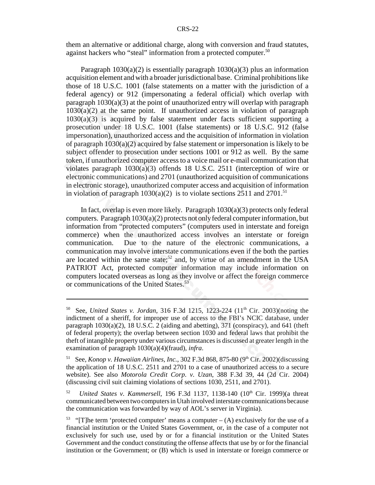#### CRS-22

them an alternative or additional charge, along with conversion and fraud statutes, against hackers who "steal" information from a protected computer.<sup>50</sup>

Paragraph  $1030(a)(2)$  is essentially paragraph  $1030(a)(3)$  plus an information acquisition element and with a broader jurisdictional base. Criminal prohibitions like those of 18 U.S.C. 1001 (false statements on a matter with the jurisdiction of a federal agency) or 912 (impersonating a federal official) which overlap with paragraph  $1030(a)(3)$  at the point of unauthorized entry will overlap with paragraph  $1030(a)(2)$  at the same point. If unauthorized access in violation of paragraph 1030(a)(3) is acquired by false statement under facts sufficient supporting a prosecution under 18 U.S.C. 1001 (false statements) or 18 U.S.C. 912 (false impersonation), unauthorized access and the acquisition of information in violation of paragraph  $1030(a)(2)$  acquired by false statement or impersonation is likely to be subject offender to prosecution under sections 1001 or 912 as well. By the same token, if unauthorized computer access to a voice mail or e-mail communication that violates paragraph 1030(a)(3) offends 18 U.S.C. 2511 (interception of wire or electronic communications) and 2701 (unauthorized acquisition of communications in electronic storage), unauthorized computer access and acquisition of information in violation of paragraph  $1030(a)(2)$  is to violate sections 2511 and 2701.<sup>51</sup>

In fact, overlap is even more likely. Paragraph  $1030(a)(3)$  protects only federal computers. Paragraph  $1030(a)(2)$  protects not only federal computer information, but information from "protected computers" (computers used in interstate and foreign commerce) when the unauthorized access involves an interstate or foreign communication. Due to the nature of the electronic communications, a communication may involve interstate communications even if the both the parties are located within the same state;<sup>52</sup> and, by virtue of an amendment in the USA PATRIOT Act, protected computer information may include information on computers located overseas as long as they involve or affect the foreign commerce or communications of the United States.<sup>53</sup>

<sup>&</sup>lt;sup>50</sup> See, *United States v. Jordan*, 316 F.3d 1215, 1223-224  $(11<sup>th</sup> Cir. 2003)$ (noting the indictment of a sheriff, for improper use of access to the FBI's NCIC database, under paragraph  $1030(a)(2)$ , 18 U.S.C. 2 (aiding and abetting), 371 (conspiracy), and 641 (theft of federal property); the overlap between section 1030 and federal laws that prohibit the theft of intangible property under various circumstances is discussed at greater length in the examination of paragraph 1030(a)(4)(fraud), *infra*.

<sup>&</sup>lt;sup>51</sup> See, *Konop v. Hawaiian Airlines, Inc.*, 302 F.3d 868, 875-80 (9<sup>th</sup> Cir. 2002)(discussing the application of 18 U.S.C. 2511 and 2701 to a case of unauthorized access to a secure website). See also *Motorola Credit Corp. v. Uzan*, 388 F.3d 39, 44 (2d Cir. 2004) (discussing civil suit claiming violations of sections 1030, 2511, and 2701).

 $52$  *United States v. Kammersell*, 196 F.3d 1137, 1138-140 (10<sup>th</sup> Cir. 1999)(a threat communicated between two computers in Utah involved interstate communications because the communication was forwarded by way of AOL's server in Virginia).

<sup>&</sup>lt;sup>53</sup> "[T]he term 'protected computer' means a computer – (A) exclusively for the use of a financial institution or the United States Government, or, in the case of a computer not exclusively for such use, used by or for a financial institution or the United States Government and the conduct constituting the offense affects that use by or for the financial institution or the Government; or (B) which is used in interstate or foreign commerce or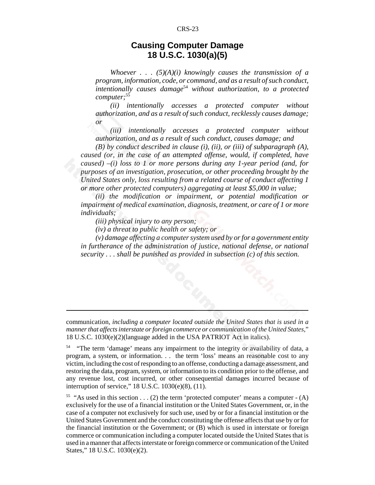#### CRS-23

# **Causing Computer Damage 18 U.S.C. 1030(a)(5)**

*Whoever . . . (5)(A)(i) knowingly causes the transmission of a program, information, code, or command, and as a result of such conduct, intentionally causes damage*<sup>54</sup> without authorization, to a protected *computer;*<sup>55</sup>

*(ii) intentionally accesses a protected computer without authorization, and as a result of such conduct, recklessly causes damage; or*

*(iii) intentionally accesses a protected computer without authorization, and as a result of such conduct, causes damage; and*

*(B) by conduct described in clause (i), (ii), or (iii) of subparagraph (A), caused (or, in the case of an attempted offense, would, if completed, have caused) –(i) loss to 1 or more persons during any 1-year period (and, for purposes of an investigation, prosecution, or other proceeding brought by the United States only, loss resulting from a related course of conduct affecting 1 or more other protected computers) aggregating at least \$5,000 in value;*

*(ii) the modification or impairment, or potential modification or impairment of medical examination, diagnosis, treatment, or care of 1 or more individuals;*

*(iii) physical injury to any person;*

*(iv) a threat to public health or safety; or*

*(v) damage affecting a computer system used by or for a government entity in furtherance of the administration of justice, national defense, or national security . . . shall be punished as provided in subsection (c) of this section.*

communication*, including a computer located outside the United States that is used in a manner that affects interstate or foreign commerce or communication of the United States*," 18 U.S.C. 1030(e)(2)(language added in the USA PATRIOT Act in italics).

<sup>&</sup>lt;sup>54</sup> "The term 'damage' means any impairment to the integrity or availability of data, a program, a system, or information. . . the term 'loss' means an reasonable cost to any victim, including the cost of responding to an offense, conducting a damage assessment, and restoring the data, program, system, or information to its condition prior to the offense, and any revenue lost, cost incurred, or other consequential damages incurred because of interruption of service," 18 U.S.C. 1030(e)(8), (11).

<sup>&</sup>lt;sup>55</sup> "As used in this section . . . (2) the term 'protected computer' means a computer - (A) exclusively for the use of a financial institution or the United States Government, or, in the case of a computer not exclusively for such use, used by or for a financial institution or the United States Government and the conduct constituting the offense affects that use by or for the financial institution or the Government; or (B) which is used in interstate or foreign commerce or communication including a computer located outside the United States that is used in a manner that affects interstate or foreign commerce or communication of the United States," 18 U.S.C. 1030(e)(2).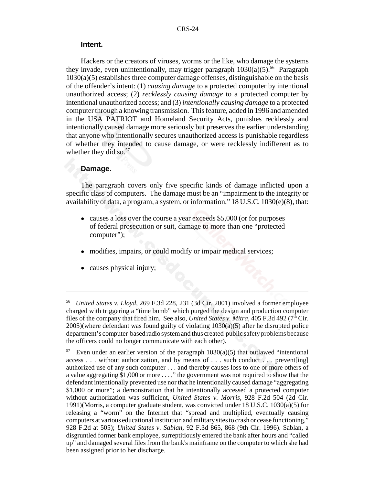#### **Intent.**

Hackers or the creators of viruses, worms or the like, who damage the systems they invade, even unintentionally, may trigger paragraph  $1030(a)(5)$ <sup>56</sup> Paragraph 1030(a)(5) establishes three computer damage offenses, distinguishable on the basis of the offender's intent: (1) *causing damage* to a protected computer by intentional unauthorized access; (2) *recklessly causing damage* to a protected computer by intentional unauthorized access; and (3) *intentionally causing damage* to a protected computer through a knowing transmission. This feature, added in 1996 and amended in the USA PATRIOT and Homeland Security Acts, punishes recklessly and intentionally caused damage more seriously but preserves the earlier understanding that anyone who intentionally secures unauthorized access is punishable regardless of whether they intended to cause damage, or were recklessly indifferent as to whether they did so.<sup>57</sup>

#### **Damage.**

The paragraph covers only five specific kinds of damage inflicted upon a specific class of computers. The damage must be an "impairment to the integrity or availability of data, a program, a system, or information," 18 U.S.C. 1030(e)(8), that:

- causes a loss over the course a year exceeds \$5,000 (or for purposes of federal prosecution or suit, damage to more than one "protected computer");
- modifies, impairs, or could modify or impair medical services;
- causes physical injury;

<sup>56</sup> *United States v. Lloyd*, 269 F.3d 228, 231 (3d Cir. 2001) involved a former employee charged with triggering a "time bomb" which purged the design and production computer files of the company that fired him. See also, *United States v. Mitra*,  $405$  F.3d  $492$  ( $7<sup>th</sup>$  Cir.  $2005$ )(where defendant was found guilty of violating  $1030(a)(5)$  after he disrupted police department's computer-based radio system and thus created public safety problems because the officers could no longer communicate with each other).

<sup>&</sup>lt;sup>57</sup> Even under an earlier version of the paragraph  $1030(a)(5)$  that outlawed "intentional" access . . . without authorization, and by means of . . . such conduct . . . prevent[ing] authorized use of any such computer . . . and thereby causes loss to one or more others of a value aggregating \$1,000 or more . . . ," the government was not required to show that the defendant intentionally prevented use nor that he intentionally caused damage "aggregating \$1,000 or more"; a demonstration that he intentionally accessed a protected computer without authorization was sufficient, *United States v. Morris*, 928 F.2d 504 (2d Cir. 1991)(Morris, a computer graduate student, was convicted under 18 U.S.C. 1030(a)(5) for releasing a "worm" on the Internet that "spread and multiplied, eventually causing computers at various educational institution and military sites to crash or cease functioning," 928 F.2d at 505); *United States v. Sablan*, 92 F.3d 865, 868 (9th Cir. 1996). Sablan, a disgruntled former bank employee, surreptitiously entered the bank after hours and "called up" and damaged several files from the bank's mainframe on the computer to which she had been assigned prior to her discharge.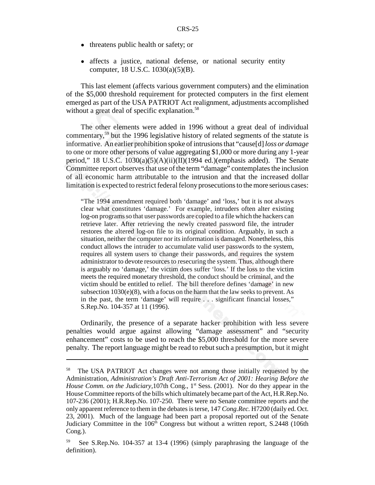- threatens public health or safety; or
- affects a justice, national defense, or national security entity computer, 18 U.S.C. 1030(a)(5)(B).

This last element (affects various government computers) and the elimination of the \$5,000 threshold requirement for protected computers in the first element emerged as part of the USA PATRIOT Act realignment, adjustments accomplished without a great deal of specific explanation.<sup>58</sup>

The other elements were added in 1996 without a great deal of individual commentary,59 but the 1996 legislative history of related segments of the statute is informative. An earlier prohibition spoke of intrusions that "cause[d] *loss or damage* to one or more other persons of value aggregating \$1,000 or more during any 1-year period," 18 U.S.C.  $1030(a)(5)(A)(ii)(II)(1994 ed.)$ (emphasis added). The Senate Committee report observes that use of the term "damage" contemplates the inclusion of all economic harm attributable to the intrusion and that the increased dollar limitation is expected to restrict federal felony prosecutions to the more serious cases:

"The 1994 amendment required both 'damage' and 'loss,' but it is not always clear what constitutes 'damage.' For example, intruders often alter existing log-on programs so that user passwords are copied to a file which the hackers can retrieve later. After retrieving the newly created password file, the intruder restores the altered log-on file to its original condition. Arguably, in such a situation, neither the computer nor its information is damaged. Nonetheless, this conduct allows the intruder to accumulate valid user passwords to the system, requires all system users to change their passwords, and requires the system administrator to devote resources to resecuring the system. Thus, although there is arguably no 'damage,' the victim does suffer 'loss.' If the loss to the victim meets the required monetary threshold, the conduct should be criminal, and the victim should be entitled to relief. The bill therefore defines 'damage' in new subsection  $1030(e)(8)$ , with a focus on the harm that the law seeks to prevent. As in the past, the term 'damage' will require . . . significant financial losses," S.Rep.No. 104-357 at 11 (1996).

Ordinarily, the presence of a separate hacker prohibition with less severe penalties would argue against allowing "damage assessment" and "security enhancement" costs to be used to reach the \$5,000 threshold for the more severe penalty. The report language might be read to rebut such a presumption, but it might

<sup>58</sup> The USA PATRIOT Act changes were not among those initially requested by the Administration, *Administration's Draft Anti-Terrorism Act of 2001: Hearing Before the House Comm. on the Judiciary,*107th Cong., 1<sup>st</sup> Sess. (2001). Nor do they appear in the House Committee reports of the bills which ultimately became part of the Act, H.R.Rep.No. 107-236 (2001); H.R.Rep.No. 107-250. There were no Senate committee reports and the only apparent reference to them in the debates is terse, 147 *Cong.Rec.* H7200 (daily ed. Oct. 23, 2001). Much of the language had been part a proposal reported out of the Senate Judiciary Committee in the 106<sup>th</sup> Congress but without a written report, S.2448 (106th Cong.).

See S.Rep.No. 104-357 at 13-4 (1996) (simply paraphrasing the language of the definition).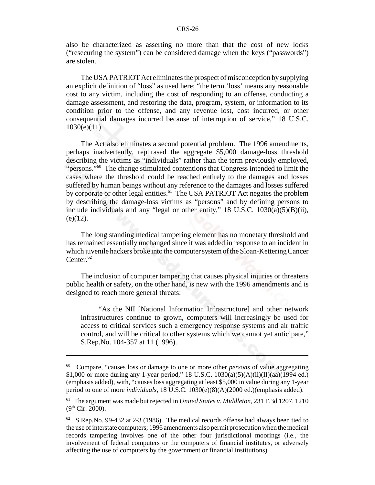also be characterized as asserting no more than that the cost of new locks ("resecuring the system") can be considered damage when the keys ("passwords") are stolen.

The USA PATRIOT Act eliminates the prospect of misconception by supplying an explicit definition of "loss" as used here; "the term 'loss' means any reasonable cost to any victim, including the cost of responding to an offense, conducting a damage assessment, and restoring the data, program, system, or information to its condition prior to the offense, and any revenue lost, cost incurred, or other consequential damages incurred because of interruption of service," 18 U.S.C.  $1030(e)(11)$ .

The Act also eliminates a second potential problem. The 1996 amendments, perhaps inadvertently, rephrased the aggregate \$5,000 damage-loss threshold describing the victims as "individuals" rather than the term previously employed, "persons."60 The change stimulated contentions that Congress intended to limit the cases where the threshold could be reached entirely to the damages and losses suffered by human beings without any reference to the damages and losses suffered by corporate or other legal entities.<sup>61</sup> The USA PATRIOT Act negates the problem by describing the damage-loss victims as "persons" and by defining persons to include individuals and any "legal or other entity," 18 U.S.C.  $1030(a)(5)(B)(ii)$ ,  $(e)(12)$ .

The long standing medical tampering element has no monetary threshold and has remained essentially unchanged since it was added in response to an incident in which juvenile hackers broke into the computer system of the Sloan-Kettering Cancer Center. $62$ 

The inclusion of computer tampering that causes physical injuries or threatens public health or safety, on the other hand, is new with the 1996 amendments and is designed to reach more general threats:

 "As the NII [National Information Infrastructure] and other network infrastructures continue to grown, computers will increasingly be used for access to critical services such a emergency response systems and air traffic control, and will be critical to other systems which we cannot yet anticipate," S.Rep.No. 104-357 at 11 (1996).

<sup>60</sup> Compare*,* "causes loss or damage to one or more other *persons* of value aggregating \$1,000 or more during any 1-year period," 18 U.S.C. 1030(a)(5)(A)(ii)(II)(aa)(1994 ed.) (emphasis added), with, "causes loss aggregating at least \$5,000 in value during any 1-year period to one of more *individuals*, 18 U.S.C. 1030(e)(8)(A)(2000 ed.)(emphasis added).

<sup>61</sup> The argument was made but rejected in *United States v. Middleton*, 231 F.3d 1207, 1210  $(9<sup>th</sup> Cir. 2000)$ .

 $62$  S.Rep.No. 99-432 at 2-3 (1986). The medical records offense had always been tied to the use of interstate computers; 1996 amendments also permit prosecution when the medical records tampering involves one of the other four jurisdictional moorings (i.e., the involvement of federal computers or the computers of financial institutes, or adversely affecting the use of computers by the government or financial institutions).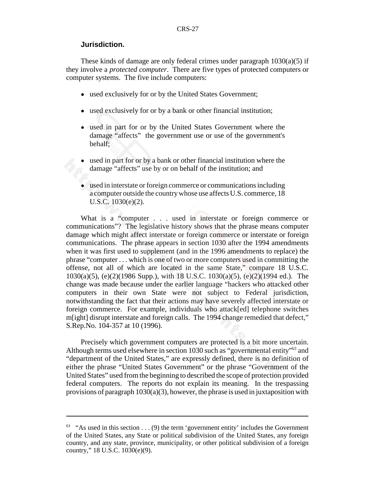#### **Jurisdiction.**

These kinds of damage are only federal crimes under paragraph 1030(a)(5) if they involve a *protected computer*. There are five types of protected computers or computer systems. The five include computers:

- used exclusively for or by the United States Government;
- used exclusively for or by a bank or other financial institution;
- used in part for or by the United States Government where the damage "affects" the government use or use of the government's behalf;
- ! used in part for or by a bank or other financial institution where the damage "affects" use by or on behalf of the institution; and
- used in interstate or foreign commerce or communications including a computer outside the country whose use affects U.S. commerce, 18 U.S.C. 1030(e)(2).

What is a "computer . . . used in interstate or foreign commerce or communications"? The legislative history shows that the phrase means computer damage which might affect interstate or foreign commerce or interstate or foreign communications. The phrase appears in section 1030 after the 1994 amendments when it was first used to supplement (and in the 1996 amendments to replace) the phrase "computer . . . which is one of two or more computers used in committing the offense, not all of which are located in the same State," compare 18 U.S.C. 1030(a)(5), (e)(2)(1986 Supp.), with 18 U.S.C. 1030(a)(5), (e)(2)(1994 ed.). The change was made because under the earlier language "hackers who attacked other computers in their own State were not subject to Federal jurisdiction, notwithstanding the fact that their actions may have severely affected interstate or foreign commerce. For example, individuals who attack[ed] telephone switches m[ight] disrupt interstate and foreign calls. The 1994 change remedied that defect," S.Rep.No. 104-357 at 10 (1996).

Precisely which government computers are protected is a bit more uncertain. Although terms used elsewhere in section 1030 such as "governmental entity"<sup>63</sup> and "department of the United States," are expressly defined, there is no definition of either the phrase "United States Government" or the phrase "Government of the United States" used from the beginning to described the scope of protection provided federal computers. The reports do not explain its meaning. In the trespassing provisions of paragraph  $1030(a)(3)$ , however, the phrase is used in juxtaposition with

 $63$  "As used in this section . . . (9) the term 'government entity' includes the Government of the United States, any State or political subdivision of the United States, any foreign country, and any state, province, municipality, or other political subdivision of a foreign country," 18 U.S.C. 1030(e)(9).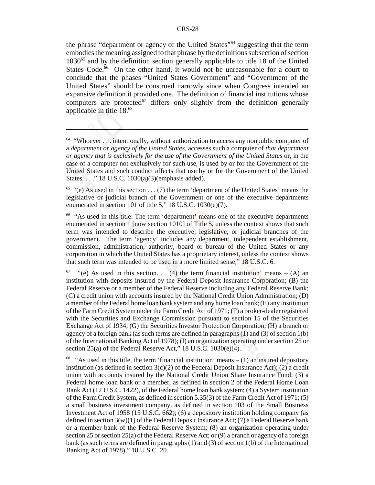the phrase "department or agency of the United States"<sup>64</sup> suggesting that the term embodies the meaning assigned to that phrase by the definitions subsection of section 103065 and by the definition section generally applicable to title 18 of the United States Code. $66$  On the other hand, it would not be unreasonable for a court to conclude that the phases "United States Government" and "Government of the United States" should be construed narrowly since when Congress intended an expansive definition it provided one. The definition of financial institutions whose computers are protected<sup>67</sup> differs only slightly from the definition generally applicable in title 18.68

 $65$  "(e) As used in this section . . . (7) the term 'department of the United States' means the legislative or judicial branch of the Government or one of the executive departments enumerated in section 101 of title 5," 18 U.S.C. 1030(e)(7).

66 "As used in this title: The term 'department' means one of the executive departments enumerated in section 1 [now section 1010] of Title 5, unless the context shows that such term was intended to describe the executive, legislative, or judicial branches of the government. The term 'agency' includes any department, independent establishment, commission, administration, authority, board or bureau of the United States or any corporation in which the United States has a proprietary interest, unless the context shows that such term was intended to be used in a more limited sense," 18 U.S.C. 6.

<sup>67</sup> "(e) As used in this section. . . (4) the term financial institution' means – (A) an institution with deposits insured by the Federal Deposit Insurance Corporation; (B) the Federal Reserve or a member of the Federal Reserve including any Federal Reserve Bank; (C) a credit union with accounts insured by the National Credit Union Administration; (D) a member of the Federal home loan bank system and any home loan bank; (E) any institution of the Farm Credit System under the Farm Credit Act of 1971; (F) a broker-dealer registered with the Securities and Exchange Commission pursuant to section 15 of the Securities Exchange Act of 1934; (G) the Securities Investor Protection Corporation; (H) a branch or agency of a foreign bank (as such terms are defined in paragraphs (1) and (3) of section 1(b) of the International Banking Act of 1978); (I) an organization operating under section 25 or section 25(a) of the Federal Reserve Act," 18 U.S.C. 1030(e)(4).

<sup>68</sup> "As used in this title, the term 'financial institution' means  $- (1)$  an insured depository institution (as defined in section  $3(c)(2)$  of the Federal Deposit Insurance Act); (2) a credit union with accounts insured by the National Credit Union Share Insurance Fund; (3) a Federal home loan bank or a member, as defined in section 2 of the Federal Home Loan Bank Act (12 U.S.C. 1422), of the Federal home loan bank system; (4) a System institution of the Farm Credit System, as defined in section 5.35(3) of the Farm Credit Act of 1971; (5) a small business investment company, as defined in section 103 of the Small Business Investment Act of 1958 (15 U.S.C. 662); (6) a depository institution holding company (as defined in section  $3(w)(1)$  of the Federal Deposit Insurance Act; (7) a Federal Reserve bank or a member bank of the Federal Reserve System; (8) an organization operating under section 25 or section 25(a) of the Federal Reserve Act; or  $(9)$  a branch or agency of a foreign bank (as such terms are defined in paragraphs (1) and (3) of section 1(b) of the International Banking Act of 1978)," 18 U.S.C. 20.

 $64$  "Whoever . . . intentionally, without authorization to access any nonpublic computer of a *department or agency of the United States*, accesses such a computer of *that department or agency that is exclusively for the use of the Government of the United States* or, in the case of a computer not exclusively for such use, is used by or for the Government of the United States and such conduct affects that use by or for the Government of the United States. . . ." 18 U.S.C. 1030(a)(3)(emphasis added).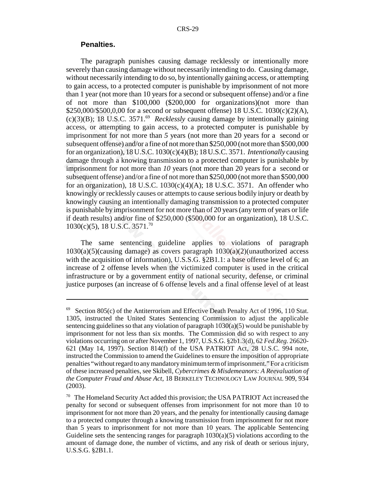#### **Penalties.**

The paragraph punishes causing damage recklessly or intentionally more severely than causing damage without necessarily intending to do. Causing damage, without necessarily intending to do so, by intentionally gaining access, or attempting to gain access, to a protected computer is punishable by imprisonment of not more than 1 year (not more than 10 years for a second or subsequent offense) and/or a fine of not more than \$100,000 (\$200,000 for organizations)(not more than  $$250,000$ /\$500,0,00 for a second or subsequent offense) 18 U.S.C. 1030(c)(2)(A),  $(c)(3)(B)$ ; 18 U.S.C. 3571.<sup>69</sup> *Recklessly* causing damage by intentionally gaining access, or attempting to gain access, to a protected computer is punishable by imprisonment for not more than *5* years (not more than 20 years for a second or subsequent offense) and/or a fine of not more than \$250,000 (not more than \$500,000 for an organization), 18 U.S.C. 1030(c)(4)(B); 18 U.S.C. 3571. *Intentionally* causing damage through a knowing transmission to a protected computer is punishable by imprisonment for not more than *10* years (not more than 20 years for a second or subsequent offense) and/or a fine of not more than \$250,000 (not more than \$500,000 for an organization), 18 U.S.C. 1030(c)(4)(A); 18 U.S.C. 3571. An offender who knowingly or recklessly causes or attempts to cause serious bodily injury or death by knowingly causing an intentionally damaging transmission to a protected computer is punishable by imprisonment for not more than of 20 years (any term of years or life if death results) and/or fine of \$250,000 (\$500,000 for an organization), 18 U.S.C. 1030(c)(5), 18 U.S.C. 3571.70

The same sentencing guideline applies to violations of paragraph  $1030(a)(5)(causing damage)$  as covers paragraph  $1030(a)(2)(unauthorized access)$ with the acquisition of information), U.S.S.G. §2B1.1: a base offense level of 6; an increase of 2 offense levels when the victimized computer is used in the critical infrastructure or by a government entity of national security, defense, or criminal justice purposes (an increase of 6 offense levels and a final offense level of at least

 $69$  Section 805(c) of the Antiterrorism and Effective Death Penalty Act of 1996, 110 Stat. 1305, instructed the United States Sentencing Commission to adjust the applicable sentencing guidelines so that any violation of paragraph  $1030(a)(5)$  would be punishable by imprisonment for not less than six months. The Commission did so with respect to any violations occurring on or after November 1, 1997, U.S.S.G. §2b1.3(d), 62 *Fed.Reg.* 26620- 621 (May 14, 1997). Section 814(f) of the USA PATRIOT Act, 28 U.S.C. 994 note, instructed the Commission to amend the Guidelines to ensure the imposition of appropriate penalties "without regard to any mandatory minimum term of imprisonment." For a criticism of these increased penalties, see Skibell, *Cybercrimes & Misdemeanors: A Reevaluation of the Computer Fraud and Abuse Act*, 18 BERKELEY TECHNOLOGY LAW JOURNAL 909, 934 (2003).

<sup>&</sup>lt;sup>70</sup> The Homeland Security Act added this provision; the USA PATRIOT Act increased the penalty for second or subsequent offenses from imprisonment for not more than 10 to imprisonment for not more than 20 years, and the penalty for intentionally causing damage to a protected computer through a knowing transmission from imprisonment for not more than 5 years to imprisonment for not more than 10 years. The applicable Sentencing Guideline sets the sentencing ranges for paragraph  $1030(a)(5)$  violations according to the amount of damage done, the number of victims, and any risk of death or serious injury, U.S.S.G. §2B1.1.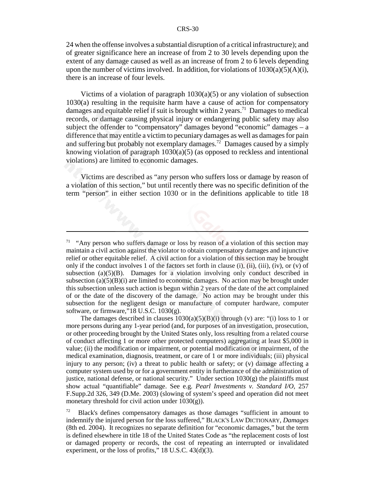#### CRS-30

24 when the offense involves a substantial disruption of a critical infrastructure); and of greater significance here an increase of from 2 to 30 levels depending upon the extent of any damage caused as well as an increase of from 2 to 6 levels depending upon the number of victims involved. In addition, for violations of  $1030(a)(5)(A)(i)$ , there is an increase of four levels.

Victims of a violation of paragraph 1030(a)(5) or any violation of subsection 1030(a) resulting in the requisite harm have a cause of action for compensatory damages and equitable relief if suit is brought within 2 years.<sup>71</sup> Damages to medical records, or damage causing physical injury or endangering public safety may also subject the offender to "compensatory" damages beyond "economic" damages – a difference that may entitle a victim to pecuniary damages as well as damages for pain and suffering but probably not exemplary damages.<sup>72</sup> Damages caused by a simply knowing violation of paragraph  $1030(a)(5)$  (as opposed to reckless and intentional violations) are limited to economic damages.

Victims are described as "any person who suffers loss or damage by reason of a violation of this section," but until recently there was no specific definition of the term "person" in either section 1030 or in the definitions applicable to title 18

The damages described in clauses  $1030(a)(5)(B)(i)$  through (v) are: "(i) loss to 1 or more persons during any 1-year period (and, for purposes of an investigation, prosecution, or other proceeding brought by the United States only, loss resulting from a related course of conduct affecting 1 or more other protected computers) aggregating at least \$5,000 in value; (ii) the modification or impairment, or potential modification or impairment, of the medical examination, diagnosis, treatment, or care of 1 or more individuals; (iii) physical injury to any person; (iv) a threat to public health or safety; or  $(v)$  damage affecting a computer system used by or for a government entity in furtherance of the administration of justice, national defense, or national security." Under section 1030(g) the plaintiffs must show actual "quantifiable" damage. See e.g. *Pearl Investments v. Standard I/O*, 257 F.Supp.2d 326, 349 (D.Me. 2003) (slowing of system's speed and operation did not meet monetary threshold for civil action under 1030(g)).

 $71$  "Any person who suffers damage or loss by reason of a violation of this section may maintain a civil action against the violator to obtain compensatory damages and injunctive relief or other equitable relief. A civil action for a violation of this section may be brought only if the conduct involves 1 of the factors set forth in clause  $(i)$ ,  $(ii)$ ,  $(iii)$ ,  $(iv)$ , or  $(v)$  of subsection (a) $(5)(B)$ . Damages for a violation involving only conduct described in subsection (a) $(5)(B)(i)$  are limited to economic damages. No action may be brought under this subsection unless such action is begun within 2 years of the date of the act complained of or the date of the discovery of the damage. No action may be brought under this subsection for the negligent design or manufacture of computer hardware, computer software, or firmware,"18 U.S.C. 1030(g).

 $72$  Black's defines compensatory damages as those damages "sufficient in amount to indemnify the injured person for the loss suffered," BLACK'S LAW DICTIONARY, *Damages* (8th ed. 2004). It recognizes no separate definition for "economic damages," but the term is defined elsewhere in title 18 of the United States Code as "the replacement costs of lost or damaged property or records, the cost of repeating an interrupted or invalidated experiment, or the loss of profits," 18 U.S.C. 43(d)(3).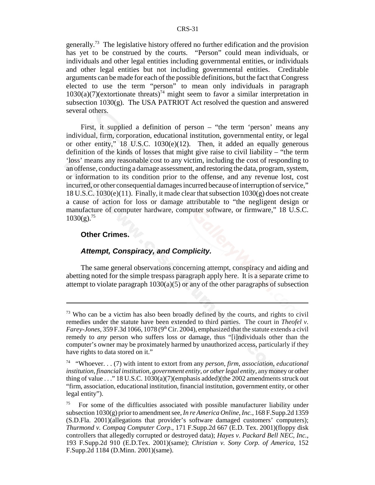generally.73 The legislative history offered no further edification and the provision has yet to be construed by the courts. "Person" could mean individuals, or individuals and other legal entities including governmental entities, or individuals and other legal entities but not including governmental entities. Creditable arguments can be made for each of the possible definitions, but the fact that Congress elected to use the term "person" to mean only individuals in paragraph  $1030(a)(7)$ (extortionate threats)<sup>74</sup> might seem to favor a similar interpretation in subsection  $1030(g)$ . The USA PATRIOT Act resolved the question and answered several others.

First, it supplied a definition of person – "the term 'person' means any individual, firm, corporation, educational institution, governmental entity, or legal or other entity," 18 U.S.C.  $1030(e)(12)$ . Then, it added an equally generous definition of the kinds of losses that might give raise to civil liability – "the term 'loss' means any reasonable cost to any victim, including the cost of responding to an offense, conducting a damage assessment, and restoring the data, program, system, or information to its condition prior to the offense, and any revenue lost, cost incurred, or other consequential damages incurred because of interruption of service," 18 U.S.C.  $1030(e)(11)$ . Finally, it made clear that subsection  $1030(e)$  does not create a cause of action for loss or damage attributable to "the negligent design or manufacture of computer hardware, computer software, or firmware," 18 U.S.C.  $1030(g).$ <sup>75</sup>

#### **Other Crimes.**

#### *Attempt, Conspiracy, and Complicity.*

The same general observations concerning attempt, conspiracy and aiding and abetting noted for the simple trespass paragraph apply here. It is a separate crime to attempt to violate paragraph  $1030(a)(5)$  or any of the other paragraphs of subsection

 $73$  Who can be a victim has also been broadly defined by the courts, and rights to civil remedies under the statute have been extended to third parties. The court in *Theofel v. Farey-Jones*, 359 F.3d 1066, 1078 (9<sup>th</sup> Cir. 2004), emphasized that the statute extends a civil remedy to *any* person who suffers loss or damage, thus "[i]ndividuals other than the computer's owner may be proximately harmed by unauthorized access, particularly if they have rights to data stored on it."

<sup>74 &</sup>quot;Whoever. . . (7) with intent to extort from any *person, firm, association, educational institution, financial institution, government entity, or other legal entity*, any money or other thing of value  $\ldots$ ." 18 U.S.C. 1030(a)(7)(emphasis added)(the 2002 amendments struck out "firm, association, educational institution, financial institution, government entity, or other legal entity").

 $75$  For some of the difficulties associated with possible manufacturer liability under subsection 1030(g) prior to amendment see, *In re America Online, Inc.*, 168 F.Supp.2d 1359 (S.D.Fla. 2001)(allegations that provider's software damaged customers' computers); *Thurmond v. Compaq Computer Corp.*, 171 F.Supp.2d 667 (E.D. Tex. 2001)(floppy disk controllers that allegedly corrupted or destroyed data); *Hayes v. Packard Bell NEC, Inc.*, 193 F.Supp.2d 910 (E.D.Tex. 2001)(same); *Christian v. Sony Corp. of America*, 152 F.Supp.2d 1184 (D.Minn. 2001)(same).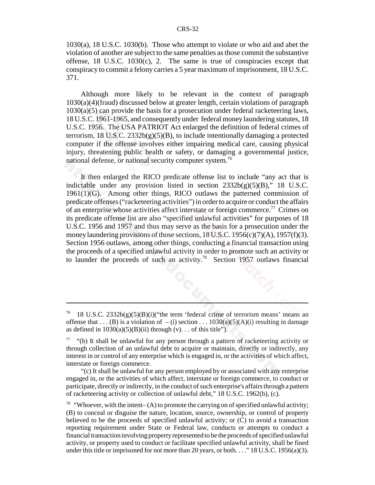1030(a), 18 U.S.C. 1030(b). Those who attempt to violate or who aid and abet the violation of another are subject to the same penalties as those commit the substantive offense, 18 U.S.C. 1030(c), 2. The same is true of conspiracies except that conspiracy to commit a felony carries a 5 year maximum of imprisonment, 18 U.S.C. 371.

Although more likely to be relevant in the context of paragraph 1030(a)(4)(fraud) discussed below at greater length, certain violations of paragraph  $1030(a)(5)$  can provide the basis for a prosecution under federal racketeering laws, 18 U.S.C. 1961-1965, and consequently under federal money laundering statutes, 18 U.S.C. 1956. The USA PATRIOT Act enlarged the definition of federal crimes of terrorism, 18 U.S.C.  $2332b(g)(5)(B)$ , to include intentionally damaging a protected computer if the offense involves either impairing medical care, causing physical injury, threatening public health or safety, or damaging a governmental justice, national defense, or national security computer system.76

It then enlarged the RICO predicate offense list to include "any act that is indictable under any provision listed in section  $2332b(g)(5)(B)$ ," 18 U.S.C. 1961(1)(G). Among other things, RICO outlaws the patterned commission of predicate offenses ("racketeering activities") in order to acquire or conduct the affairs of an enterprise whose activities affect interstate or foreign commerce.<sup>77</sup> Crimes on its predicate offense list are also "specified unlawful activities" for purposes of 18 U.S.C. 1956 and 1957 and thus may serve as the basis for a prosecution under the money laundering provisions of those sections,  $18 \text{ U.S.C. } 1956(c)(7)(\text{A})$ ,  $1957(f)(3)$ . Section 1956 outlaws, among other things, conducting a financial transaction using the proceeds of a specified unlawful activity in order to promote such an activity or to launder the proceeds of such an activity.<sup>78</sup> Section 1957 outlaws financial

<sup>18</sup> U.S.C.  $2332b(g)(5)(B)(i)$ ("the term 'federal crime of terrorism means' means an offense that . . . (B) is a violation of – (i) section . . .  $1030(a)(5)(A)(i)$  resulting in damage as defined in  $1030(a)(5)(B)(ii)$  through (v)... of this title").

 $77$  "(b) It shall be unlawful for any person through a pattern of racketeering activity or through collection of an unlawful debt to acquire or maintain, directly or indirectly, any interest in or control of any enterprise which is engaged in, or the activities of which affect, interstate or foreign commerce.

<sup>&</sup>quot;(c) It shall be unlawful for any person employed by or associated with any enterprise engaged in, or the activities of which affect, interstate or foreign commerce, to conduct or participate, directly or indirectly, in the conduct of such enterprise's affairs through a pattern of racketeering activity or collection of unlawful debt," 18 U.S.C. 1962(b), (c).

<sup>&</sup>lt;sup>78</sup> "Whoever, with the intent– (A) to promote the carrying on of specified unlawful activity; (B) to conceal or disguise the nature, location, source, ownership, or control of property believed to be the proceeds of specified unlawful activity; or (C) to avoid a transaction reporting requirement under State or Federal law, conducts or attempts to conduct a financial transaction involving property represented to be the proceeds of specified unlawful activity, or property used to conduct or facilitate specified unlawful activity, shall be fined under this title or imprisoned for not more than 20 years, or both...." 18 U.S.C. 1956(a)(3).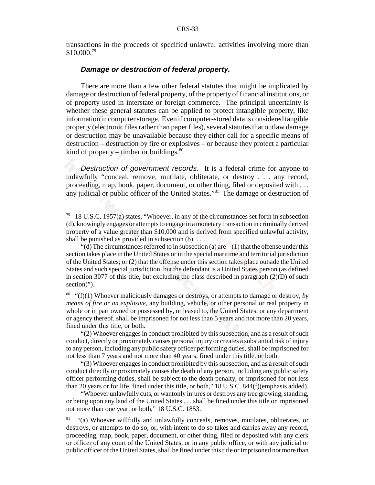transactions in the proceeds of specified unlawful activities involving more than \$10,000.79

# *Damage or destruction of federal property.*

There are more than a few other federal statutes that might be implicated by damage or destruction of federal property, of the property of financial institutions, or of property used in interstate or foreign commerce. The principal uncertainty is whether these general statutes can be applied to protect intangible property, like information in computer storage. Even if computer-stored data is considered tangible property (electronic files rather than paper files), several statutes that outlaw damage or destruction may be unavailable because they either call for a specific means of destruction – destruction by fire or explosives – or because they protect a particular kind of property – timber or buildings. $80$ 

*Destruction of government records.* It is a federal crime for anyone to unlawfully "conceal, remove, mutilate, obliterate, or destroy . . . any record, proceeding, map, book, paper, document, or other thing, filed or deposited with . . . any judicial or public officer of the United States."81 The damage or destruction of

"(d) The circumstances referred to in subsection (a) are  $-(1)$  that the offense under this section takes place in the United States or in the special maritime and territorial jurisdiction of the United States; or (2) that the offense under this section takes place outside the United States and such special jurisdiction, but the defendant is a United States person (as defined in section 3077 of this title, but excluding the class described in paragraph  $(2)(D)$  of such section)").

80 "(f)(1) Whoever maliciously damages or destroys, or attempts to damage or destroy, *by means of fire or an explosive*, any building, vehicle, or other personal or real property in whole or in part owned or possessed by, or leased to, the United States, or any department or agency thereof, shall be imprisoned for not less than 5 years and not more than 20 years, fined under this title, or both.

"(2) Whoever engages in conduct prohibited by this subsection, and as a result of such conduct, directly or proximately causes personal injury or creates a substantial risk of injury to any person, including any public safety officer performing duties, shall be imprisoned for not less than 7 years and not more than 40 years, fined under this title, or both.

"(3) Whoever engages in conduct prohibited by this subsection, and as a result of such conduct directly or proximately causes the death of any person, including any public safety officer performing duties, shall be subject to the death penalty, or imprisoned for not less than 20 years or for life, fined under this title, or both," 18 U.S.C. 844(f)(emphasis added).

"Whoever unlawfully cuts, or wantonly injures or destroys any tree growing, standing, or being upon any land of the United States . . . shall be fined under this title or imprisoned not more than one year, or both," 18 U.S.C. 1853.

<sup>81</sup> "(a) Whoever willfully and unlawfully conceals, removes, mutilates, obliterates, or destroys, or attempts to do so, or, with intent to do so takes and carries away any record, proceeding, map, book, paper, document, or other thing, filed or deposited with any clerk or officer of any court of the United States, or in any public office, or with any judicial or public officer of the United States, shall be fined under this title or imprisoned not more than

 $79$  18 U.S.C. 1957(a) states, "Whoever, in any of the circumstances set forth in subsection (d), knowingly engages or attempts to engage in a monetary transaction in criminally derived property of a value greater than \$10,000 and is derived from specified unlawful activity, shall be punished as provided in subsection (b). . . .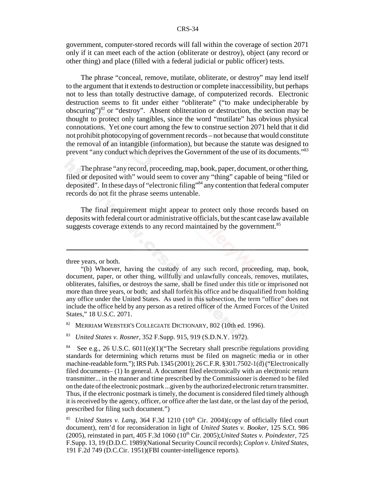government, computer-stored records will fall within the coverage of section 2071 only if it can meet each of the action (obliterate or destroy), object (any record or other thing) and place (filled with a federal judicial or public officer) tests.

The phrase "conceal, remove, mutilate, obliterate, or destroy" may lend itself to the argument that it extends to destruction or complete inaccessibility, but perhaps not to less than totally destructive damage, of computerized records. Electronic destruction seems to fit under either "obliterate" ("to make undecipherable by obscuring")<sup>82</sup> or "destroy". Absent obliteration or destruction, the section may be thought to protect only tangibles, since the word "mutilate" has obvious physical connotations. Yet one court among the few to construe section 2071 held that it did not prohibit photocopying of government records – not because that would constitute the removal of an intangible (information), but because the statute was designed to prevent "any conduct which deprives the Government of the use of its documents."83

The phrase "any record, proceeding, map, book, paper, document, or other thing, filed or deposited with" would seem to cover any "thing" capable of being "filed or deposited". In these days of "electronic filing"84 any contention that federal computer records do not fit the phrase seems untenable.

The final requirement might appear to protect only those records based on deposits with federal court or administrative officials, but the scant case law available suggests coverage extends to any record maintained by the government.<sup>85</sup>

three years, or both.

82 MERRIAM WEBSTER'S COLLEGIATE DICTIONARY, 802 (10th ed. 1996).

83 *United States v. Rosner*, 352 F.Supp. 915, 919 (S.D.N.Y. 1972).

<sup>84</sup> See e.g., 26 U.S.C.  $6011(e)(1)$  ("The Secretary shall prescribe regulations providing standards for determining which returns must be filed on magnetic media or in other machine-readable form."); IRS Pub. 1345 (2001); 26 C.F.R. §301.7502-1(d) ("Electronically filed documents– (1) In general. A document filed electronically with an electronic return transmitter... in the manner and time prescribed by the Commissioner is deemed to be filed on the date of the electronic postmark ...given by the authorized electronic return transmitter. Thus, if the electronic postmark is timely, the document is considered filed timely although it is received by the agency, officer, or office after the last date, or the last day of the period, prescribed for filing such document.")

<sup>&</sup>quot;(b) Whoever, having the custody of any such record, proceeding, map, book, document, paper, or other thing, willfully and unlawfully conceals, removes, mutilates, obliterates, falsifies, or destroys the same, shall be fined under this title or imprisoned not more than three years, or both; and shall forfeit his office and be disqualified from holding any office under the United States. As used in this subsection, the term "office" does not include the office held by any person as a retired officer of the Armed Forces of the United States," 18 U.S.C. 2071.

<sup>&</sup>lt;sup>85</sup> *United States v. Lang*, 364 F.3d 1210 (10<sup>th</sup> Cir. 2004)(copy of officially filed court document), rem'd for reconsideration in light of *United States v. Booker*, 125 S.Ct. 986 (2005), reinstated in part,  $405$  F.3d  $1060$  ( $10<sup>th</sup>$  Cir. 2005);*United States v. Poindexter*, 725 F.Supp. 13, 19 (D.D.C. 1989)(National Security Council records); *Coplon v. United States*, 191 F.2d 749 (D.C.Cir. 1951)(FBI counter-intelligence reports).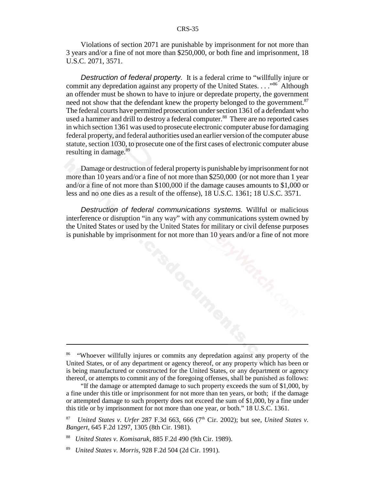Violations of section 2071 are punishable by imprisonment for not more than 3 years and/or a fine of not more than \$250,000, or both fine and imprisonment, 18 U.S.C. 2071, 3571.

*Destruction of federal property.* It is a federal crime to "willfully injure or commit any depredation against any property of the United States. . . .<sup>"86"</sup> Although an offender must be shown to have to injure or depredate property, the government need not show that the defendant knew the property belonged to the government.<sup>87</sup> The federal courts have permitted prosecution under section 1361 of a defendant who used a hammer and drill to destroy a federal computer.<sup>88</sup> There are no reported cases in which section 1361 was used to prosecute electronic computer abuse for damaging federal property, and federal authorities used an earlier version of the computer abuse statute, section 1030, to prosecute one of the first cases of electronic computer abuse resulting in damage.<sup>89</sup>

Damage or destruction of federal property is punishable by imprisonment for not more than 10 years and/or a fine of not more than \$250,000 (or not more than 1 year and/or a fine of not more than \$100,000 if the damage causes amounts to \$1,000 or less and no one dies as a result of the offense), 18 U.S.C. 1361; 18 U.S.C. 3571.

*Destruction of federal communications systems.* Willful or malicious interference or disruption "in any way" with any communications system owned by the United States or used by the United States for military or civil defense purposes is punishable by imprisonment for not more than 10 years and/or a fine of not more

<sup>&</sup>lt;sup>86</sup> "Whoever willfully injures or commits any depredation against any property of the United States, or of any department or agency thereof, or any property which has been or is being manufactured or constructed for the United States, or any department or agency thereof, or attempts to commit any of the foregoing offenses, shall be punished as follows:

<sup>&</sup>quot;If the damage or attempted damage to such property exceeds the sum of \$1,000, by a fine under this title or imprisonment for not more than ten years, or both; if the damage or attempted damage to such property does not exceed the sum of \$1,000, by a fine under this title or by imprisonment for not more than one year, or both." 18 U.S.C. 1361.

<sup>&</sup>lt;sup>87</sup> *United States v. Urfer* 287 F.3d 663, 666 ( $7<sup>th</sup>$  Cir. 2002); but see, *United States v. Bangert*, 645 F.2d 1297, 1305 (8th Cir. 1981).

<sup>88</sup> *United States v. Komisaruk*, 885 F.2d 490 (9th Cir. 1989).

<sup>89</sup> *United States v. Morris*, 928 F.2d 504 (2d Cir. 1991).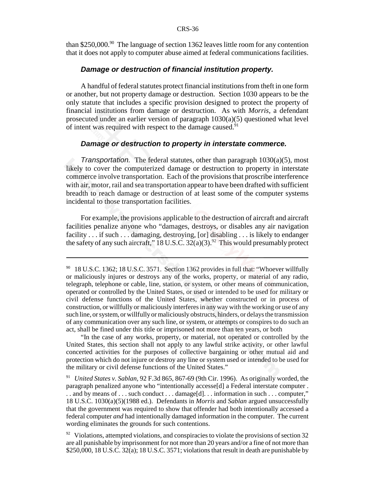than \$250,000.<sup>90</sup> The language of section 1362 leaves little room for any contention that it does not apply to computer abuse aimed at federal communications facilities.

# *Damage or destruction of financial institution property.*

A handful of federal statutes protect financial institutions from theft in one form or another, but not property damage or destruction. Section 1030 appears to be the only statute that includes a specific provision designed to protect the property of financial institutions from damage or destruction. As with *Morris*, a defendant prosecuted under an earlier version of paragraph 1030(a)(5) questioned what level of intent was required with respect to the damage caused.<sup>91</sup>

# *Damage or destruction to property in interstate commerce.*

*Transportation.* The federal statutes, other than paragraph 1030(a)(5), most likely to cover the computerized damage or destruction to property in interstate commerce involve transportation. Each of the provisions that proscribe interference with air, motor, rail and sea transportation appear to have been drafted with sufficient breadth to reach damage or destruction of at least some of the computer systems incidental to those transportation facilities.

For example, the provisions applicable to the destruction of aircraft and aircraft facilities penalize anyone who "damages, destroys, or disables any air navigation facility . . . if such . . . damaging, destroying, [or] disabling . . . is likely to endanger the safety of any such aircraft," 18 U.S.C.  $32(a)(3)$ .<sup>92</sup> This would presumably protect

"In the case of any works, property, or material, not operated or controlled by the United States, this section shall not apply to any lawful strike activity, or other lawful concerted activities for the purposes of collective bargaining or other mutual aid and protection which do not injure or destroy any line or system used or intended to be used for the military or civil defense functions of the United States."

 $90\quad18$  U.S.C. 1362; 18 U.S.C. 3571. Section 1362 provides in full that: "Whoever willfully or maliciously injures or destroys any of the works, property, or material of any radio, telegraph, telephone or cable, line, station, or system, or other means of communication, operated or controlled by the United States, or used or intended to be used for military or civil defense functions of the United States, whether constructed or in process of construction, or willfully or maliciously interferes in any way with the working or use of any such line, or system, or willfully or maliciously obstructs, hinders, or delays the transmission of any communication over any such line, or system, or attempts or conspires to do such an act, shall be fined under this title or imprisoned not more than ten years, or both

<sup>91</sup> *United States v. Sablan*, 92 F.3d 865, 867-69 (9th Cir. 1996). As originally worded, the paragraph penalized anyone who "intentionally accesse[d] a Federal interstate computer . . . and by means of . . . such conduct . . . damage[d]. . . information in such . . . computer," 18 U.S.C. 1030(a)(5)(1988 ed.). Defendants in *Morris* and *Sablan* argued unsuccessfully that the government was required to show that offender had both intentionally accessed a federal computer *and* had intentionally damaged information in the computer. The current wording eliminates the grounds for such contentions.

 $92$  Violations, attempted violations, and conspiracies to violate the provisions of section 32 are all punishable by imprisonment for not more than 20 years and/or a fine of not more than \$250,000, 18 U.S.C. 32(a); 18 U.S.C. 3571; violations that result in death are punishable by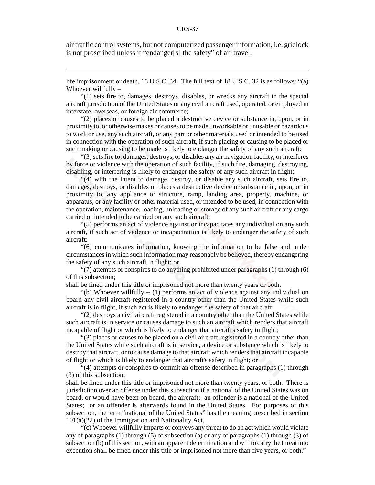air traffic control systems, but not computerized passenger information, i.e. gridlock is not proscribed unless it "endanger[s] the safety" of air travel.

life imprisonment or death, 18 U.S.C. 34. The full text of 18 U.S.C. 32 is as follows: "(a) Whoever willfully –

"(1) sets fire to, damages, destroys, disables, or wrecks any aircraft in the special aircraft jurisdiction of the United States or any civil aircraft used, operated, or employed in interstate, overseas, or foreign air commerce;

"(2) places or causes to be placed a destructive device or substance in, upon, or in proximity to, or otherwise makes or causes to be made unworkable or unusable or hazardous to work or use, any such aircraft, or any part or other materials used or intended to be used in connection with the operation of such aircraft, if such placing or causing to be placed or such making or causing to be made is likely to endanger the safety of any such aircraft;

"(3) sets fire to, damages, destroys, or disables any air navigation facility, or interferes by force or violence with the operation of such facility, if such fire, damaging, destroying, disabling, or interfering is likely to endanger the safety of any such aircraft in flight;

"(4) with the intent to damage, destroy, or disable any such aircraft, sets fire to, damages, destroys, or disables or places a destructive device or substance in, upon, or in proximity to, any appliance or structure, ramp, landing area, property, machine, or apparatus, or any facility or other material used, or intended to be used, in connection with the operation, maintenance, loading, unloading or storage of any such aircraft or any cargo carried or intended to be carried on any such aircraft;

"(5) performs an act of violence against or incapacitates any individual on any such aircraft, if such act of violence or incapacitation is likely to endanger the safety of such aircraft;

"(6) communicates information, knowing the information to be false and under circumstances in which such information may reasonably be believed, thereby endangering the safety of any such aircraft in flight; or

"(7) attempts or conspires to do anything prohibited under paragraphs (1) through (6) of this subsection;

shall be fined under this title or imprisoned not more than twenty years or both.

"(b) Whoever willfully -- (1) performs an act of violence against any individual on board any civil aircraft registered in a country other than the United States while such aircraft is in flight, if such act is likely to endanger the safety of that aircraft;

"(2) destroys a civil aircraft registered in a country other than the United States while such aircraft is in service or causes damage to such an aircraft which renders that aircraft incapable of flight or which is likely to endanger that aircraft's safety in flight;

"(3) places or causes to be placed on a civil aircraft registered in a country other than the United States while such aircraft is in service, a device or substance which is likely to destroy that aircraft, or to cause damage to that aircraft which renders that aircraft incapable of flight or which is likely to endanger that aircraft's safety in flight; or

"(4) attempts or conspires to commit an offense described in paragraphs (1) through (3) of this subsection;

shall be fined under this title or imprisoned not more than twenty years, or both. There is jurisdiction over an offense under this subsection if a national of the United States was on board, or would have been on board, the aircraft; an offender is a national of the United States; or an offender is afterwards found in the United States. For purposes of this subsection, the term "national of the United States" has the meaning prescribed in section 101(a)(22) of the Immigration and Nationality Act.

"(c) Whoever willfully imparts or conveys any threat to do an act which would violate any of paragraphs (1) through (5) of subsection (a) or any of paragraphs (1) through (3) of subsection (b) of this section, with an apparent determination and will to carry the threat into execution shall be fined under this title or imprisoned not more than five years, or both."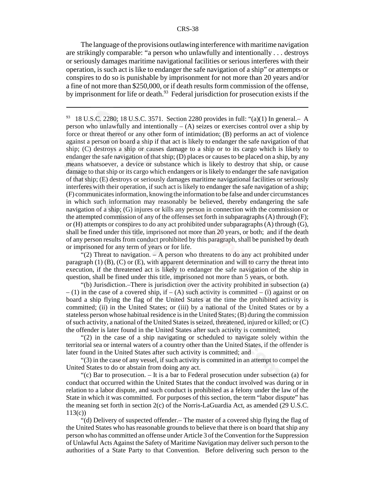The language of the provisions outlawing interference with maritime navigation are strikingly comparable: "a person who unlawfully and intentionally . . . destroys or seriously damages maritime navigational facilities or serious interferes with their operation, is such act is like to endanger the safe navigation of a ship" or attempts or conspires to do so is punishable by imprisonment for not more than 20 years and/or a fine of not more than \$250,000, or if death results form commission of the offense, by imprisonment for life or death. $93$  Federal jurisdiction for prosecution exists if the

 $\degree$ (2) Threat to navigation.  $-$  A person who threatens to do any act prohibited under paragraph  $(1)$  (B), (C) or (E), with apparent determination and will to carry the threat into execution, if the threatened act is likely to endanger the safe navigation of the ship in question, shall be fined under this title, imprisoned not more than 5 years, or both.

"(b) Jurisdiction.–There is jurisdiction over the activity prohibited in subsection (a)  $- (1)$  in the case of a covered ship, if  $- (A)$  such activity is committed  $- (i)$  against or on board a ship flying the flag of the United States at the time the prohibited activity is committed; (ii) in the United States; or (iii) by a national of the United States or by a stateless person whose habitual residence is in the United States; (B) during the commission of such activity, a national of the United States is seized, threatened, injured or killed; or (C) the offender is later found in the United States after such activity is committed;

"(2) in the case of a ship navigating or scheduled to navigate solely within the territorial sea or internal waters of a country other than the United States, if the offender is later found in the United States after such activity is committed; and

"(3) in the case of any vessel, if such activity is committed in an attempt to compel the United States to do or abstain from doing any act.

"(c) Bar to prosecution. – It is a bar to Federal prosecution under subsection (a) for conduct that occurred within the United States that the conduct involved was during or in relation to a labor dispute, and such conduct is prohibited as a felony under the law of the State in which it was committed. For purposes of this section, the term "labor dispute" has the meaning set forth in section 2(c) of the Norris-LaGuardia Act, as amended (29 U.S.C. 113(c))

"(d) Delivery of suspected offender.– The master of a covered ship flying the flag of the United States who has reasonable grounds to believe that there is on board that ship any person who has committed an offense under Article 3 of the Convention for the Suppression of Unlawful Acts Against the Safety of Maritime Navigation may deliver such person to the authorities of a State Party to that Convention. Before delivering such person to the

<sup>93 18</sup> U.S.C. 2280; 18 U.S.C. 3571. Section 2280 provides in full: "(a)(1) In general.– A person who unlawfully and intentionally  $- (A)$  seizes or exercises control over a ship by force or threat thereof or any other form of intimidation; (B) performs an act of violence against a person on board a ship if that act is likely to endanger the safe navigation of that ship; (C) destroys a ship or causes damage to a ship or to its cargo which is likely to endanger the safe navigation of that ship; (D) places or causes to be placed on a ship, by any means whatsoever, a device or substance which is likely to destroy that ship, or cause damage to that ship or its cargo which endangers or is likely to endanger the safe navigation of that ship; (E) destroys or seriously damages maritime navigational facilities or seriously interferes with their operation, if such act is likely to endanger the safe navigation of a ship; (F) communicates information, knowing the information to be false and under circumstances in which such information may reasonably be believed, thereby endangering the safe navigation of a ship; (G) injures or kills any person in connection with the commission or the attempted commission of any of the offenses set forth in subparagraphs  $(A)$  through  $(F)$ ; or (H) attempts or conspires to do any act prohibited under subparagraphs (A) through (G), shall be fined under this title, imprisoned not more than 20 years, or both; and if the death of any person results from conduct prohibited by this paragraph, shall be punished by death or imprisoned for any term of years or for life.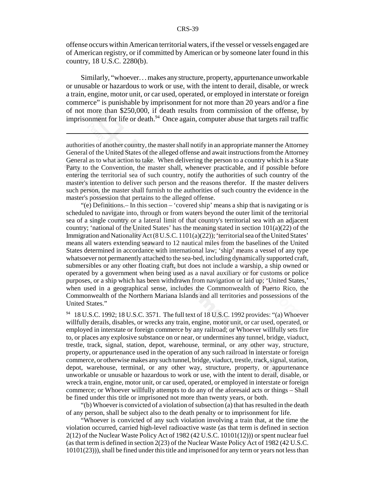offense occurs within American territorial waters, if the vessel or vessels engaged are of American registry, or if committed by American or by someone later found in this country, 18 U.S.C. 2280(b).

Similarly, "whoever. . . makes any structure, property, appurtenance unworkable or unusable or hazardous to work or use, with the intent to derail, disable, or wreck a train, engine, motor unit, or car used, operated, or employed in interstate or foreign commerce" is punishable by imprisonment for not more than 20 years and/or a fine of not more than \$250,000, if death results from commission of the offense, by imprisonment for life or death.<sup>94</sup> Once again, computer abuse that targets rail traffic

authorities of another country, the master shall notify in an appropriate manner the Attorney General of the United States of the alleged offense and await instructions from the Attorney General as to what action to take. When delivering the person to a country which is a State Party to the Convention, the master shall, whenever practicable, and if possible before entering the territorial sea of such country, notify the authorities of such country of the master's intention to deliver such person and the reasons therefor. If the master delivers such person, the master shall furnish to the authorities of such country the evidence in the master's possession that pertains to the alleged offense.

"(e) Definitions.– In this section – 'covered ship' means a ship that is navigating or is scheduled to navigate into, through or from waters beyond the outer limit of the territorial sea of a single country or a lateral limit of that country's territorial sea with an adjacent country; 'national of the United States' has the meaning stated in section  $101(a)(22)$  of the Immigration and Nationality Act (8 U.S.C. 1101(a)(22)); 'territorial sea of the United States' means all waters extending seaward to 12 nautical miles from the baselines of the United States determined in accordance with international law; 'ship' means a vessel of any type whatsoever not permanently attached to the sea-bed, including dynamically supported craft, submersibles or any other floating craft, but does not include a warship, a ship owned or operated by a government when being used as a naval auxiliary or for customs or police purposes, or a ship which has been withdrawn from navigation or laid up; 'United States,' when used in a geographical sense, includes the Commonwealth of Puerto Rico, the Commonwealth of the Northern Mariana Islands and all territories and possessions of the United States."

<sup>94</sup> 18 U.S.C. 1992; 18 U.S.C. 3571. The full text of 18 U.S.C. 1992 provides: "(a) Whoever willfully derails, disables, or wrecks any train, engine, motor unit, or car used, operated, or employed in interstate or foreign commerce by any railroad; or Whoever willfully sets fire to, or places any explosive substance on or near, or undermines any tunnel, bridge, viaduct, trestle, track, signal, station, depot, warehouse, terminal, or any other way, structure, property, or appurtenance used in the operation of any such railroad in interstate or foreign commerce, or otherwise makes any such tunnel, bridge, viaduct, trestle, track, signal, station, depot, warehouse, terminal, or any other way, structure, property, or appurtenance unworkable or unusable or hazardous to work or use, with the intent to derail, disable, or wreck a train, engine, motor unit, or car used, operated, or employed in interstate or foreign commerce; or Whoever willfully attempts to do any of the aforesaid acts or things – Shall be fined under this title or imprisoned not more than twenty years, or both.

"(b) Whoever is convicted of a violation of subsection (a) that has resulted in the death of any person, shall be subject also to the death penalty or to imprisonment for life.

"Whoever is convicted of any such violation involving a train that, at the time the violation occurred, carried high-level radioactive waste (as that term is defined in section 2(12) of the Nuclear Waste Policy Act of 1982 (42 U.S.C. 10101(12))) or spent nuclear fuel (as that term is defined in section 2(23) of the Nuclear Waste Policy Act of 1982 (42 U.S.C. 10101(23))), shall be fined under this title and imprisoned for any term or years not less than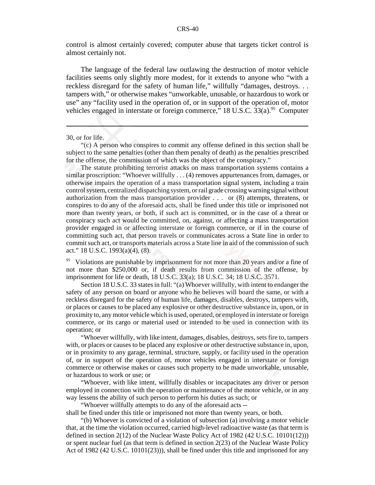control is almost certainly covered; computer abuse that targets ticket control is almost certainly not.

The language of the federal law outlawing the destruction of motor vehicle facilities seems only slightly more modest, for it extends to anyone who "with a reckless disregard for the safety of human life," willfully "damages, destroys. . . tampers with," or otherwise makes "unworkable, unusable, or hazardous to work or use" any "facility used in the operation of, or in support of the operation of, motor vehicles engaged in interstate or foreign commerce,"  $18$  U.S.C.  $33(a)$ .<sup>95</sup> Computer

#### 30, or for life.

"(c) A person who conspires to commit any offense defined in this section shall be subject to the same penalties (other than them penalty of death) as the penalties prescribed for the offense, the commission of which was the object of the conspiracy."

The statute prohibiting terrorist attacks on mass transportation systems contains a similar proscription: "Whoever willfully . . . (4) removes appurtenances from, damages, or otherwise impairs the operation of a mass transportation signal system, including a train control system, centralized dispatching system, or rail grade crossing warning signal without authorization from the mass transportation provider . . . or (8) attempts, threatens, or conspires to do any of the aforesaid acts, shall be fined under this title or imprisoned not more than twenty years, or both, if such act is committed, or in the case of a threat or conspiracy such act would be committed, on, against, or affecting a mass transportation provider engaged in or affecting interstate or foreign commerce, or if in the course of committing such act, that person travels or communicates across a State line in order to commit such act, or transports materials across a State line in aid of the commission of such act." 18 U.S.C. 1993(a)(4), (8).

<sup>95</sup> Violations are punishable by imprisonment for not more than 20 years and/or a fine of not more than \$250,000 or, if death results from commission of the offense, by imprisonment for life or death, 18 U.S.C. 33(a); 18 U.S.C. 34; 18 U.S.C. 3571.

Section 18 U.S.C. 33 states in full: "(a) Whoever willfully, with intent to endanger the safety of any person on board or anyone who he believes will board the same, or with a reckless disregard for the safety of human life, damages, disables, destroys, tampers with, or places or causes to be placed any explosive or other destructive substance in, upon, or in proximity to, any motor vehicle which is used, operated, or employed in interstate or foreign commerce, or its cargo or material used or intended to be used in connection with its operation; or

"Whoever willfully, with like intent, damages, disables, destroys, sets fire to, tampers with, or places or causes to be placed any explosive or other destructive substance in, upon, or in proximity to any garage, terminal, structure, supply, or facility used in the operation of, or in support of the operation of, motor vehicles engaged in interstate or foreign commerce or otherwise makes or causes such property to be made unworkable, unusable, or hazardous to work or use; or

"Whoever, with like intent, willfully disables or incapacitates any driver or person employed in connection with the operation or maintenance of the motor vehicle, or in any way lessens the ability of such person to perform his duties as such; or

"Whoever willfully attempts to do any of the aforesaid acts --

shall be fined under this title or imprisoned not more than twenty years, or both.

"(b) Whoever is convicted of a violation of subsection (a) involving a motor vehicle that, at the time the violation occurred, carried high-level radioactive waste (as that term is defined in section 2(12) of the Nuclear Waste Policy Act of 1982 (42 U.S.C. 10101(12))) or spent nuclear fuel (as that term is defined in section 2(23) of the Nuclear Waste Policy Act of 1982 (42 U.S.C. 10101(23))), shall be fined under this title and imprisoned for any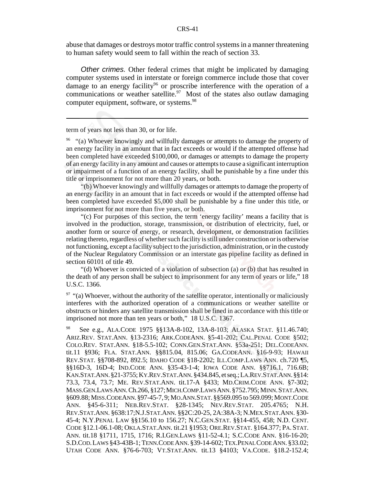abuse that damages or destroys motor traffic control systems in a manner threatening to human safety would seem to fall within the reach of section 33.

*Other crimes.* Other federal crimes that might be implicated by damaging computer systems used in interstate or foreign commerce include those that cover damage to an energy facility<sup>96</sup> or proscribe interference with the operation of a communications or weather satellite.<sup>97</sup> Most of the states also outlaw damaging computer equipment, software, or systems.<sup>98</sup>

term of years not less than 30, or for life.

<sup>96</sup> "(a) Whoever knowingly and willfully damages or attempts to damage the property of an energy facility in an amount that in fact exceeds or would if the attempted offense had been completed have exceeded \$100,000, or damages or attempts to damage the property of an energy facility in any amount and causes or attempts to cause a significant interruption or impairment of a function of an energy facility, shall be punishable by a fine under this title or imprisonment for not more than 20 years, or both.

"(b) Whoever knowingly and willfully damages or attempts to damage the property of an energy facility in an amount that in fact exceeds or would if the attempted offense had been completed have exceeded \$5,000 shall be punishable by a fine under this title, or imprisonment for not more than five years, or both.

"(c) For purposes of this section, the term 'energy facility' means a facility that is involved in the production, storage, transmission, or distribution of electricity, fuel, or another form or source of energy, or research, development, or demonstration facilities relating thereto, regardless of whether such facility is still under construction or is otherwise not functioning, except a facility subject to the jurisdiction, administration, or in the custody of the Nuclear Regulatory Commission or an interstate gas pipeline facility as defined in section 60101 of title 49.

"(d) Whoever is convicted of a violation of subsection (a) or (b) that has resulted in the death of any person shall be subject to imprisonment for any term of years or life," 18 U.S.C. 1366.

 $97$  "(a) Whoever, without the authority of the satellite operator, intentionally or maliciously interferes with the authorized operation of a communications or weather satellite or obstructs or hinders any satellite transmission shall be fined in accordance with this title or imprisoned not more than ten years or both," 18 U.S.C. 1367.

98 See e.g., ALA.CODE 1975 §§13A-8-102, 13A-8-103; ALASKA STAT. §11.46.740; ARIZ.REV. STAT.ANN. §13-2316; ARK.CODEANN. §5-41-202; CAL.PENAL CODE §502; COLO.REV. STAT.ANN. §18-5.5-102; CONN.GEN.STAT.ANN. §53a-251; DEL.CODEANN. tit.11 §936; FLA. STAT.ANN. §§815.04, 815.06; GA.CODEANN. §16-9-93; HAWAII REV.STAT. §§708-892, 892.5; IDAHO CODE §18-2202; ILL.COMP.LAWS ANN. ch.720 ¶5, §§16D-3, 16D-4; IND.CODE ANN. §35-43-1-4; IOWA CODE ANN. §§716.1, 716.6B; KAN.STAT.ANN. §21-3755; KY.REV.STAT.ANN. §434.845, et seq.; LA.REV.STAT.ANN. §§14: 73.3, 73.4, 73.7; ME. REV.STAT.ANN. tit.17-A §433; MD.CRIM.CODE ANN. §7-302; MASS.GEN.LAWS ANN. Ch.266, §127;MICH.COMP.LAWS ANN. §752.795; MINN.STAT.ANN. §609.88; MISS.CODEANN. §97-45-7, 9; MO.ANN.STAT. §§569.095 to 569.099; MONT.CODE ANN. §45-6-311; NEB.REV.STAT. §28-1345; NEV.REV.STAT. 205.4765; N.H. REV.STAT.ANN. §638:17;N.J.STAT.ANN. §§2C:20-25, 2A:38A-3; N.MEX.STAT.ANN. §30- 45-4; N.Y.PENAL LAW §§156.10 to 156.27; N.C.GEN.STAT. §§14-455, 458; N.D. CENT. CODE §12.1-06.1-08; OKLA.STAT.ANN. tit.21 §1953; ORE.REV.STAT. §164.377; PA. STAT. ANN. tit.18 §1711, 1715, 1716; R.I.GEN.LAWS §11-52-4.1; S.C.CODE ANN. §16-16-20; S.D.COD.LAWS §43-43B-1; TENN.CODE ANN. §39-14-602; TEX.PENAL CODE ANN. §33.02; UTAH CODE ANN. §76-6-703; VT.STAT.ANN. tit.13 §4103; VA.CODE. §18.2-152.4;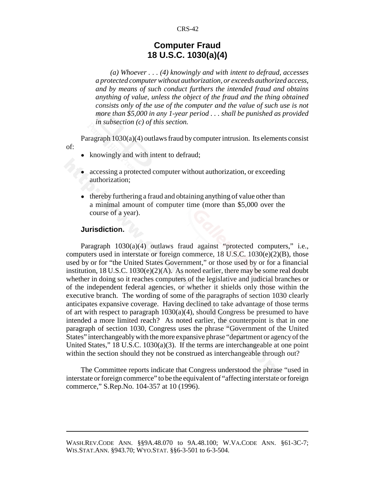# **Computer Fraud 18 U.S.C. 1030(a)(4)**

*(a) Whoever . . . (4) knowingly and with intent to defraud, accesses a protected computer without authorization, or exceeds authorized access, and by means of such conduct furthers the intended fraud and obtains anything of value, unless the object of the fraud and the thing obtained consists only of the use of the computer and the value of such use is not more than \$5,000 in any 1-year period . . . shall be punished as provided in subsection (c) of this section.*

Paragraph 1030(a)(4) outlaws fraud by computer intrusion. Its elements consist

of:

- knowingly and with intent to defraud;
- accessing a protected computer without authorization, or exceeding authorization;
- thereby furthering a fraud and obtaining anything of value other than a minimal amount of computer time (more than \$5,000 over the course of a year).

# **Jurisdiction.**

Paragraph 1030(a)(4) outlaws fraud against "protected computers," i.e., computers used in interstate or foreign commerce,  $18 \text{ U.S.C. } 1030(\text{e})(2)(\text{B})$ , those used by or for "the United States Government," or those used by or for a financial institution,  $18 \text{ U.S.C. } 1030(e)(2)(\text{A})$ . As noted earlier, there may be some real doubt whether in doing so it reaches computers of the legislative and judicial branches or of the independent federal agencies, or whether it shields only those within the executive branch. The wording of some of the paragraphs of section 1030 clearly anticipates expansive coverage. Having declined to take advantage of those terms of art with respect to paragraph  $1030(a)(4)$ , should Congress be presumed to have intended a more limited reach? As noted earlier, the counterpoint is that in one paragraph of section 1030, Congress uses the phrase "Government of the United States" interchangeably with the more expansive phrase "department or agency of the United States," 18 U.S.C.  $1030(a)(3)$ . If the terms are interchangeable at one point within the section should they not be construed as interchangeable through out?

The Committee reports indicate that Congress understood the phrase "used in interstate or foreign commerce" to be the equivalent of "affecting interstate or foreign commerce," S.Rep.No. 104-357 at 10 (1996).

WASH.REV.CODE ANN. §§9A.48.070 to 9A.48.100; W.VA.CODE ANN. §61-3C-7; WIS.STAT.ANN. §943.70; WYO.STAT. §§6-3-501 to 6-3-504.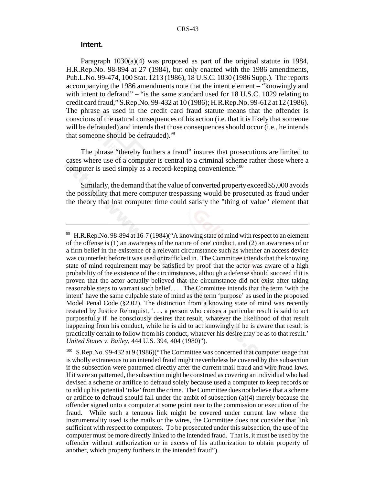### **Intent.**

Paragraph  $1030(a)(4)$  was proposed as part of the original statute in 1984, H.R.Rep.No. 98-894 at 27 (1984), but only enacted with the 1986 amendments, Pub.L.No. 99-474, 100 Stat. 1213 (1986), 18 U.S.C. 1030 (1986 Supp.). The reports accompanying the 1986 amendments note that the intent element – "knowingly and with intent to defraud" – "is the same standard used for 18 U.S.C. 1029 relating to credit card fraud," S.Rep.No. 99-432 at 10 (1986); H.R.Rep.No. 99-612 at 12 (1986). The phrase as used in the credit card fraud statute means that the offender is conscious of the natural consequences of his action (i.e. that it is likely that someone will be defrauded) and intends that those consequences should occur (i.e., he intends that someone should be defrauded).<sup>99</sup>

The phrase "thereby furthers a fraud" insures that prosecutions are limited to cases where use of a computer is central to a criminal scheme rather those where a computer is used simply as a record-keeping convenience.<sup>100</sup>

Similarly, the demand that the value of converted property exceed \$5,000 avoids the possibility that mere computer trespassing would be prosecuted as fraud under the theory that lost computer time could satisfy the "thing of value" element that

<sup>&</sup>lt;sup>99</sup> H.R.Rep.No. 98-894 at 16-7 (1984)("A knowing state of mind with respect to an element of the offense is (1) an awareness of the nature of one' conduct, and (2) an awareness of or a firm belief in the existence of a relevant circumstance such as whether an access device was counterfeit before it was used or trafficked in. The Committee intends that the knowing state of mind requirement may be satisfied by proof that the actor was aware of a high probability of the existence of the circumstances, although a defense should succeed if it is proven that the actor actually believed that the circumstance did not exist after taking reasonable steps to warrant such belief. . . . The Committee intends that the term 'with the intent' have the same culpable state of mind as the term 'purpose' as used in the proposed Model Penal Code (§2.02). The distinction from a knowing state of mind was recently restated by Justice Rehnquist, '. . . a person who causes a particular result is said to act purposefully if he consciously desires that result, whatever the likelihood of that result happening from his conduct, while he is aid to act knowingly if he is aware that result is practically certain to follow from his conduct, whatever his desire may be as to that result.' *United States v. Bailey*, 444 U.S. 394, 404 (1980)").

<sup>&</sup>lt;sup>100</sup> S.Rep.No. 99-432 at 9 (1986)("The Committee was concerned that computer usage that is wholly extraneous to an intended fraud might nevertheless be covered by this subsection if the subsection were patterned directly after the current mail fraud and wire fraud laws. If it were so patterned, the subsection might be construed as covering an individual who had devised a scheme or artifice to defraud solely because used a computer to keep records or to add up his potential 'take' from the crime. The Committee does not believe that a scheme or artifice to defraud should fall under the ambit of subsection (a)(4) merely because the offender signed onto a computer at some point near to the commission or execution of the fraud. While such a tenuous link might be covered under current law where the instrumentality used is the mails or the wires, the Committee does not consider that link sufficient with respect to computers. To be prosecuted under this subsection, the use of the computer must be more directly linked to the intended fraud. That is, it must be used by the offender without authorization or in excess of his authorization to obtain property of another, which property furthers in the intended fraud").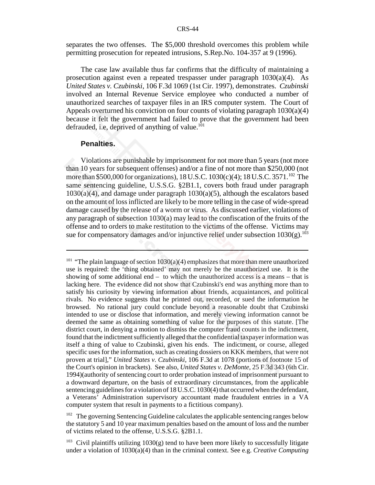separates the two offenses. The \$5,000 threshold overcomes this problem while permitting prosecution for repeated intrusions, S.Rep.No. 104-357 at 9 (1996).

The case law available thus far confirms that the difficulty of maintaining a prosecution against even a repeated trespasser under paragraph  $1030(a)(4)$ . As *United States v. Czubinski*, 106 F.3d 1069 (1st Cir. 1997), demonstrates. *Czubinski* involved an Internal Revenue Service employee who conducted a number of unauthorized searches of taxpayer files in an IRS computer system. The Court of Appeals overturned his conviction on four counts of violating paragraph 1030(a)(4) because it felt the government had failed to prove that the government had been defrauded, i.e, deprived of anything of value. $101$ 

# **Penalties.**

Violations are punishable by imprisonment for not more than 5 years (not more than 10 years for subsequent offenses) and/or a fine of not more than \$250,000 (not more than \$500,000 for organizations), 18 U.S.C.  $1030(c)(4)$ ; 18 U.S.C.  $3571$ .<sup>102</sup> The same sentencing guideline, U.S.S.G. §2B1.1, covers both fraud under paragraph 1030(a)(4), and damage under paragraph 1030(a)(5), although the escalators based on the amount of loss inflicted are likely to be more telling in the case of wide-spread damage caused by the release of a worm or virus. As discussed earlier, violations of any paragraph of subsection 1030(a) may lead to the confiscation of the fruits of the offense and to orders to make restitution to the victims of the offense. Victims may sue for compensatory damages and/or injunctive relief under subsection  $1030(g)$ .<sup>103</sup>

<sup>&</sup>lt;sup>101</sup> "The plain language of section  $1030(a)(4)$  emphasizes that more than mere unauthorized use is required: the 'thing obtained' may not merely be the unauthorized use. It is the showing of some additional end – to which the unauthorized access is a means – that is lacking here. The evidence did not show that Czubinski's end was anything more than to satisfy his curiosity by viewing information about friends, acquaintances, and political rivals. No evidence suggests that he printed out, recorded, or sued the information he browsed. No rational jury could conclude beyond a reasonable doubt that Czubinski intended to use or disclose that information, and merely viewing information cannot be deemed the same as obtaining something of value for the purposes of this statute. [The district court, in denying a motion to dismiss the computer fraud counts in the indictment, found that the indictment sufficiently alleged that the confidential taxpayer information was itself a thing of value to Czubinski, given his ends. The indictment, or course, alleged specific uses for the information, such as creating dossiers on KKK members, that were not proven at trial]," *United States v. Czubinski*, 106 F.3d at 1078 (portions of footnote 15 of the Court's opinion in brackets). See also, *United States v. DeMonte*, 25 F.3d 343 (6th Cir. 1994)(authority of sentencing court to order probation instead of imprisonment pursuant to a downward departure, on the basis of extraordinary circumstances, from the applicable sentencing guidelines for a violation of 18 U.S.C. 1030(4) that occurred when the defendant, a Veterans' Administration supervisory accountant made fraudulent entries in a VA computer system that result in payments to a fictitious company).

 $102$  The governing Sentencing Guideline calculates the applicable sentencing ranges below the statutory 5 and 10 year maximum penalties based on the amount of loss and the number of victims related to the offense, U.S.S.G. §2B1.1.

<sup>&</sup>lt;sup>103</sup> Civil plaintiffs utilizing 1030(g) tend to have been more likely to successfully litigate under a violation of 1030(a)(4) than in the criminal context. See e.g. *Creative Computing*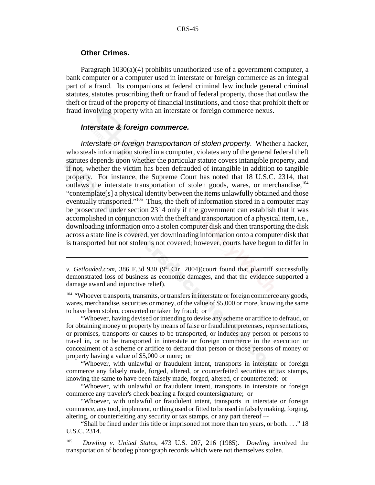# **Other Crimes.**

Paragraph  $1030(a)(4)$  prohibits unauthorized use of a government computer, a bank computer or a computer used in interstate or foreign commerce as an integral part of a fraud. Its companions at federal criminal law include general criminal statutes, statutes proscribing theft or fraud of federal property, those that outlaw the theft or fraud of the property of financial institutions, and those that prohibit theft or fraud involving property with an interstate or foreign commerce nexus.

# *Interstate & foreign commerce.*

*Interstate or foreign transportation of stolen property.* Whether a hacker, who steals information stored in a computer, violates any of the general federal theft statutes depends upon whether the particular statute covers intangible property, and if not, whether the victim has been defrauded of intangible in addition to tangible property. For instance, the Supreme Court has noted that 18 U.S.C. 2314, that outlaws the interstate transportation of stolen goods, wares, or merchandise,<sup>104</sup> "contemplate[s] a physical identity between the items unlawfully obtained and those eventually transported."<sup>105</sup> Thus, the theft of information stored in a computer may be prosecuted under section 2314 only if the government can establish that it was accomplished in conjunction with the theft and transportation of a physical item, i.e., downloading information onto a stolen computer disk and then transporting the disk across a state line is covered, yet downloading information onto a computer disk that is transported but not stolen is not covered; however, courts have begun to differ in

"Whoever, having devised or intending to devise any scheme or artifice to defraud, or for obtaining money or property by means of false or fraudulent pretenses, representations, or promises, transports or causes to be transported, or induces any person or persons to travel in, or to be transported in interstate or foreign commerce in the execution or concealment of a scheme or artifice to defraud that person or those persons of money or property having a value of \$5,000 or more; or

"Whoever, with unlawful or fraudulent intent, transports in interstate or foreign commerce any falsely made, forged, altered, or counterfeited securities or tax stamps, knowing the same to have been falsely made, forged, altered, or counterfeited; or

"Whoever, with unlawful or fraudulent intent, transports in interstate or foreign commerce any traveler's check bearing a forged countersignature; or

"Whoever, with unlawful or fraudulent intent, transports in interstate or foreign commerce, any tool, implement, or thing used or fitted to be used in falsely making, forging, altering, or counterfeiting any security or tax stamps, or any part thereof –-

*v. Getloaded.com*, 386 F.3d 930 (9<sup>th</sup> Cir. 2004)(court found that plaintiff successfully demonstrated loss of business as economic damages, and that the evidence supported a damage award and injunctive relief).

<sup>&</sup>lt;sup>104</sup> "Whoever transports, transmits, or transfers in interstate or foreign commerce any goods, wares, merchandise, securities or money, of the value of \$5,000 or more, knowing the same to have been stolen, converted or taken by fraud; or

<sup>&</sup>quot;Shall be fined under this title or imprisoned not more than ten years, or both. . . ." 18 U.S.C. 2314.

<sup>105</sup> *Dowling v. United States*, 473 U.S. 207, 216 (1985). *Dowling* involved the transportation of bootleg phonograph records which were not themselves stolen.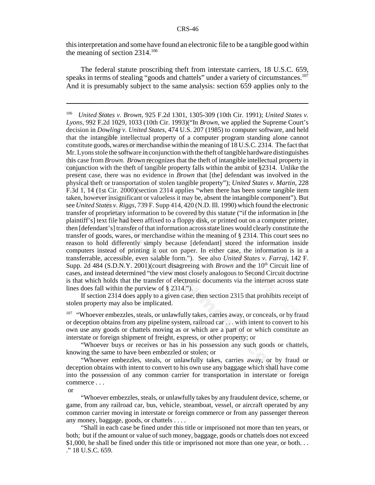this interpretation and some have found an electronic file to be a tangible good within the meaning of section  $2314$ <sup>106</sup>

The federal statute proscribing theft from interstate carriers, 18 U.S.C. 659, speaks in terms of stealing "goods and chattels" under a variety of circumstances.<sup>107</sup> And it is presumably subject to the same analysis: section 659 applies only to the

106 *United States v. Brown*, 925 F.2d 1301, 1305-309 (10th Cir. 1991); *United States v. Lyons*, 992 F.2d 1029, 1033 (10th Cir. 1993)("In *Brown*, we applied the Supreme Court's decision in *Dowling v. United States*, 474 U.S. 207 (1985) to computer software, and held that the intangible intellectual property of a computer program standing alone cannot constitute goods, wares or merchandise within the meaning of 18 U.S.C. 2314. The fact that Mr. Lyons stole the software in conjunction with the theft of tangible hardware distinguishes this case from *Brown. Brown* recognizes that the theft of intangible intellectual property in conjunction with the theft of tangible property falls within the ambit of §2314. Unlike the present case, there was no evidence in *Brown* that [the] defendant was involved in the physical theft or transportation of stolen tangible property"); *United States v. Martin*, 228 F.3d 1, 14 (1st Cir. 2000)(section 2314 applies "when there has been some tangible item taken, however insignificant or valueless it may be, absent the intangible component"). But see *United States v. Riggs*, 739 F. Supp 414, 420 (N.D. Ill. 1990) which found the electronic transfer of proprietary information to be covered by this statute ("if the information in [the plaintiff's] text file had been affixed to a floppy disk, or printed out on a computer printer, then [defendant's] transfer of that information across state lines would clearly constitute the transfer of goods, wares, or merchandise within the meaning of § 2314. This court sees no reason to hold differently simply because [defendant] stored the information inside computers instead of printing it out on paper. In either case, the information is in a transferrable, accessible, even salable form."). See also *United States v. Farraj*, 142 F. Supp. 2d 484 (S.D.N.Y. 2001)(court disagreeing with *Brown* and the 10<sup>th</sup> Circuit line of cases, and instead determined "the view most closely analogous to Second Circuit doctrine is that which holds that the transfer of electronic documents via the internet across state lines does fall within the purview of § 2314.").

If section 2314 does apply to a given case, then section 2315 that prohibits receipt of stolen property may also be implicated.

<sup>107</sup> "Whoever embezzles, steals, or unlawfully takes, carries away, or conceals, or by fraud or deception obtains from any pipeline system, railroad car . . . with intent to convert to his own use any goods or chattels moving as or which are a part of or which constitute an interstate or foreign shipment of freight, express, or other property; or

"Whoever buys or receives or has in his possession any such goods or chattels, knowing the same to have been embezzled or stolen; or

"Whoever embezzles, steals, or unlawfully takes, carries away, or by fraud or deception obtains with intent to convert to his own use any baggage which shall have come into the possession of any common carrier for transportation in interstate or foreign commerce . . .

or

"Whoever embezzles, steals, or unlawfully takes by any fraudulent device, scheme, or game, from any railroad car, bus, vehicle, steamboat, vessel, or aircraft operated by any common carrier moving in interstate or foreign commerce or from any passenger thereon any money, baggage, goods, or chattels . . . .

"Shall in each case be fined under this title or imprisoned not more than ten years, or both; but if the amount or value of such money, baggage, goods or chattels does not exceed \$1,000, he shall be fined under this title or imprisoned not more than one year, or both... ." 18 U.S.C. 659.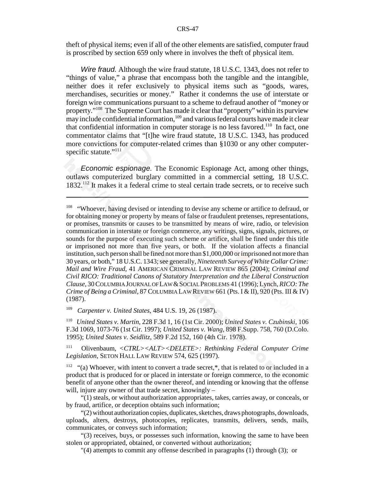theft of physical items; even if all of the other elements are satisfied, computer fraud is proscribed by section 659 only where in involves the theft of physical item.

*Wire fraud.* Although the wire fraud statute, 18 U.S.C. 1343, does not refer to "things of value," a phrase that encompass both the tangible and the intangible, neither does it refer exclusively to physical items such as "goods, wares, merchandises, securities or money." Rather it condemns the use of interstate or foreign wire communications pursuant to a scheme to defraud another of "money or property."108 The Supreme Court has made it clear that "property" within its purview may include confidential information,<sup>109</sup> and various federal courts have made it clear that confidential information in computer storage is no less favored.<sup>110</sup> In fact, one commentator claims that "[t]he wire fraud statute, 18 U.S.C. 1343, has produced more convictions for computer-related crimes than §1030 or any other computerspecific statute."<sup>111</sup>

*Economic espionage.* The Economic Espionage Act, among other things, outlaws computerized burglary committed in a commercial setting, 18 U.S.C. 1832.<sup>112</sup> It makes it a federal crime to steal certain trade secrets, or to receive such

109 *Carpenter v. United States*, 484 U.S. 19, 26 (1987).

110 *United States v. Martin*, 228 F.3d 1, 16 (1st Cir. 2000); *United States v. Czubinski*, 106 F.3d 1069, 1073-76 (1st Cir. 1997); *United States v. Wang*, 898 F.Supp. 758, 760 (D.Colo. 1995); *United States v. Seidlitz*, 589 F.2d 152, 160 (4th Cir. 1978).

111 Olivenbaum, *<CTRL><ALT><DELETE>: Rethinking Federal Computer Crime Legislation*, SETON HALL LAW REVIEW 574, 625 (1997).

<sup>112</sup> "(a) Whoever, with intent to convert a trade secret,\*, that is related to or included in a product that is produced for or placed in interstate or foreign commerce, to the economic benefit of anyone other than the owner thereof, and intending or knowing that the offense will, injure any owner of that trade secret, knowingly –

"(1) steals, or without authorization appropriates, takes, carries away, or conceals, or by fraud, artifice, or deception obtains such information;

"(2) without authorization copies, duplicates, sketches, draws photographs, downloads, uploads, alters, destroys, photocopies, replicates, transmits, delivers, sends, mails, communicates, or conveys such information;

"(3) receives, buys, or possesses such information, knowing the same to have been stolen or appropriated, obtained, or converted without authorization;

"(4) attempts to commit any offense described in paragraphs (1) through (3); or

<sup>&</sup>lt;sup>108</sup> "Whoever, having devised or intending to devise any scheme or artifice to defraud, or for obtaining money or property by means of false or fraudulent pretenses, representations, or promises, transmits or causes to be transmitted by means of wire, radio, or television communication in interstate or foreign commerce, any writings, signs, signals, pictures, or sounds for the purpose of executing such scheme or artifice, shall be fined under this title or imprisoned not more than five years, or both. If the violation affects a financial institution, such person shall be fined not more than \$1,000,000 or imprisoned not more than 30 years, or both," 18 U.S.C. 1343; see generally, *Nineteenth Survey of White Collar Crime: Mail and Wire Fraud*, 41 AMERICAN CRIMINAL LAW REVIEW 865 (2004); *Criminal and Civil RICO: Traditional Canons of Statutory Interpretation and the Liberal Construction Clause*, 30 COLUMBIA JOURNAL OF LAW &SOCIAL PROBLEMS 41 (1996); Lynch, *RICO: The Crime of Being a Criminal*, 87 COLUMBIA LAW REVIEW 661 (Pts. I & II), 920 (Pts. III & IV) (1987).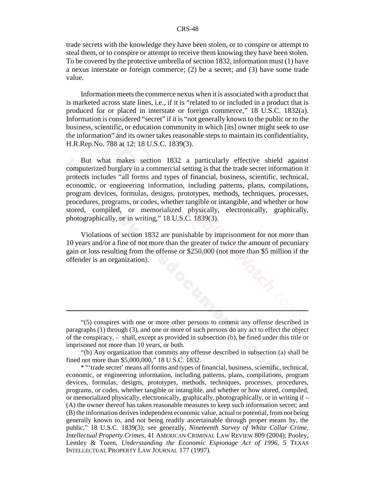trade secrets with the knowledge they have been stolen, or to conspire or attempt to steal them, or to conspire or attempt to receive them knowing they have been stolen. To be covered by the protective umbrella of section 1832, information must (1) have a nexus interstate or foreign commerce; (2) be a secret; and (3) have some trade value.

Information meets the commerce nexus when it is associated with a product that is marketed across state lines, i.e., if it is "related to or included in a product that is produced for or placed in interstate or foreign commerce," 18 U.S.C. 1832(a). Information is considered "secret" if it is "not generally known to the public or to the business, scientific, or education community in which [its] owner might seek to use the information" and its owner takes reasonable steps to maintain its confidentiality, H.R.Rep.No. 788 at 12; 18 U.S.C. 1839(3).

But what makes section 1832 a particularly effective shield against computerized burglary in a commercial setting is that the trade secret information it protects includes "all forms and types of financial, business, scientific, technical, economic, or engineering information, including patterns, plans, compilations, program devices, formulas, designs, prototypes, methods, techniques, processes, procedures, programs, or codes, whether tangible or intangible, and whether or how stored, compiled, or memorialized physically, electronically, graphically, photographically, or in writing," 18 U.S.C. 1839(3).

Violations of section 1832 are punishable by imprisonment for not more than 10 years and/or a fine of not more than the greater of twice the amount of pecuniary gain or loss resulting from the offense or \$250,000 (not more than \$5 million if the offender is an organization).

<sup>&</sup>quot;(5) conspires with one or more other persons to commit any offense described in paragraphs (1) through (3), and one or more of such persons do any act to effect the object of the conspiracy, – shall, except as provided in subsection (b), be fined under this title or imprisoned not more than 10 years, or both.

<sup>&</sup>quot;(b) Any organization that commits any offense described in subsection (a) shall be fined not more than \$5,000,000," 18 U.S.C. 1832.

<sup>\* &</sup>quot;'trade secret' means all forms and types of financial, business, scientific, technical, economic, or engineering information, including patterns, plans, compilations, program devices, formulas, designs, prototypes, methods, techniques, processes, procedures, programs, or codes, whether tangible or intangible, and whether or how stored, compiled, or memorialized physically, electronically, graphically, photographically, or in writing if – (A) the owner thereof has taken reasonable measures to keep such information secret; and (B) the information derives independent economic value, actual or potential, from not being generally known to, and not being readily ascertainable through proper means by, the public," 18 U.S.C. 1839(3); see generally, *Nineteenth Survey of White Collar Crime, Intellectual Property Crimes*, 41 AMERICAN CRIMINAL LAW REVIEW 809 (2004); Pooley, Lemley & Toren, *Understanding the Economic Espionage Act of 1996*, 5 TEXAS INTELLECTUAL PROPERTY LAW JOURNAL 177 (1997).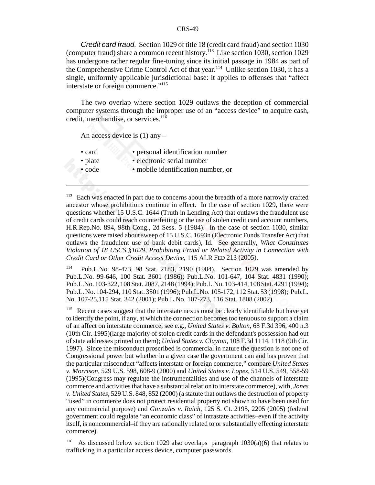*Credit card fraud.* Section 1029 of title 18 (credit card fraud) and section 1030 (computer fraud) share a common recent history.113 Like section 1030, section 1029 has undergone rather regular fine-tuning since its initial passage in 1984 as part of the Comprehensive Crime Control Act of that year.<sup>114</sup> Unlike section 1030, it has a single, uniformly applicable jurisdictional base: it applies to offenses that "affect interstate or foreign commerce."115

The two overlap where section 1029 outlaws the deception of commercial computer systems through the improper use of an "access device" to acquire cash, credit, merchandise, or services.<sup>116</sup>

An access device is (1) any –

| $\bullet$ card | • personal identification number   |
|----------------|------------------------------------|
| • plate        | • electronic serial number         |
| $\bullet$ code | • mobile identification number, or |
|                |                                    |

<sup>113</sup> Each was enacted in part due to concerns about the breadth of a more narrowly crafted ancestor whose prohibitions continue in effect. In the case of section 1029, there were questions whether 15 U.S.C. 1644 (Truth in Lending Act) that outlaws the fraudulent use of credit cards could reach counterfeiting or the use of stolen credit card account numbers, H.R.Rep.No. 894, 98th Cong., 2d Sess. 5 (1984). In the case of section 1030, similar questions were raised about sweep of 15 U.S.C. 1693n (Electronic Funds Transfer Act) that outlaws the fraudulent use of bank debit cards), Id. See generally, *What Constitutes Violation of 18 USCS §1029, Prohibiting Fraud or Related Activity in Connection with Credit Card or Other Credit Access Device*, 115 ALR FED 213 (2005).

114 Pub.L.No. 98-473, 98 Stat. 2183, 2190 (1984). Section 1029 was amended by Pub.L.No. 99-646, 100 Stat. 3601 (1986); Pub.L.No. 101-647, 104 Stat. 4831 (1990); Pub.L.No. 103-322, 108 Stat. 2087, 2148 (1994); Pub.L.No. 103-414, 108 Stat. 4291 (1994); Pub.L. No. 104-294, 110 Stat. 3501 (1996); Pub.L.No. 105-172, 112 Stat. 53 (1998); Pub.L. No. 107-25,115 Stat. 342 (2001); Pub.L.No. 107-273, 116 Stat. 1808 (2002).

<sup>115</sup> Recent cases suggest that the interstate nexus must be clearly identifiable but have yet to identify the point, if any, at which the connection becomes too tenuous to support a claim of an affect on interstate commerce, see e.g., *United States v. Bolton*, 68 F.3d 396, 400 n.3 (10th Cir. 1995)(large majority of stolen credit cards in the defendant's possession had out of state addresses printed on them); *United States v. Clayton*, 108 F.3d 1114, 1118 (9th Cir. 1997). Since the misconduct proscribed is commercial in nature the question is not one of Congressional power but whether in a given case the government can and has proven that the particular misconduct "affects interstate or foreign commerce," compare *United States v. Morrison*, 529 U.S. 598, 608-9 (2000) and *United States v. Lopez*, 514 U.S. 549, 558-59 (1995)(Congress may regulate the instrumentalities and use of the channels of interstate commerce and activities that have a substantial relation to interstate commerce), with, *Jones v. United States*, 529 U.S. 848, 852 (2000) (a statute that outlaws the destruction of property "used" in commerce does not protect residential property not shown to have been used for any commercial purpose) and *Gonzales v. Raich*, 125 S. Ct. 2195, 2205 (2005) (federal government could regulate "an economic class" of intrastate activities–even if the activity itself, is noncommercial–if they are rationally related to or substantially effecting interstate commerce).

<sup>116</sup> As discussed below section 1029 also overlaps paragraph  $1030(a)(6)$  that relates to trafficking in a particular access device, computer passwords.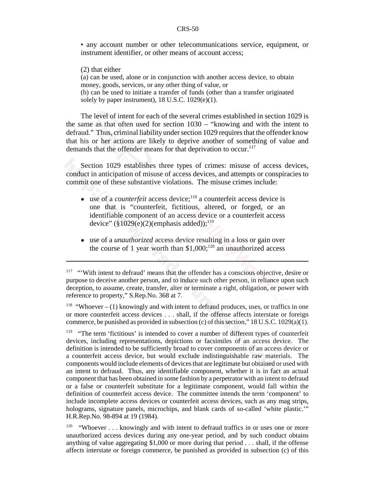• any account number or other telecommunications service, equipment, or instrument identifier, or other means of account access;

(2) that either (a) can be used, alone or in conjunction with another access device, to obtain money, goods, services, or any other thing of value, or (b) can be used to initiate a transfer of funds (other than a transfer originated solely by paper instrument), 18 U.S.C. 1029(e)(1).

The level of intent for each of the several crimes established in section 1029 is the same as that often used for section 1030 – "knowing and with the intent to defraud." Thus, criminal liability under section 1029 requires that the offender know that his or her actions are likely to deprive another of something of value and demands that the offender means for that deprivation to occur.<sup>117</sup>

Section 1029 establishes three types of crimes: misuse of access devices, conduct in anticipation of misuse of access devices, and attempts or conspiracies to commit one of these substantive violations. The misuse crimes include:

- use of a *counterfeit* access device;<sup>118</sup> a counterfeit access device is one that is "counterfeit, fictitious, altered, or forged, or an identifiable component of an access device or a counterfeit access device"  $(\S 1029(e)(2)(emphasis added))$ ;<sup>119</sup>
- ! use of a *unauthorized* access device resulting in a loss or gain over the course of 1 year worth than  $$1,000$ ;<sup>120</sup> an unauthorized access

 $118$  "Whoever – (1) knowingly and with intent to defraud produces, uses, or traffics in one or more counterfeit access devices . . . shall, if the offense affects interstate or foreign commerce, be punished as provided in subsection (c) of this section,"  $18$  U.S.C.  $1029(a)(1)$ .

<sup>119</sup> "The term 'fictitious' is intended to cover a number of different types of counterfeit devices, including representations, depictions or facsimiles of an access device. The definition is intended to be sufficiently broad to cover components of an access device or a counterfeit access device, but would exclude indistinguishable raw materials. The components would include elements of devices that are legitimate but obtained or used with an intent to defraud. Thus, any identifiable component, whether it is in fact an actual component that has been obtained in some fashion by a perpetrator with an intent to defraud or a false or counterfeit substitute for a legitimate component, would fall within the definition of counterfeit access device. The committee intends the term 'component' to include incomplete access devices or counterfeit access devices, such as any mag strips, holograms, signature panels, microchips, and blank cards of so-called 'white plastic.'" H.R.Rep.No. 98-894 at 19 (1984).

<sup>&</sup>lt;sup>117</sup> "With intent to defraud' means that the offender has a conscious objective, desire or purpose to deceive another person, and to induce such other person, in reliance upon such deception, to assume, create, transfer, alter or terminate a right, obligation, or power with reference to property," S.Rep.No. 368 at 7.

<sup>&</sup>lt;sup>120</sup> "Whoever . . . knowingly and with intent to defraud traffics in or uses one or more unauthorized access devices during any one-year period, and by such conduct obtains anything of value aggregating \$1,000 or more during that period . . . shall, if the offense affects interstate or foreign commerce, be punished as provided in subsection (c) of this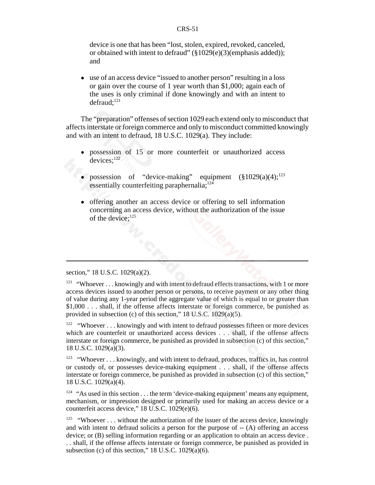device is one that has been "lost, stolen, expired, revoked, canceled, or obtained with intent to defraud" (§1029(e)(3)(emphasis added)); and

• use of an access device "issued to another person" resulting in a loss or gain over the course of 1 year worth than \$1,000; again each of the uses is only criminal if done knowingly and with an intent to  $defrand:$ <sup>121</sup>

The "preparation" offenses of section 1029 each extend only to misconduct that affects interstate or foreign commerce and only to misconduct committed knowingly and with an intent to defraud, 18 U.S.C. 1029(a). They include:

- possession of 15 or more counterfeit or unauthorized access  $devices<sup>.122</sup>$
- possession of "device-making" equipment  $(\S 1029(a)(4))^{123}$ essentially counterfeiting paraphernalia; $124$
- offering another an access device or offering to sell information concerning an access device, without the authorization of the issue of the device: $125$

# section," 18 U.S.C. 1029(a)(2).

<sup>122</sup> "Whoever . . . knowingly and with intent to defraud possesses fifteen or more devices which are counterfeit or unauthorized access devices . . . shall, if the offense affects interstate or foreign commerce, be punished as provided in subsection (c) of this section," 18 U.S.C. 1029(a)(3).

<sup>123</sup> "Whoever . . . knowingly, and with intent to defraud, produces, traffics in, has control or custody of, or possesses device-making equipment . . . shall, if the offense affects interstate or foreign commerce, be punished as provided in subsection (c) of this section," 18 U.S.C. 1029(a)(4).

<sup>124</sup> "As used in this section  $\dots$  the term 'device-making equipment' means any equipment, mechanism, or impression designed or primarily used for making an access device or a counterfeit access device," 18 U.S.C. 1029(e)(6).

<sup>125</sup> "Whoever . . . without the authorization of the issuer of the access device, knowingly and with intent to defraud solicits a person for the purpose of  $-$  (A) offering an access device; or (B) selling information regarding or an application to obtain an access device . . . shall, if the offense affects interstate or foreign commerce, be punished as provided in subsection (c) of this section,"  $18$  U.S.C.  $1029(a)(6)$ .

 $121$  "Whoever . . . knowingly and with intent to defraud effects transactions, with 1 or more access devices issued to another person or persons, to receive payment or any other thing of value during any 1-year period the aggregate value of which is equal to or greater than \$1,000 . . . shall, if the offense affects interstate or foreign commerce, be punished as provided in subsection (c) of this section," 18 U.S.C. 1029(a)(5).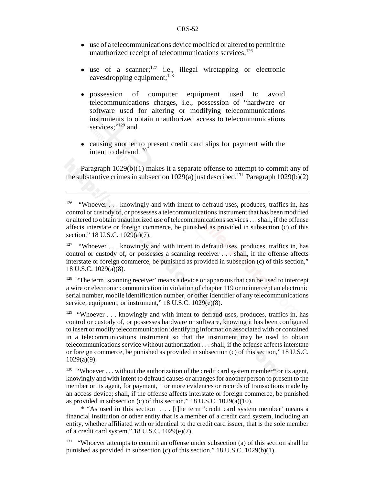- use of a telecommunications device modified or altered to permit the unauthorized receipt of telecommunications services; $126$
- $\bullet$  use of a scanner;<sup>127</sup> i.e., illegal wiretapping or electronic eavesdropping equipment;  $128$
- ! possession of computer equipment used to avoid telecommunications charges, i.e., possession of "hardware or software used for altering or modifying telecommunications instruments to obtain unauthorized access to telecommunications services:"<sup>129</sup> and
- causing another to present credit card slips for payment with the intent to defraud.<sup>130</sup>

Paragraph  $1029(b)(1)$  makes it a separate offense to attempt to commit any of the substantive crimes in subsection  $1029(a)$  just described.<sup>131</sup> Paragraph  $1029(b)(2)$ 

<sup>127</sup> "Whoever . . . knowingly and with intent to defraud uses, produces, traffics in, has control or custody of, or possesses a scanning receiver . . . shall, if the offense affects interstate or foreign commerce, be punished as provided in subsection (c) of this section," 18 U.S.C. 1029(a)(8).

<sup>128</sup> "The term 'scanning receiver' means a device or apparatus that can be used to intercept a wire or electronic communication in violation of chapter 119 or to intercept an electronic serial number, mobile identification number, or other identifier of any telecommunications service, equipment, or instrument," 18 U.S.C. 1029(e)(8).

<sup>129</sup> "Whoever . . . knowingly and with intent to defraud uses, produces, traffics in, has control or custody of, or possesses hardware or software, knowing it has been configured to insert or modify telecommunication identifying information associated with or contained in a telecommunications instrument so that the instrument may be used to obtain telecommunications service without authorization . . . shall, if the offense affects interstate or foreign commerce, be punished as provided in subsection (c) of this section," 18 U.S.C. 1029(a)(9).

<sup>130</sup> "Whoever . . . without the authorization of the credit card system member\* or its agent, knowingly and with intent to defraud causes or arranges for another person to present to the member or its agent, for payment, 1 or more evidences or records of transactions made by an access device; shall, if the offense affects interstate or foreign commerce, be punished as provided in subsection (c) of this section," 18 U.S.C. 1029(a)(10).

\* "As used in this section . . . [t]he term 'credit card system member' means a financial institution or other entity that is a member of a credit card system, including an entity, whether affiliated with or identical to the credit card issuer, that is the sole member of a credit card system," 18 U.S.C. 1029(e)(7).

<sup>131</sup> "Whoever attempts to commit an offense under subsection (a) of this section shall be punished as provided in subsection (c) of this section," 18 U.S.C. 1029(b)(1).

<sup>&</sup>lt;sup>126</sup> "Whoever . . . knowingly and with intent to defraud uses, produces, traffics in, has control or custody of, or possesses a telecommunications instrument that has been modified or altered to obtain unauthorized use of telecommunications services . . . shall, if the offense affects interstate or foreign commerce, be punished as provided in subsection (c) of this section," 18 U.S.C. 1029(a)(7).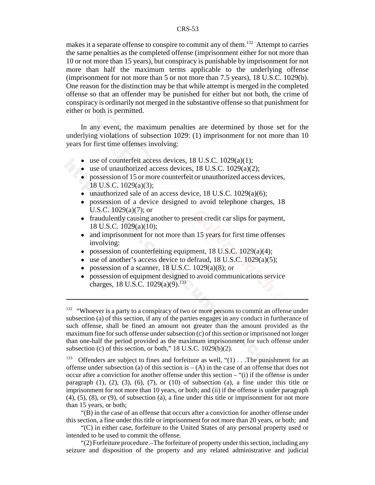makes it a separate offense to conspire to commit any of them.<sup>132</sup> Attempt to carries the same penalties as the completed offense (imprisonment either for not more than 10 or not more than 15 years), but conspiracy is punishable by imprisonment for not more than half the maximum terms applicable to the underlying offense (imprisonment for not more than 5 or not more than 7.5 years), 18 U.S.C. 1029(b). One reason for the distinction may be that while attempt is merged in the completed offense so that an offender may be punished for either but not both, the crime of conspiracy is ordinarily not merged in the substantive offense so that punishment for either or both is permitted.

In any event, the maximum penalties are determined by those set for the underlying violations of subsection 1029: (1) imprisonment for not more than 10 years for first time offenses involving:

- $\bullet$  use of counterfeit access devices, 18 U.S.C. 1029(a)(1);
- $\bullet$  use of unauthorized access devices, 18 U.S.C. 1029(a)(2);
- possession of 15 or more counterfeit or unauthorized access devices, 18 U.S.C. 1029(a)(3);
- $\bullet$  unauthorized sale of an access device, 18 U.S.C. 1029(a)(6);
- possession of a device designed to avoid telephone charges, 18 U.S.C. 1029(a)(7); or
- fraudulently causing another to present credit car slips for payment, 18 U.S.C. 1029(a)(10);
- and imprisonment for not more than 15 years for first time offenses involving:
- possession of counterfeiting equipment,  $18$  U.S.C.  $1029(a)(4)$ ;
- $\bullet$  use of another's access device to defraud, 18 U.S.C. 1029(a)(5);
- possession of a scanner,  $18 \text{ U.S.C. } 1029(a)(8)$ ; or
- ! possession of equipment designed to avoid communications service charges, 18 U.S.C. 1029(a)(9).<sup>133</sup>

"(B) in the case of an offense that occurs after a conviction for another offense under this section, a fine under this title or imprisonment for not more than 20 years, or both; and

"(C) in either case, forfeiture to the United States of any personal property used or intended to be used to commit the offense.

"(2) Forfeiture procedure.–The forfeiture of property under this section, including any seizure and disposition of the property and any related administrative and judicial

<sup>&</sup>lt;sup>132</sup> "Whoever is a party to a conspiracy of two or more persons to commit an offense under subsection (a) of this section, if any of the parties engages in any conduct in furtherance of such offense, shall be fined an amount not greater than the amount provided as the maximum fine for such offense under subsection (c) of this section or imprisoned not longer than one-half the period provided as the maximum imprisonment for such offense under subsection (c) of this section, or both," 18 U.S.C. 1029(b)(2).

<sup>&</sup>lt;sup>133</sup> Offenders are subject to fines and forfeiture as well, " $(1)$ ... The punishment for an offense under subsection (a) of this section is  $-(A)$  in the case of an offense that does not occur after a conviction for another offense under this section – "(i) if the offense is under paragraph  $(1)$ ,  $(2)$ ,  $(3)$ ,  $(6)$ ,  $(7)$ , or  $(10)$  of subsection  $(a)$ , a fine under this title or imprisonment for not more than 10 years, or both; and (ii) if the offense is under paragraph (4), (5), (8), or (9), of subsection (a), a fine under this title or imprisonment for not more than 15 years, or both;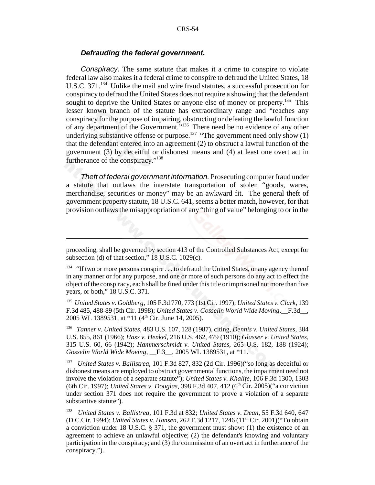# *Defrauding the federal government.*

*Conspiracy.* The same statute that makes it a crime to conspire to violate federal law also makes it a federal crime to conspire to defraud the United States, 18 U.S.C. 371.134 Unlike the mail and wire fraud statutes, a successful prosecution for conspiracy to defraud the United States does not require a showing that the defendant sought to deprive the United States or anyone else of money or property.<sup>135</sup> This lesser known branch of the statute has extraordinary range and "reaches any conspiracy for the purpose of impairing, obstructing or defeating the lawful function of any department of the Government."<sup>136</sup> There need be no evidence of any other underlying substantive offense or purpose.<sup>137</sup> "The government need only show  $(1)$ that the defendant entered into an agreement (2) to obstruct a lawful function of the government (3) by deceitful or dishonest means and (4) at least one overt act in furtherance of the conspiracy."138

*Theft of federal government information.* Prosecuting computer fraud under a statute that outlaws the interstate transportation of stolen "goods, wares, merchandise, securities or money" may be an awkward fit. The general theft of government property statute, 18 U.S.C. 641, seems a better match, however, for that provision outlaws the misappropriation of any "thing of value" belonging to or in the

proceeding, shall be governed by section 413 of the Controlled Substances Act, except for subsection (d) of that section," 18 U.S.C. 1029(c).

<sup>134</sup> "If two or more persons conspire ... to defraud the United States, or any agency thereof in any manner or for any purpose, and one or more of such persons do any act to effect the object of the conspiracy, each shall be fined under this title or imprisoned not more than five years, or both," 18 U.S.C. 371.

135 *United States v. Goldberg*, 105 F.3d 770, 773 (1st Cir. 1997); *United States v. Clark*, 139 F.3d 485, 488-89 (5th Cir. 1998); *United States v. Gosselin World Wide Moving*,\_\_F.3d\_\_, 2005 WL 1389531, at \*11 (4<sup>th</sup> Cir. June 14, 2005).

136 *Tanner v. United States*, 483 U.S. 107, 128 (1987), citing, *Dennis v. United States*, 384 U.S. 855, 861 (1966); *Hass v. Henkel*, 216 U.S. 462, 479 (1910); *Glasser v. United States*, 315 U.S. 60, 66 (1942); *Hammerschmidt v. United States*, 265 U.S. 182, 188 (1924); *Gosselin World Wide Moving*, \_\_F.3\_\_, 2005 WL 1389531, at \*11.

137 *United States v. Ballistrea*, 101 F.3d 827, 832 (2d Cir. 1996)("so long as deceitful or dishonest means are employed to obstruct governmental functions, the impairment need not involve the violation of a separate statute"); *United States v. Khalife*, 106 F.3d 1300, 1303 (6th Cir. 1997); *United States v. Douglas*, 398 F.3d 407, 412 (6th Cir. 2005)("a conviction under section 371 does not require the government to prove a violation of a separate substantive statute").

138 *United States v. Ballistrea*, 101 F.3d at 832; *United States v. Dean*, 55 F.3d 640, 647 (D.C.Cir. 1994); *United States v. Hansen*, 262 F.3d 1217, 1246 (11th Cir. 2001)("To obtain a conviction under 18 U.S.C. § 371, the government must show: (1) the existence of an agreement to achieve an unlawful objective; (2) the defendant's knowing and voluntary participation in the conspiracy; and (3) the commission of an overt act in furtherance of the conspiracy.").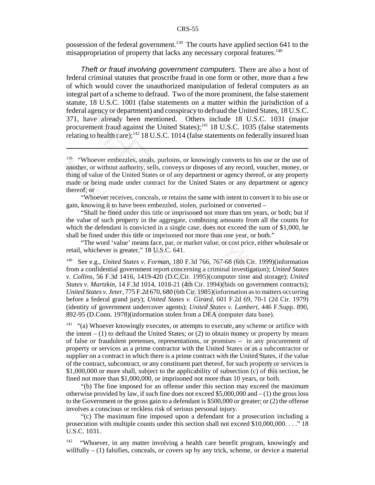possession of the federal government.139 The courts have applied section 641 to the misappropriation of property that lacks any necessary corporal features.<sup>140</sup>

*Theft or fraud involving government computers.* There are also a host of federal criminal statutes that proscribe fraud in one form or other, more than a few of which would cover the unauthorized manipulation of federal computers as an integral part of a scheme to defraud. Two of the more prominent, the false statement statute, 18 U.S.C. 1001 (false statements on a matter within the jurisdiction of a federal agency or department) and conspiracy to defraud the United States, 18 U.S.C. 371, have already been mentioned. Others include 18 U.S.C. 1031 (major procurement fraud against the United States);141 18 U.S.C. 1035 (false statements relating to health care);<sup>142</sup> 18 U.S.C. 1014 (false statements on federally insured loan

"Whoever receives, conceals, or retains the same with intent to convert it to his use or gain, knowing it to have been embezzled, stolen, purloined or converted –

"Shall be fined under this title or imprisoned not more than ten years, or both; but if the value of such property in the aggregate, combining amounts from all the counts for which the defendant is convicted in a single case, does not exceed the sum of \$1,000, he shall be fined under this title or imprisoned not more than one year, or both."

"The word 'value' means face, par, or market value, or cost price, either wholesale or retail, whichever is greater," 18 U.S.C. 641.

140 See e.g., *United States v. Forman*, 180 F.3d 766, 767-68 (6th Cir. 1999)(information from a confidential government report concerning a criminal investigation); *United States v. Collins*, 56 F.3d 1416, 1419-420 (D.C.Cir. 1995)(computer time and storage); *United States v. Martzkin*, 14 F.3d 1014, 1018-21 (4th Cir. 1994)(bids on government contracts); *United States v. Jeter*, 775 F.2d 670, 680 (6th Cir. 1985)(information as to matters occurring before a federal grand jury); *United States v. Girard*, 601 F.2d 69, 70-1 (2d Cir. 1979) (identity of government undercover agents); *United States v. Lambert*, 446 F.Supp. 890, 892-95 (D.Conn. 1978)(information stolen from a DEA computer data base).

 $141$  "(a) Whoever knowingly executes, or attempts to execute, any scheme or artifice with the intent  $- (1)$  to defraud the United States; or  $(2)$  to obtain money or property by means of false or fraudulent pretenses, representations, or promises – in any procurement of property or services as a prime contractor with the United States or as a subcontractor or supplier on a contract in which there is a prime contract with the United States, if the value of the contract, subcontract, or any constituent part thereof, for such property or services is \$1,000,000 or more shall, subject to the applicability of subsection (c) of this section, be fined not more than \$1,000,000, or imprisoned not more than 10 years, or both.

"(b) The fine imposed for an offense under this section may exceed the maximum otherwise provided by law, if such fine does not exceed \$5,000,000 and  $- (1)$  the gross loss to the Government or the gross gain to a defendant is \$500,000 or greater; or (2) the offense involves a conscious or reckless risk of serious personal injury.

"(c) The maximum fine imposed upon a defendant for a prosecution including a prosecution with multiple counts under this section shall not exceed \$10,000,000. . . ." 18 U.S.C. 1031.

 $142$  "Whoever, in any matter involving a health care benefit program, knowingly and willfully  $- (1)$  falsifies, conceals, or covers up by any trick, scheme, or device a material

<sup>&</sup>lt;sup>139</sup> "Whoever embezzles, steals, purloins, or knowingly converts to his use or the use of another, or without authority, sells, conveys or disposes of any record, voucher, money, or thing of value of the United States or of any department or agency thereof, or any property made or being made under contract for the United States or any department or agency thereof; or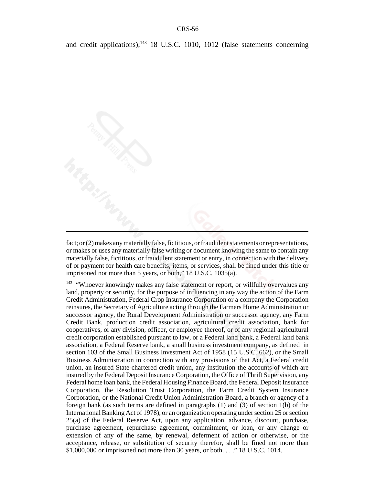and credit applications); $^{143}$  18 U.S.C. 1010, 1012 (false statements concerning



fact; or (2) makes any materially false, fictitious, or fraudulent statements or representations, or makes or uses any materially false writing or document knowing the same to contain any materially false, fictitious, or fraudulent statement or entry, in connection with the delivery of or payment for health care benefits, items, or services, shall be fined under this title or imprisoned not more than 5 years, or both," 18 U.S.C. 1035(a).

<sup>143</sup> "Whoever knowingly makes any false statement or report, or willfully overvalues any land, property or security, for the purpose of influencing in any way the action of the Farm Credit Administration, Federal Crop Insurance Corporation or a company the Corporation reinsures, the Secretary of Agriculture acting through the Farmers Home Administration or successor agency, the Rural Development Administration or successor agency, any Farm Credit Bank, production credit association, agricultural credit association, bank for cooperatives, or any division, officer, or employee thereof, or of any regional agricultural credit corporation established pursuant to law, or a Federal land bank, a Federal land bank association, a Federal Reserve bank, a small business investment company, as defined in section 103 of the Small Business Investment Act of 1958 (15 U.S.C. 662), or the Small Business Administration in connection with any provisions of that Act, a Federal credit union, an insured State-chartered credit union, any institution the accounts of which are insured by the Federal Deposit Insurance Corporation, the Office of Thrift Supervision, any Federal home loan bank, the Federal Housing Finance Board, the Federal Deposit Insurance Corporation, the Resolution Trust Corporation, the Farm Credit System Insurance Corporation, or the National Credit Union Administration Board, a branch or agency of a foreign bank (as such terms are defined in paragraphs (1) and (3) of section 1(b) of the International Banking Act of 1978), or an organization operating under section 25 or section 25(a) of the Federal Reserve Act, upon any application, advance, discount, purchase, purchase agreement, repurchase agreement, commitment, or loan, or any change or extension of any of the same, by renewal, deferment of action or otherwise, or the acceptance, release, or substitution of security therefor, shall be fined not more than \$1,000,000 or imprisoned not more than 30 years, or both. . . ." 18 U.S.C. 1014.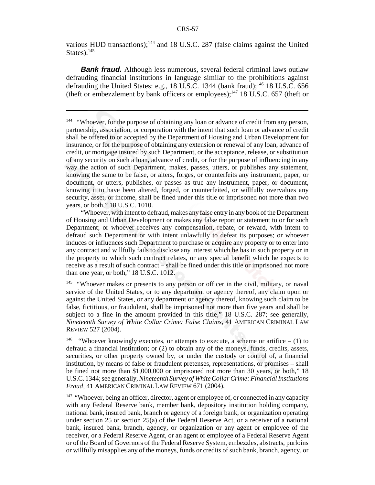various HUD transactions);<sup>144</sup> and 18 U.S.C. 287 (false claims against the United States). $^{145}$ 

**Bank fraud.** Although less numerous, several federal criminal laws outlaw defrauding financial institutions in language similar to the prohibitions against defrauding the United States: e.g.,  $18$  U.S.C.  $1344$  (bank fraud);<sup>146</sup> 18 U.S.C. 656 (theft or embezzlement by bank officers or employees); $^{147}$  18 U.S.C. 657 (theft or

<sup>144</sup> "Whoever, for the purpose of obtaining any loan or advance of credit from any person, partnership, association, or corporation with the intent that such loan or advance of credit shall be offered to or accepted by the Department of Housing and Urban Development for insurance, or for the purpose of obtaining any extension or renewal of any loan, advance of credit, or mortgage insured by such Department, or the acceptance, release, or substitution of any security on such a loan, advance of credit, or for the purpose of influencing in any way the action of such Department, makes, passes, utters, or publishes any statement, knowing the same to be false, or alters, forges, or counterfeits any instrument, paper, or document, or utters, publishes, or passes as true any instrument, paper, or document, knowing it to have been altered, forged, or counterfeited, or willfully overvalues any security, asset, or income, shall be fined under this title or imprisoned not more than two years, or both," 18 U.S.C. 1010.

"Whoever, with intent to defraud, makes any false entry in any book of the Department of Housing and Urban Development or makes any false report or statement to or for such Department; or whoever receives any compensation, rebate, or reward, with intent to defraud such Department or with intent unlawfully to defeat its purposes; or whoever induces or influences such Department to purchase or acquire any property or to enter into any contract and willfully fails to disclose any interest which he has in such property or in the property to which such contract relates, or any special benefit which he expects to receive as a result of such contract – shall be fined under this title or imprisoned not more than one year, or both," 18 U.S.C. 1012.

<sup>145</sup> "Whoever makes or presents to any person or officer in the civil, military, or naval service of the United States, or to any department or agency thereof, any claim upon or against the United States, or any department or agency thereof, knowing such claim to be false, fictitious, or fraudulent, shall be imprisoned not more than five years and shall be subject to a fine in the amount provided in this title," 18 U.S.C. 287; see generally, *Nineteenth Survey of White Collar Crime: False Claims*, 41 AMERICAN CRIMINAL LAW REVIEW 527 (2004).

<sup>146</sup> "Whoever knowingly executes, or attempts to execute, a scheme or artifice  $- (1)$  to defraud a financial institution; or (2) to obtain any of the moneys, funds, credits, assets, securities, or other property owned by, or under the custody or control of, a financial institution, by means of false or fraudulent pretenses, representations, or promises – shall be fined not more than \$1,000,000 or imprisoned not more than 30 years, or both," 18 U.S.C. 1344; see generally, *Nineteenth Survey of White Collar Crime: Financial Institutions Fraud*, 41 AMERICAN CRIMINAL LAW REVIEW 671 (2004).

<sup>147</sup> "Whoever, being an officer, director, agent or employee of, or connected in any capacity with any Federal Reserve bank, member bank, depository institution holding company, national bank, insured bank, branch or agency of a foreign bank, or organization operating under section 25 or section 25(a) of the Federal Reserve Act, or a receiver of a national bank, insured bank, branch, agency, or organization or any agent or employee of the receiver, or a Federal Reserve Agent, or an agent or employee of a Federal Reserve Agent or of the Board of Governors of the Federal Reserve System, embezzles, abstracts, purloins or willfully misapplies any of the moneys, funds or credits of such bank, branch, agency, or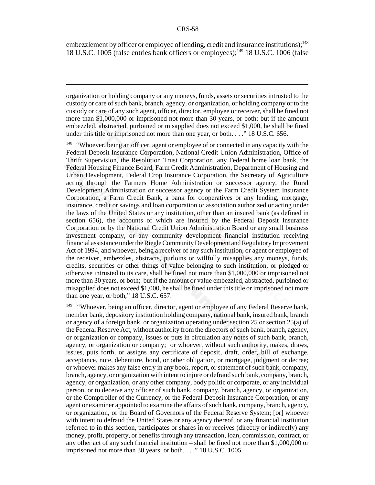embezzlement by officer or employee of lending, credit and insurance institutions);  $^{148}$ 18 U.S.C. 1005 (false entries bank officers or employees);<sup>149</sup> 18 U.S.C. 1006 (false

organization or holding company or any moneys, funds, assets or securities intrusted to the custody or care of such bank, branch, agency, or organization, or holding company or to the custody or care of any such agent, officer, director, employee or receiver, shall be fined not more than \$1,000,000 or imprisoned not more than 30 years, or both: but if the amount embezzled, abstracted, purloined or misapplied does not exceed \$1,000, he shall be fined under this title or imprisoned not more than one year, or both. . . ." 18 U.S.C. 656.

<sup>148</sup> "Whoever, being an officer, agent or employee of or connected in any capacity with the Federal Deposit Insurance Corporation, National Credit Union Administration, Office of Thrift Supervision, the Resolution Trust Corporation, any Federal home loan bank, the Federal Housing Finance Board, Farm Credit Administration, Department of Housing and Urban Development, Federal Crop Insurance Corporation, the Secretary of Agriculture acting through the Farmers Home Administration or successor agency, the Rural Development Administration or successor agency or the Farm Credit System Insurance Corporation, a Farm Credit Bank, a bank for cooperatives or any lending, mortgage, insurance, credit or savings and loan corporation or association authorized or acting under the laws of the United States or any institution, other than an insured bank (as defined in section 656), the accounts of which are insured by the Federal Deposit Insurance Corporation or by the National Credit Union Administration Board or any small business investment company, or any community development financial institution receiving financial assistance under the Riegle Community Development and Regulatory Improvement Act of 1994, and whoever, being a receiver of any such institution, or agent or employee of the receiver, embezzles, abstracts, purloins or willfully misapplies any moneys, funds, credits, securities or other things of value belonging to such institution, or pledged or otherwise intrusted to its care, shall be fined not more than \$1,000,000 or imprisoned not more than 30 years, or both; but if the amount or value embezzled, abstracted, purloined or misapplied does not exceed \$1,000, he shall be fined under this title or imprisoned not more than one year, or both," 18 U.S.C. 657.

<sup>149</sup> "Whoever, being an officer, director, agent or employee of any Federal Reserve bank, member bank, depository institution holding company, national bank, insured bank, branch or agency of a foreign bank, or organization operating under section 25 or section 25(a) of the Federal Reserve Act, without authority from the directors of such bank, branch, agency, or organization or company, issues or puts in circulation any notes of such bank, branch, agency, or organization or company; or whoever, without such authority, makes, draws, issues, puts forth, or assigns any certificate of deposit, draft, order, bill of exchange, acceptance, note, debenture, bond, or other obligation, or mortgage, judgment or decree; or whoever makes any false entry in any book, report, or statement of such bank, company, branch, agency, or organization with intent to injure or defraud such bank, company, branch, agency, or organization, or any other company, body politic or corporate, or any individual person, or to deceive any officer of such bank, company, branch, agency, or organization, or the Comptroller of the Currency, or the Federal Deposit Insurance Corporation, or any agent or examiner appointed to examine the affairs of such bank, company, branch, agency, or organization, or the Board of Governors of the Federal Reserve System; [or] whoever with intent to defraud the United States or any agency thereof, or any financial institution referred to in this section, participates or shares in or receives (directly or indirectly) any money, profit, property, or benefits through any transaction, loan, commission, contract, or any other act of any such financial institution – shall be fined not more than \$1,000,000 or imprisoned not more than 30 years, or both. . . ." 18 U.S.C. 1005.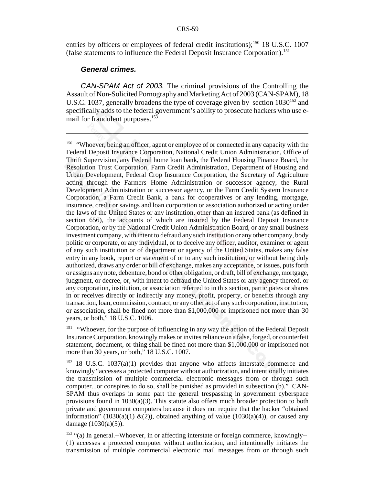entries by officers or employees of federal credit institutions);<sup>150</sup> 18 U.S.C. 1007 (false statements to influence the Federal Deposit Insurance Corporation).151

# *General crimes.*

*CAN-SPAM Act of 2003.* The criminal provisions of the Controlling the Assault of Non-Solicited Pornography and Marketing Act of 2003 (CAN-SPAM), 18 U.S.C. 1037, generally broadens the type of coverage given by section 1030<sup>152</sup> and specifically adds to the federal government's ability to prosecute hackers who use email for fraudulent purposes.<sup>153</sup>

<sup>151</sup> "Whoever, for the purpose of influencing in any way the action of the Federal Deposit Insurance Corporation, knowingly makes or invites reliance on a false, forged, or counterfeit statement, document, or thing shall be fined not more than \$1,000,000 or imprisoned not more than 30 years, or both," 18 U.S.C. 1007.

 $152$  18 U.S.C. 1037(a)(1) provides that anyone who affects interstate commerce and knowingly "accesses a protected computer without authorization, and intentionally initiates the transmission of multiple commercial electronic messages from or through such computer...or conspires to do so, shall be punished as provided in subsection (b)." CAN-SPAM thus overlaps in some part the general trespassing in government cyberspace provisions found in  $1030(a)(3)$ . This statute also offers much broader protection to both private and government computers because it does not require that the hacker "obtained information" (1030(a)(1)  $\&(2)$ ), obtained anything of value (1030(a)(4)), or caused any damage (1030(a)(5)).

<sup>153</sup> "(a) In general.--Whoever, in or affecting interstate or foreign commerce, knowingly--(1) accesses a protected computer without authorization, and intentionally initiates the transmission of multiple commercial electronic mail messages from or through such

<sup>&</sup>lt;sup>150</sup> "Whoever, being an officer, agent or employee of or connected in any capacity with the Federal Deposit Insurance Corporation, National Credit Union Administration, Office of Thrift Supervision, any Federal home loan bank, the Federal Housing Finance Board, the Resolution Trust Corporation, Farm Credit Administration, Department of Housing and Urban Development, Federal Crop Insurance Corporation, the Secretary of Agriculture acting through the Farmers Home Administration or successor agency, the Rural Development Administration or successor agency, or the Farm Credit System Insurance Corporation, a Farm Credit Bank, a bank for cooperatives or any lending, mortgage, insurance, credit or savings and loan corporation or association authorized or acting under the laws of the United States or any institution, other than an insured bank (as defined in section 656), the accounts of which are insured by the Federal Deposit Insurance Corporation, or by the National Credit Union Administration Board, or any small business investment company, with intent to defraud any such institution or any other company, body politic or corporate, or any individual, or to deceive any officer, auditor, examiner or agent of any such institution or of department or agency of the United States, makes any false entry in any book, report or statement of or to any such institution, or without being duly authorized, draws any order or bill of exchange, makes any acceptance, or issues, puts forth or assigns any note, debenture, bond or other obligation, or draft, bill of exchange, mortgage, judgment, or decree, or, with intent to defraud the United States or any agency thereof, or any corporation, institution, or association referred to in this section, participates or shares in or receives directly or indirectly any money, profit, property, or benefits through any transaction, loan, commission, contract, or any other act of any such corporation, institution, or association, shall be fined not more than \$1,000,000 or imprisoned not more than 30 years, or both," 18 U.S.C. 1006.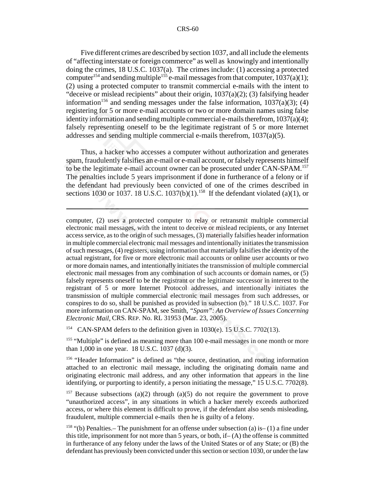Five different crimes are described by section 1037, and all include the elements of "affecting interstate or foreign commerce" as well as knowingly and intentionally doing the crimes, 18 U.S.C. 1037(a). The crimes include: (1) accessing a protected computer<sup>154</sup> and sending multiple<sup>155</sup> e-mail messages from that computer,  $1037(a)(1)$ ; (2) using a protected computer to transmit commercial e-mails with the intent to "deceive or mislead recipients" about their origin,  $1037(a)(2)$ ; (3) falsifying header information<sup>156</sup> and sending messages under the false information,  $1037(a)(3)$ ; (4) registering for 5 or more e-mail accounts or two or more domain names using false identity information and sending multiple commercial e-mails therefrom, 1037(a)(4); falsely representing oneself to be the legitimate registrant of 5 or more Internet addresses and sending multiple commercial e-mails therefrom, 1037(a)(5).

Thus, a hacker who accesses a computer without authorization and generates spam, fraudulently falsifies an e-mail or e-mail account, or falsely represents himself to be the legitimate e-mail account owner can be prosecuted under CAN-SPAM.157 The penalties include 5 years imprisonment if done in furtherance of a felony or if the defendant had previously been convicted of one of the crimes described in sections 1030 or 1037. 18 U.S.C. 1037(b)(1).<sup>158</sup> If the defendant violated (a)(1), or

computer, (2) uses a protected computer to relay or retransmit multiple commercial electronic mail messages, with the intent to deceive or mislead recipients, or any Internet access service, as to the origin of such messages, (3) materially falsifies header information in multiple commercial electronic mail messages and intentionally initiates the transmission of such messages, (4) registers, using information that materially falsifies the identity of the actual registrant, for five or more electronic mail accounts or online user accounts or two or more domain names, and intentionally initiates the transmission of multiple commercial electronic mail messages from any combination of such accounts or domain names, or (5) falsely represents oneself to be the registrant or the legitimate successor in interest to the registrant of 5 or more Internet Protocol addresses, and intentionally initiates the transmission of multiple commercial electronic mail messages from such addresses, or conspires to do so, shall be punished as provided in subsection (b)." 18 U.S.C. 1037. For more information on CAN-SPAM, see Smith, *"Spam": An Overview of Issues Concerning Electronic Mail*, CRS. REP. No. RL 31953 (Mar. 23, 2005).

<sup>154</sup> CAN-SPAM defers to the definition given in 1030(e). 15 U.S.C. 7702(13).

<sup>155</sup> "Multiple" is defined as meaning more than 100 e-mail messages in one month or more than 1,000 in one year. 18 U.S.C. 1037 (d)(3).

<sup>156</sup> "Header Information" is defined as "the source, destination, and routing information attached to an electronic mail message, including the originating domain name and originating electronic mail address, and any other information that appears in the line identifying, or purporting to identify, a person initiating the message," 15 U.S.C. 7702(8).

<sup>157</sup> Because subsections (a)(2) through (a)(5) do not require the government to prove "unauthorized access", in any situations in which a hacker merely exceeds authorized access, or where this element is difficult to prove, if the defendant also sends misleading, fraudulent, multiple commercial e-mails then he is guilty of a felony.

<sup>158</sup> "(b) Penalties.– The punishment for an offense under subsection (a) is–(1) a fine under this title, imprisonment for not more than 5 years, or both, if– (A) the offense is committed in furtherance of any felony under the laws of the United States or of any State; or (B) the defendant has previously been convicted under this section or section 1030, or under the law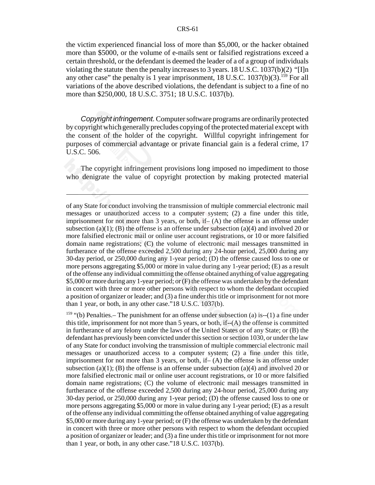the victim experienced financial loss of more than \$5,000, or the hacker obtained more than \$5000, or the volume of e-mails sent or falsified registrations exceed a certain threshold, or the defendant is deemed the leader of a of a group of individuals violating the statute then the penalty increases to 3 years. 18 U.S.C. 1037(b)(2) "[I]n any other case" the penalty is 1 year imprisonment, 18 U.S.C.  $1037(b)(3)$ .<sup>159</sup> For all variations of the above described violations, the defendant is subject to a fine of no more than \$250,000, 18 U.S.C. 3751; 18 U.S.C. 1037(b).

*Copyright infringement.* Computer software programs are ordinarily protected by copyright which generally precludes copying of the protected material except with the consent of the holder of the copyright. Willful copyright infringement for purposes of commercial advantage or private financial gain is a federal crime, 17 U.S.C. 506.

The copyright infringement provisions long imposed no impediment to those who denigrate the value of copyright protection by making protected material

of any State for conduct involving the transmission of multiple commercial electronic mail messages or unauthorized access to a computer system; (2) a fine under this title, imprisonment for not more than 3 years, or both,  $if_{-}(A)$  the offense is an offense under subsection (a)(1); (B) the offense is an offense under subsection (a)(4) and involved 20 or more falsified electronic mail or online user account registrations, or 10 or more falsified domain name registrations; (C) the volume of electronic mail messages transmitted in furtherance of the offense exceeded 2,500 during any 24-hour period, 25,000 during any 30-day period, or 250,000 during any 1-year period; (D) the offense caused loss to one or more persons aggregating \$5,000 or more in value during any 1-year period; (E) as a result of the offense any individual committing the offense obtained anything of value aggregating \$5,000 or more during any 1-year period; or (F) the offense was undertaken by the defendant in concert with three or more other persons with respect to whom the defendant occupied a position of organizer or leader; and (3) a fine under this title or imprisonment for not more than 1 year, or both, in any other case."18 U.S.C. 1037(b).

<sup>&</sup>lt;sup>159</sup> "(b) Penalties.– The punishment for an offense under subsection (a) is--(1) a fine under this title, imprisonment for not more than 5 years, or both, if--(A) the offense is committed in furtherance of any felony under the laws of the United States or of any State; or (B) the defendant has previously been convicted under this section or section 1030, or under the law of any State for conduct involving the transmission of multiple commercial electronic mail messages or unauthorized access to a computer system; (2) a fine under this title, imprisonment for not more than 3 years, or both,  $if-(A)$  the offense is an offense under subsection (a)(1); (B) the offense is an offense under subsection (a)(4) and involved 20 or more falsified electronic mail or online user account registrations, or 10 or more falsified domain name registrations; (C) the volume of electronic mail messages transmitted in furtherance of the offense exceeded 2,500 during any 24-hour period, 25,000 during any 30-day period, or 250,000 during any 1-year period; (D) the offense caused loss to one or more persons aggregating \$5,000 or more in value during any 1-year period; (E) as a result of the offense any individual committing the offense obtained anything of value aggregating \$5,000 or more during any 1-year period; or (F) the offense was undertaken by the defendant in concert with three or more other persons with respect to whom the defendant occupied a position of organizer or leader; and (3) a fine under this title or imprisonment for not more than 1 year, or both, in any other case."18 U.S.C. 1037(b).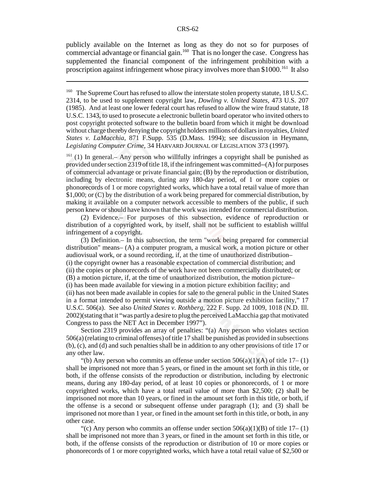publicly available on the Internet as long as they do not so for purposes of commercial advantage or financial gain.<sup>160</sup> That is no longer the case. Congress has supplemented the financial component of the infringement prohibition with a proscription against infringement whose piracy involves more than \$1000.161 It also

<sup>160</sup> The Supreme Court has refused to allow the interstate stolen property statute, 18 U.S.C. 2314, to be used to supplement copyright law, *Dowling v. United States*, 473 U.S. 207 (1985). And at least one lower federal court has refused to allow the wire fraud statute, 18 U.S.C. 1343, to used to prosecute a electronic bulletin board operator who invited others to post copyright protected software to the bulletin board from which it might be download without charge thereby denying the copyright holders millions of dollars in royalties, *United States v. LaMacchia*, 871 F.Supp. 535 (D.Mass. 1994); see discussion in Heymann, *Legislating Computer Crime*, 34 HARVARD JOURNAL OF LEGISLATION 373 (1997).

<sup>161</sup> (1) In general.— Any person who willfully infringes a copyright shall be punished as provided under section 2319 of title 18, if the infringement was committed--(A) for purposes of commercial advantage or private financial gain; (B) by the reproduction or distribution, including by electronic means, during any 180-day period, of 1 or more copies or phonorecords of 1 or more copyrighted works, which have a total retail value of more than \$1,000; or (C) by the distribution of a work being prepared for commercial distribution, by making it available on a computer network accessible to members of the public, if such person knew or should have known that the work was intended for commercial distribution.

(2) Evidence.– For purposes of this subsection, evidence of reproduction or distribution of a copyrighted work, by itself, shall not be sufficient to establish willful infringement of a copyright.

(3) Definition.– In this subsection, the term "work being prepared for commercial distribution" means– (A) a computer program, a musical work, a motion picture or other audiovisual work, or a sound recording, if, at the time of unauthorized distribution– (i) the copyright owner has a reasonable expectation of commercial distribution; and (ii) the copies or phonorecords of the work have not been commercially distributed; or (B) a motion picture, if, at the time of unauthorized distribution, the motion picture– (i) has been made available for viewing in a motion picture exhibition facility; and (ii) has not been made available in copies for sale to the general public in the United States in a format intended to permit viewing outside a motion picture exhibition facility," 17 U.S.C. 506(a). See also *United States v. Rothberg*, 222 F. Supp. 2d 1009, 1018 (N.D. Ill. 2002)(stating that it "was partly a desire to plug the perceived LaMacchia gap that motivated Congress to pass the NET Act in December 1997").

Section 2319 provides an array of penalties: "(a) Any person who violates section 506(a) (relating to criminal offenses) of title 17 shall be punished as provided in subsections (b), (c), and (d) and such penalties shall be in addition to any other provisions of title 17 or any other law.

"(b) Any person who commits an offense under section  $506(a)(1)(A)$  of title  $17-(1)$ shall be imprisoned not more than 5 years, or fined in the amount set forth in this title, or both, if the offense consists of the reproduction or distribution, including by electronic means, during any 180-day period, of at least 10 copies or phonorecords, of 1 or more copyrighted works, which have a total retail value of more than \$2,500; (2) shall be imprisoned not more than 10 years, or fined in the amount set forth in this title, or both, if the offense is a second or subsequent offense under paragraph (1); and (3) shall be imprisoned not more than 1 year, or fined in the amount set forth in this title, or both, in any other case.

"(c) Any person who commits an offense under section  $506(a)(1)(B)$  of title  $17-(1)$ shall be imprisoned not more than 3 years, or fined in the amount set forth in this title, or both, if the offense consists of the reproduction or distribution of 10 or more copies or phonorecords of 1 or more copyrighted works, which have a total retail value of \$2,500 or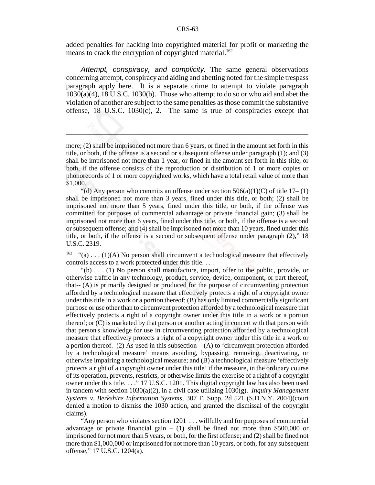added penalties for hacking into copyrighted material for profit or marketing the means to crack the encryption of copyrighted material.<sup>162</sup>

*Attempt, conspiracy, and complicity.* The same general observations concerning attempt, conspiracy and aiding and abetting noted for the simple trespass paragraph apply here. It is a separate crime to attempt to violate paragraph 1030(a)(4), 18 U.S.C. 1030(b). Those who attempt to do so or who aid and abet the violation of another are subject to the same penalties as those commit the substantive offense, 18 U.S.C. 1030(c), 2. The same is true of conspiracies except that

"(d) Any person who commits an offense under section  $506(a)(1)(C)$  of title  $17-(1)$ shall be imprisoned not more than 3 years, fined under this title, or both; (2) shall be imprisoned not more than 5 years, fined under this title, or both, if the offense was committed for purposes of commercial advantage or private financial gain; (3) shall be imprisoned not more than 6 years, fined under this title, or both, if the offense is a second or subsequent offense; and (4) shall be imprisoned not more than 10 years, fined under this title, or both, if the offense is a second or subsequent offense under paragraph (2)," 18 U.S.C. 2319.

<sup>162</sup> "(a) . . . (1)(A) No person shall circumvent a technological measure that effectively controls access to a work protected under this title. . . .

"(b) . . . (1) No person shall manufacture, import, offer to the public, provide, or otherwise traffic in any technology, product, service, device, component, or part thereof, that-- (A) is primarily designed or produced for the purpose of circumventing protection afforded by a technological measure that effectively protects a right of a copyright owner under this title in a work or a portion thereof; (B) has only limited commercially significant purpose or use other than to circumvent protection afforded by a technological measure that effectively protects a right of a copyright owner under this title in a work or a portion thereof; or (C) is marketed by that person or another acting in concert with that person with that person's knowledge for use in circumventing protection afforded by a technological measure that effectively protects a right of a copyright owner under this title in a work or a portion thereof. (2) As used in this subsection  $-(A)$  to 'circumvent protection afforded by a technological measure' means avoiding, bypassing, removing, deactivating, or otherwise impairing a technological measure; and (B) a technological measure 'effectively protects a right of a copyright owner under this title' if the measure, in the ordinary course of its operation, prevents, restricts, or otherwise limits the exercise of a right of a copyright owner under this title. . . ." 17 U.S.C. 1201. This digital copyright law has also been used in tandem with section 1030(a)(2), in a civil case utilizing 1030(g). *Inquiry Management Systems v. Berkshire Information Systems*, 307 F. Supp. 2d 521 (S.D.N.Y. 2004)(court denied a motion to dismiss the 1030 action, and granted the dismissal of the copyright claims).

"Any person who violates section 1201 . . . willfully and for purposes of commercial advantage or private financial gain  $- (1)$  shall be fined not more than \$500,000 or imprisoned for not more than 5 years, or both, for the first offense; and (2) shall be fined not more than \$1,000,000 or imprisoned for not more than 10 years, or both, for any subsequent offense," 17 U.S.C. 1204(a).

more; (2) shall be imprisoned not more than 6 years, or fined in the amount set forth in this title, or both, if the offense is a second or subsequent offense under paragraph (1); and (3) shall be imprisoned not more than 1 year, or fined in the amount set forth in this title, or both, if the offense consists of the reproduction or distribution of 1 or more copies or phonorecords of 1 or more copyrighted works, which have a total retail value of more than \$1,000.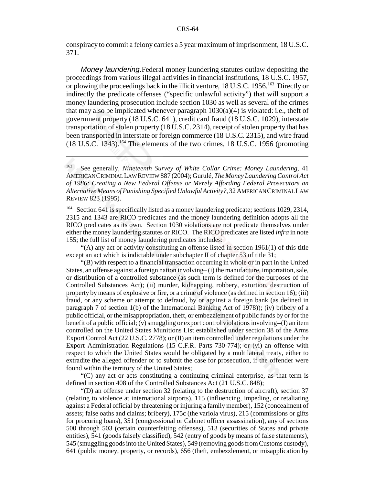conspiracy to commit a felony carries a 5 year maximum of imprisonment, 18 U.S.C. 371.

*Money laundering.*Federal money laundering statutes outlaw depositing the proceedings from various illegal activities in financial institutions, 18 U.S.C. 1957, or plowing the proceedings back in the illicit venture, 18 U.S.C. 1956.<sup>163</sup> Directly or indirectly the predicate offenses ("specific unlawful activity") that will support a money laundering prosecution include section 1030 as well as several of the crimes that may also be implicated whenever paragraph 1030(a)(4) is violated: i.e., theft of government property (18 U.S.C. 641), credit card fraud (18 U.S.C. 1029), interstate transportation of stolen property (18 U.S.C. 2314), receipt of stolen property that has been transported in interstate or foreign commerce (18 U.S.C. 2315), and wire fraud  $(18 \text{ U.S.C. } 1343)$ <sup>164</sup> The elements of the two crimes, 18 U.S.C. 1956 (promoting

<sup>164</sup> Section 641 is specifically listed as a money laundering predicate; sections 1029, 2314, 2315 and 1343 are RICO predicates and the money laundering definition adopts all the RICO predicates as its own. Section 1030 violations are not predicate themselves under either the money laundering statutes or RICO. The RICO predicates are listed *infra* in note 155; the full list of money laundering predicates includes:

 $\mathcal{H}(A)$  any act or activity constituting an offense listed in section 1961(1) of this title except an act which is indictable under subchapter II of chapter 53 of title 31;

"(B) with respect to a financial transaction occurring in whole or in part in the United States, an offense against a foreign nation involving– (i) the manufacture, importation, sale, or distribution of a controlled substance (as such term is defined for the purposes of the Controlled Substances Act); (ii) murder, kidnapping, robbery, extortion, destruction of property by means of explosive or fire, or a crime of violence (as defined in section 16); (iii) fraud, or any scheme or attempt to defraud, by or against a foreign bank (as defined in paragraph 7 of section 1(b) of the International Banking Act of 1978)); (iv) bribery of a public official, or the misappropriation, theft, or embezzlement of public funds by or for the benefit of a public official; (v) smuggling or export control violations involving--(I) an item controlled on the United States Munitions List established under section 38 of the Arms Export Control Act (22 U.S.C. 2778); or (II) an item controlled under regulations under the Export Administration Regulations (15 C.F.R. Parts 730-774); or (vi) an offense with respect to which the United States would be obligated by a multilateral treaty, either to extradite the alleged offender or to submit the case for prosecution, if the offender were found within the territory of the United States;

"(C) any act or acts constituting a continuing criminal enterprise, as that term is defined in section 408 of the Controlled Substances Act (21 U.S.C. 848);

"(D) an offense under section 32 (relating to the destruction of aircraft), section 37 (relating to violence at international airports), 115 (influencing, impeding, or retaliating against a Federal official by threatening or injuring a family member), 152 (concealment of assets; false oaths and claims; bribery), 175c (the variola virus), 215 (commissions or gifts for procuring loans), 351 (congressional or Cabinet officer assassination), any of sections 500 through 503 (certain counterfeiting offenses), 513 (securities of States and private entities), 541 (goods falsely classified), 542 (entry of goods by means of false statements), 545 (smuggling goods into the United States), 549 (removing goods from Customs custody), 641 (public money, property, or records), 656 (theft, embezzlement, or misapplication by

<sup>163</sup> See generally, *Nineteenth Survey of White Collar Crime: Money Laundering*, 41 AMERICAN CRIMINAL LAW REVIEW 887 (2004); Gurulé, *The Money Laundering Control Act of 1986: Creating a New Federal Offense or Merely Affording Federal Prosecutors an Alternative Means of Punishing Specified Unlawful Activity?*, 32 AMERICAN CRIMINAL LAW REVIEW 823 (1995).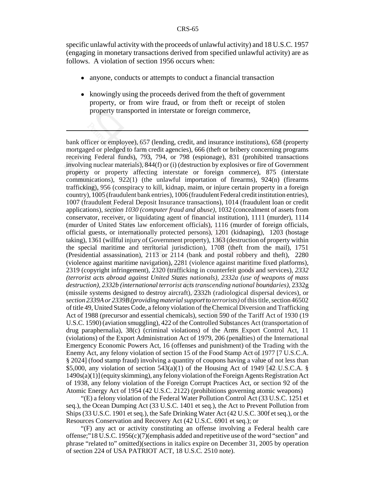specific unlawful activity with the proceeds of unlawful activity) and 18 U.S.C. 1957 (engaging in monetary transactions derived from specified unlawful activity) are as follows. A violation of section 1956 occurs when:

- anyone, conducts or attempts to conduct a financial transaction
- knowingly using the proceeds derived from the theft of government property, or from wire fraud, or from theft or receipt of stolen property transported in interstate or foreign commerce,

bank officer or employee), 657 (lending, credit, and insurance institutions), 658 (property mortgaged or pledged to farm credit agencies), 666 (theft or bribery concerning programs receiving Federal funds), 793, 794, or 798 (espionage), 831 (prohibited transactions involving nuclear materials), 844(f) or (i) (destruction by explosives or fire of Government property or property affecting interstate or foreign commerce), 875 (interstate communications),  $922(1)$  (the unlawful importation of firearms),  $924(n)$  (firearms trafficking), 956 (conspiracy to kill, kidnap, maim, or injure certain property in a foreign country), 1005 (fraudulent bank entries), 1006 (fraudulent Federal credit institution entries), 1007 (fraudulent Federal Deposit Insurance transactions), 1014 (fraudulent loan or credit applications), *section 1030 (computer fraud and abuse)*, 1032 (concealment of assets from conservator, receiver, or liquidating agent of financial institution), 1111 (murder), 1114 (murder of United States law enforcement officials), 1116 (murder of foreign officials, official guests, or internationally protected persons), 1201 (kidnaping), 1203 (hostage taking), 1361 (willful injury of Government property), 1363 (destruction of property within the special maritime and territorial jurisdiction), 1708 (theft from the mail), 1751 (Presidential assassination), 2113 or 2114 (bank and postal robbery and theft), 2280 (violence against maritime navigation), 2281 (violence against maritime fixed platforms), 2319 (copyright infringement), 2320 (trafficking in counterfeit goods and services), *2332 (terrorist acts abroad against United States nationals), 2332a (use of weapons of mass destruction), 2332b (international terrorist acts transcending national boundaries)*, 2332g (missile systems designed to destroy aircraft), 2332h (radiological dispersal devices), or *section 2339A or 2339B (providing material support to terrorists)* of this title, section 46502 of title 49, United States Code, a felony violation of the Chemical Diversion and Trafficking Act of 1988 (precursor and essential chemicals), section 590 of the Tariff Act of 1930 (19 U.S.C. 1590) (aviation smuggling), 422 of the Controlled Substances Act (transportation of drug paraphernalia), 38(c) (criminal violations) of the Arms Export Control Act, 11 (violations) of the Export Administration Act of 1979, 206 (penalties) of the International Emergency Economic Powers Act, 16 (offenses and punishment) of the Trading with the Enemy Act, any felony violation of section 15 of the Food Stamp Act of 1977 [7 U.S.C.A. § 2024] (food stamp fraud) involving a quantity of coupons having a value of not less than \$5,000, any violation of section  $543(a)(1)$  of the Housing Act of 1949 [42 U.S.C.A. § 1490s(a)(1)] (equity skimming), any felony violation of the Foreign Agents Registration Act of 1938, any felony violation of the Foreign Corrupt Practices Act, or section 92 of the Atomic Energy Act of 1954 (42 U.S.C. 2122) (prohibitions governing atomic weapons)

"(E) a felony violation of the Federal Water Pollution Control Act (33 U.S.C. 1251 et seq.), the Ocean Dumping Act (33 U.S.C. 1401 et seq.), the Act to Prevent Pollution from Ships (33 U.S.C. 1901 et seq.), the Safe Drinking Water Act (42 U.S.C. 300f et seq.), or the Resources Conservation and Recovery Act (42 U.S.C. 6901 et seq.); or

"(F) any act or activity constituting an offense involving a Federal health care offense;"18 U.S.C. 1956(c)(7)(emphasis added and repetitive use of the word "section" and phrase "related to" omitted)(sections in italics expire on December 31, 2005 by operation of section 224 of USA PATRIOT ACT, 18 U.S.C. 2510 note).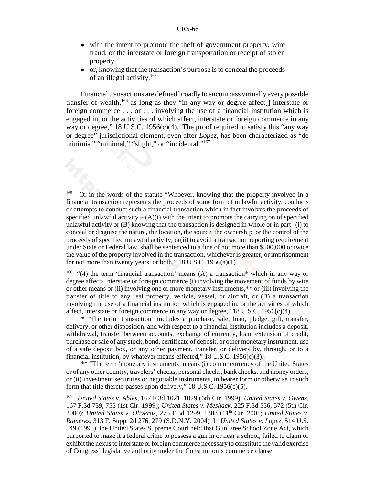- with the intent to promote the theft of government property, wire fraud, or the interstate or foreign transportation or receipt of stolen property.
- or, knowing that the transaction's purpose is to conceal the proceeds of an illegal activity.165

Financial transactions are defined broadly to encompass virtually every possible transfer of wealth,<sup>166</sup> as long as they "in any way or degree affect<sup>[]</sup> interstate or foreign commerce . . . or . . . involving the use of a financial institution which is engaged in, or the activities of which affect, interstate or foreign commerce in any way or degree," 18 U.S.C. 1956(c)(4). The proof required to satisfy this "any way or degree" jurisdictional element, even after *Lopez*, has been characterized as "de minimis," "minimal," "slight," or "incidental."<sup>167</sup>

<sup>166</sup> "(4) the term 'financial transaction' means (A) a transaction\* which in any way or degree affects interstate or foreign commerce (i) involving the movement of funds by wire or other means or (ii) involving one or more monetary instruments,\*\* or (iii) involving the transfer of title to any real property, vehicle, vessel, or aircraft, or (B) a transaction involving the use of a financial institution which is engaged in, or the activities of which affect, interstate or foreign commerce in any way or degree,"  $18$  U.S.C.  $1956(c)(4)$ .

\* "The term 'transaction' includes a purchase, sale, loan, pledge, gift, transfer, delivery, or other disposition, and with respect to a financial institution includes a deposit, withdrawal, transfer between accounts, exchange of currency, loan, extension of credit, purchase or sale of any stock, bond, certificate of deposit, or other monetary instrument, use of a safe deposit box, or any other payment, transfer, or delivery by, through, or to a financial institution, by whatever means effected,"  $18$  U.S.C.  $1956(c)(3)$ .

\*\* "The term 'monetary instruments' means (i) coin or currency of the United States or of any other country, travelers' checks, personal checks, bank checks, and money orders, or (ii) investment securities or negotiable instruments, in bearer form or otherwise in such form that title thereto passes upon delivery,"  $18$  U.S.C. 1956(c)(5).

<sup>&</sup>lt;sup>165</sup> Or in the words of the statute "Whoever, knowing that the property involved in a financial transaction represents the proceeds of some form of unlawful activity, conducts or attempts to conduct such a financial transaction which in fact involves the proceeds of specified unlawful activity  $-(A)(i)$  with the intent to promote the carrying on of specified unlawful activity or  $(B)$  knowing that the transaction is designed in whole or in part-- $(i)$  to conceal or disguise the nature, the location, the source, the ownership, or the control of the proceeds of specified unlawful activity; or(ii) to avoid a transaction reporting requirement under State or Federal law, shall be sentenced to a fine of not more than \$500,000 or twice the value of the property involved in the transaction, whichever is greater, or imprisonment for not more than twenty years, or both,"  $18$  U.S.C.  $1956(a)(1)$ .

<sup>167</sup> *United States v. Ables*, 167 F.3d 1021, 1029 (6th Cir. 1999); *United States v. Owens*, 167 F.3d 739, 755 (1st Cir. 1999); *United States v. Meshack*, 225 F.3d 556, 572 (5th Cir. 2000); *United States v. Oliveros*, 275 F.3d 1299, 1303 (11<sup>th</sup> Cir. 2001; *United States v. Ramerez*, 313 F. Supp. 2d 276, 279 (S.D.N.Y. 2004) In *United States v. Lopez*, 514 U.S. 549 (1995), the United States Supreme Court held that Gun Free School Zone Act, which purported to make it a federal crime to possess a gun in or near a school, failed to claim or exhibit the nexus to interstate or foreign commerce necessary to constitute the valid exercise of Congress' legislative authority under the Constitution's commerce clause.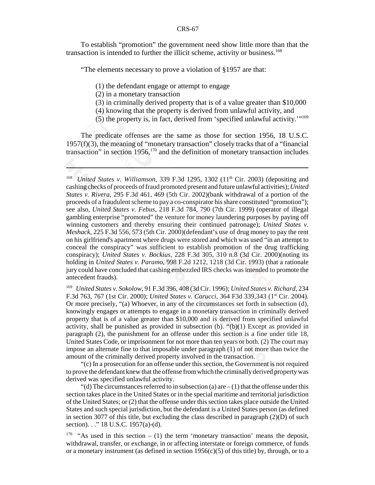To establish "promotion" the government need show little more than that the transaction is intended to further the illicit scheme, activity or business.<sup>168</sup>

"The elements necessary to prove a violation of §1957 are that:

- (1) the defendant engage or attempt to engage
- (2) in a monetary transaction
- (3) in criminally derived property that is of a value greater than \$10,000
- (4) knowing that the property is derived from unlawful activity, and
- (5) the property is, in fact, derived from 'specified unlawful activity.'"169

The predicate offenses are the same as those for section 1956, 18 U.S.C. 1957(f)(3), the meaning of "monetary transaction" closely tracks that of a "financial transaction" in section  $1956$ ,  $170$  and the definition of monetary transaction includes

169 *United States v. Sokolow*, 91 F.3d 396, 408 (3d Cir. 1996); *United States v. Richard*, 234 F.3d 763, 767 (1st Cir. 2000); *United States v. Carucci*, 364 F3d 339,343 (1st Cir. 2004). Or more precisely, "(a) Whoever, in any of the circumstances set forth in subsection (d), knowingly engages or attempts to engage in a monetary transaction in criminally derived property that is of a value greater than \$10,000 and is derived from specified unlawful activity, shall be punished as provided in subsection (b). "(b)(1) Except as provided in paragraph (2), the punishment for an offense under this section is a fine under title 18, United States Code, or imprisonment for not more than ten years or both. (2) The court may impose an alternate fine to that imposable under paragraph (1) of not more than twice the amount of the criminally derived property involved in the transaction.

"(c) In a prosecution for an offense under this section, the Government is not required to prove the defendant knew that the offense from which the criminally derived property was derived was specified unlawful activity.

"(d) The circumstances referred to in subsection (a) are  $-(1)$  that the offense under this section takes place in the United States or in the special maritime and territorial jurisdiction of the United States; or (2) that the offense under this section takes place outside the United States and such special jurisdiction, but the defendant is a United States person (as defined in section 3077 of this title, but excluding the class described in paragraph  $(2)(D)$  of such section). . ." 18 U.S.C. 1957(a)-(d).

<sup>170</sup> "As used in this section – (1) the term 'monetary transaction' means the deposit, withdrawal, transfer, or exchange, in or affecting interstate or foreign commerce, of funds or a monetary instrument (as defined in section  $1956(c)(5)$  of this title) by, through, or to a

<sup>&</sup>lt;sup>168</sup> United States v. Williamson, 339 F.3d 1295, 1302 (11<sup>th</sup> Cir. 2003) (depositing and cashing checks of proceeds of fraud promoted present and future unlawful activities); *United States v. Rivera*, 295 F.3d 461, 469 (5th Cir. 2002)(bank withdrawal of a portion of the proceeds of a fraudulent scheme to pay a co-conspirator his share constituted "promotion"); see also, *United States v. Febus*, 218 F.3d 784, 790 (7th Cir. 1999) (operator of illegal gambling enterprise "promoted" the venture for money laundering purposes by paying off winning customers and thereby ensuring their continued patronage); *United States v. Meshack*, 225 F.3d 556, 573 (5th Cir. 2000)(defendant's use of drug money to pay the rent on his girlfriend's apartment where drugs were stored and which was used "in an attempt to conceal the conspiracy" was sufficient to establish promotion of the drug trafficking conspiracy); *United States v. Bockius*, 228 F.3d 305, 310 n.8 (3d Cir. 2000)(noting its holding in *United States v. Paramo*, 998 F.2d 1212, 1218 (3d Cir. 1993) (that a rationale jury could have concluded that cashing embezzled IRS checks was intended to promote the antecedent frauds).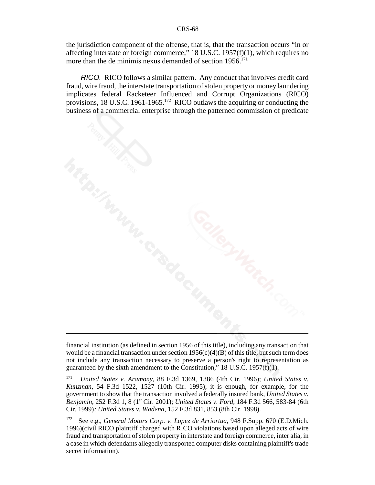the jurisdiction component of the offense, that is, that the transaction occurs "in or affecting interstate or foreign commerce," 18 U.S.C. 1957(f)(1), which requires no more than the de minimis nexus demanded of section 1956.<sup>171</sup>

*RICO.* RICO follows a similar pattern. Any conduct that involves credit card fraud, wire fraud, the interstate transportation of stolen property or money laundering implicates federal Racketeer Influenced and Corrupt Organizations (RICO) provisions, 18 U.S.C. 1961-1965.<sup>172</sup> RICO outlaws the acquiring or conducting the business of a commercial enterprise through the patterned commission of predicate

financial institution (as defined in section 1956 of this title), including any transaction that would be a financial transaction under section  $1956(c)(4)(B)$  of this title, but such term does not include any transaction necessary to preserve a person's right to representation as guaranteed by the sixth amendment to the Constitution," 18 U.S.C. 1957(f)(1).

<sup>171</sup> *United States v. Aramony*, 88 F.3d 1369, 1386 (4th Cir. 1996); *United States v. Kunzman*, 54 F.3d 1522, 1527 (10th Cir. 1995); it is enough, for example, for the government to show that the transaction involved a federally insured bank, *United States v. Benjamin*, 252 F.3d 1, 8 (1st Cir. 2001); *United States v. Ford*, 184 F.3d 566, 583-84 (6th Cir. 1999)*; United States v. Wadena*, 152 F.3d 831, 853 (8th Cir. 1998).

<sup>172</sup> See e.g., *General Motors Corp. v. Lopez de Arriortua*, 948 F.Supp. 670 (E.D.Mich. 1996)(civil RICO plaintiff charged with RICO violations based upon alleged acts of wire fraud and transportation of stolen property in interstate and foreign commerce, inter alia, in a case in which defendants allegedly transported computer disks containing plaintiff's trade secret information).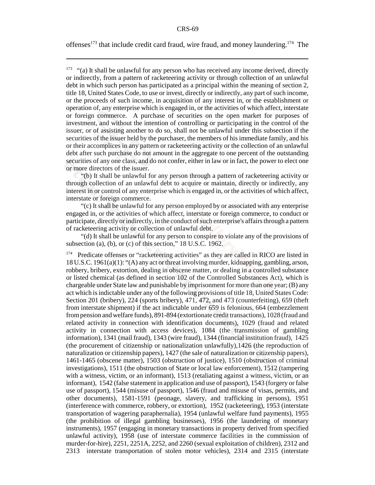offenses<sup>173</sup> that include credit card fraud, wire fraud, and money laundering.<sup>174</sup> The

<sup>173</sup> "(a) It shall be unlawful for any person who has received any income derived, directly or indirectly, from a pattern of racketeering activity or through collection of an unlawful debt in which such person has participated as a principal within the meaning of section 2, title 18, United States Code, to use or invest, directly or indirectly, any part of such income, or the proceeds of such income, in acquisition of any interest in, or the establishment or operation of, any enterprise which is engaged in, or the activities of which affect, interstate or foreign commerce. A purchase of securities on the open market for purposes of investment, and without the intention of controlling or participating in the control of the issuer, or of assisting another to do so, shall not be unlawful under this subsection if the securities of the issuer held by the purchaser, the members of his immediate family, and his or their accomplices in any pattern or racketeering activity or the collection of an unlawful debt after such purchase do not amount in the aggregate to one percent of the outstanding securities of any one class, and do not confer, either in law or in fact, the power to elect one or more directors of the issuer.

"(b) It shall be unlawful for any person through a pattern of racketeering activity or through collection of an unlawful debt to acquire or maintain, directly or indirectly, any interest in or control of any enterprise which is engaged in, or the activities of which affect, interstate or foreign commerce.

"(c) It shall be unlawful for any person employed by or associated with any enterprise engaged in, or the activities of which affect, interstate or foreign commerce, to conduct or participate, directly or indirectly, in the conduct of such enterprise's affairs through a pattern of racketeering activity or collection of unlawful debt.

"(d) It shall be unlawful for any person to conspire to violate any of the provisions of subsection (a), (b), or (c) of this section,"  $18$  U.S.C. 1962.

<sup>174</sup> Predicate offenses or "racketeering activities" as they are called in RICO are listed in 18 U.S.C. 1961(a)(1): "(A) any act or threat involving murder, kidnapping, gambling, arson, robbery, bribery, extortion, dealing in obscene matter, or dealing in a controlled substance or listed chemical (as defined in section 102 of the Controlled Substances Act), which is chargeable under State law and punishable by imprisonment for more than one year; (B) any act which is indictable under any of the following provisions of title 18, United States Code: Section 201 (bribery), 224 (sports bribery), 471, 472, and 473 (counterfeiting), 659 (theft from interstate shipment) if the act indictable under 659 is felonious, 664 (embezzlement from pension and welfare funds), 891-894 (extortionate credit transactions), 1028 (fraud and related activity in connection with identification documents), 1029 (fraud and related activity in connection with access devices), 1084 (the transmission of gambling information), 1341 (mail fraud), 1343 (wire fraud), 1344 (financial institution fraud), 1425 (the procurement of citizenship or nationalization unlawfully),1426 (the reproduction of naturalization or citizenship papers), 1427 (the sale of naturalization or citizenship papers), 1461-1465 (obscene matter), 1503 (obstruction of justice), 1510 (obstruction of criminal investigations), 1511 (the obstruction of State or local law enforcement), 1512 (tampering with a witness, victim, or an informant), 1513 (retaliating against a witness, victim, or an informant), 1542 (false statement in application and use of passport), 1543 (forgery or false use of passport), 1544 (misuse of passport), 1546 (fraud and misuse of visas, permits, and other documents), 1581-1591 (peonage, slavery, and trafficking in persons), 1951 (interference with commerce, robbery, or extortion), 1952 (racketeering), 1953 (interstate transportation of wagering paraphernalia), 1954 (unlawful welfare fund payments), 1955 (the prohibition of illegal gambling businesses), 1956 (the laundering of monetary instruments), 1957 (engaging in monetary transactions in property derived from specified unlawful activity), 1958 (use of interstate commerce facilities in the commission of murder-for-hire), 2251, 2251A, 2252, and 2260 (sexual exploitation of children), 2312 and 2313 interstate transportation of stolen motor vehicles), 2314 and 2315 (interstate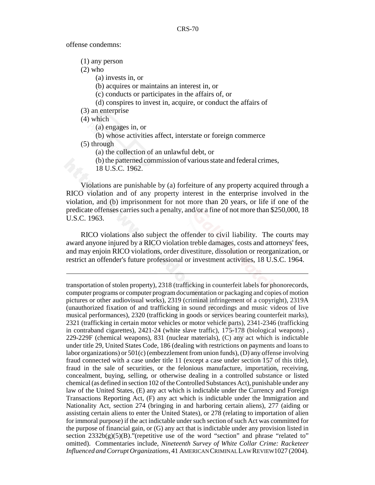offense condemns:

(1) any person

 $(2)$  who

(a) invests in, or

(b) acquires or maintains an interest in, or

(c) conducts or participates in the affairs of, or

(d) conspires to invest in, acquire, or conduct the affairs of

(3) an enterprise

(4) which

(a) engages in, or

(b) whose activities affect, interstate or foreign commerce

(5) through

(a) the collection of an unlawful debt, or

(b) the patterned commission of various state and federal crimes,

18 U.S.C. 1962.

Violations are punishable by (a) forfeiture of any property acquired through a RICO violation and of any property interest in the enterprise involved in the violation, and (b) imprisonment for not more than 20 years, or life if one of the predicate offenses carries such a penalty, and/or a fine of not more than \$250,000, 18 U.S.C. 1963.

RICO violations also subject the offender to civil liability. The courts may award anyone injured by a RICO violation treble damages, costs and attorneys' fees, and may enjoin RICO violations, order divestiture, dissolution or reorganization, or restrict an offender's future professional or investment activities, 18 U.S.C. 1964.

transportation of stolen property), 2318 (trafficking in counterfeit labels for phonorecords, computer programs or computer program documentation or packaging and copies of motion pictures or other audiovisual works), 2319 (criminal infringement of a copyright), 2319A (unauthorized fixation of and trafficking in sound recordings and music videos of live musical performances), 2320 (trafficking in goods or services bearing counterfeit marks), 2321 (trafficking in certain motor vehicles or motor vehicle parts), 2341-2346 (trafficking in contraband cigarettes), 2421-24 (white slave traffic), 175-178 (biological weapons) , 229-229F (chemical weapons), 831 (nuclear materials), (C) any act which is indictable under title 29, United States Code, 186 (dealing with restrictions on payments and loans to labor organizations) or 501(c) (embezzlement from union funds), (D) any offense involving fraud connected with a case under title 11 (except a case under section 157 of this title), fraud in the sale of securities, or the felonious manufacture, importation, receiving, concealment, buying, selling, or otherwise dealing in a controlled substance or listed chemical (as defined in section 102 of the Controlled Substances Act), punishable under any law of the United States, (E) any act which is indictable under the Currency and Foreign Transactions Reporting Act, (F) any act which is indictable under the Immigration and Nationality Act, section 274 (bringing in and harboring certain aliens), 277 (aiding or assisting certain aliens to enter the United States), or 278 (relating to importation of alien for immoral purpose) if the act indictable under such section of such Act was committed for the purpose of financial gain, or  $(G)$  any act that is indictable under any provision listed in section  $2332b(g)(5)(B)$ ."(repetitive use of the word "section" and phrase "related to" omitted). Commentaries include, *Nineteenth Survey of White Collar Crime: Racketeer Influenced and Corrupt Organizations*, 41 AMERICAN CRIMINAL LAW REVIEW1027 (2004).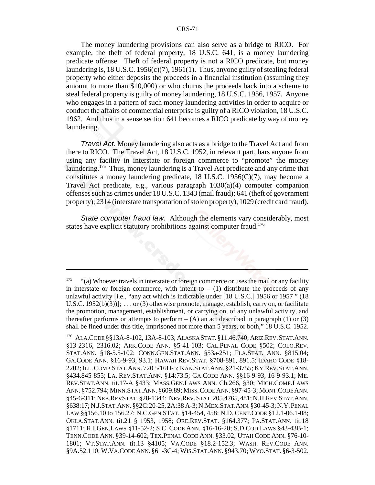The money laundering provisions can also serve as a bridge to RICO. For example, the theft of federal property, 18 U.S.C. 641, is a money laundering predicate offense. Theft of federal property is not a RICO predicate, but money laundering is,  $18 \text{ U.S.C. } 1956(c)(7)$ ,  $1961(1)$ . Thus, anyone guilty of stealing federal property who either deposits the proceeds in a financial institution (assuming they amount to more than \$10,000) or who churns the proceeds back into a scheme to steal federal property is guilty of money laundering, 18 U.S.C. 1956, 1957. Anyone who engages in a pattern of such money laundering activities in order to acquire or conduct the affairs of commercial enterprise is guilty of a RICO violation, 18 U.S.C. 1962. And thus in a sense section 641 becomes a RICO predicate by way of money laundering.

*Travel Act.* Money laundering also acts as a bridge to the Travel Act and from there to RICO. The Travel Act, 18 U.S.C. 1952, in relevant part, bars anyone from using any facility in interstate or foreign commerce to "promote" the money laundering.<sup>175</sup> Thus, money laundering is a Travel Act predicate and any crime that constitutes a money laundering predicate, 18 U.S.C. 1956(C)(7), may become a Travel Act predicate, e.g., various paragraph 1030(a)(4) computer companion offenses such as crimes under 18 U.S.C. 1343 (mail fraud); 641 (theft of government property); 2314 (interstate transportation of stolen property), 1029 (credit card fraud).

*State computer fraud law.* Although the elements vary considerably, most states have explicit statutory prohibitions against computer fraud.<sup>176</sup>

<sup>&</sup>lt;sup>175</sup> "(a) Whoever travels in interstate or foreign commerce or uses the mail or any facility in interstate or foreign commerce, with intent to  $- (1)$  distribute the proceeds of any unlawful activity [i.e., "any act which is indictable under [18 U.S.C.] 1956 or 1957 " (18 U.S.C.  $1952(b)(3)$ ]; ... or (3) otherwise promote, manage, establish, carry on, or facilitate the promotion, management, establishment, or carrying on, of any unlawful activity, and thereafter performs or attempts to perform  $- (A)$  an act described in paragraph (1) or (3) shall be fined under this title, imprisoned not more than 5 years, or both," 18 U.S.C. 1952.

<sup>176</sup> ALA.CODE §§13A-8-102, 13A-8-103; ALASKA STAT. §11.46.740; ARIZ.REV.STAT.ANN. §13-2316, 2316.02; ARK.CODE ANN. §5-41-103; CAL.PENAL CODE §502; COLO.REV. STAT.ANN. §18-5.5-102; CONN.GEN.STAT.ANN. §53a-251; FLA.STAT. ANN. §815.04; GA.CODE ANN. §16-9-93, 93.1; HAWAII REV.STAT. §708-891, 891.5; IDAHO CODE §18- 2202; ILL.COMP.STAT.ANN. 720 5/16D-5; KAN.STAT.ANN. §21-3755; KY.REV.STAT.ANN. §434.845-855; LA. REV.STAT.ANN. §14:73.5; GA.CODE ANN. §§16-9-93, 16-9-93.1; ME. REV.STAT.ANN. tit.17-A §433; MASS.GEN.LAWS ANN. Ch.266, §30; MICH.COMP.LAWS ANN. §752.794; MINN.STAT.ANN. §609.89; MISS.CODE ANN. §97-45-3; MONT.CODE ANN. §45-6-311; NEB.REVSTAT. §28-1344; NEV.REV.STAT. 205.4765, 481; N.H.REV.STAT.ANN. §638:17; N.J.STAT.ANN. §§2C:20-25, 2A:38 A-3; N.MEX.STAT.ANN.§30-45-3; N.Y.PENAL LAW §§156.10 to 156.27; N.C.GEN.STAT. §14-454, 458; N.D. CENT.CODE §12.1-06.1-08; OKLA.STAT.ANN. tit.21 § 1953, 1958; ORE.REV.STAT. §164.377; PA.STAT.ANN. tit.18 §1711; R.I.GEN.LAWS §11-52-2; S.C. CODE ANN. §16-16-20; S.D.COD.LAWS §43-43B-1; TENN.CODE ANN. §39-14-602; TEX.PENAL CODE ANN. §33.02; UTAH CODE ANN. §76-10- 1801; VT.STAT.ANN. tit.13 §4105; VA.CODE §18.2-152.3; WASH. REV.CODE ANN. §9A.52.110; W.VA.CODE ANN. §61-3C-4; WIS.STAT.ANN. §943.70; WYO.STAT. §6-3-502.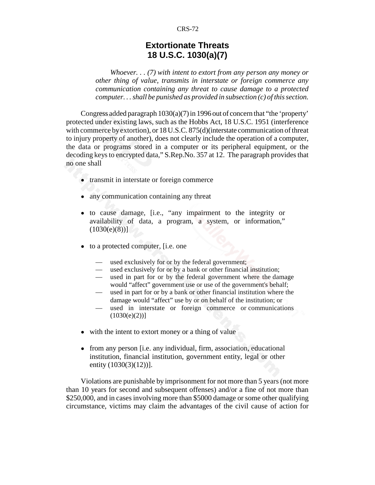# **Extortionate Threats 18 U.S.C. 1030(a)(7)**

*Whoever. . . (7) with intent to extort from any person any money or other thing of value, transmits in interstate or foreign commerce any communication containing any threat to cause damage to a protected computer. . . shall be punished as provided in subsection (c) of this section.*

Congress added paragraph 1030(a)(7) in 1996 out of concern that "the 'property' protected under existing laws, such as the Hobbs Act, 18 U.S.C. 1951 (interference with commerce by extortion), or 18 U.S.C. 875(d)(interstate communication of threat to injury property of another), does not clearly include the operation of a computer, the data or programs stored in a computer or its peripheral equipment, or the decoding keys to encrypted data," S.Rep.No. 357 at 12. The paragraph provides that no one shall

- transmit in interstate or foreign commerce
- any communication containing any threat
- ! to cause damage, [i.e., "any impairment to the integrity or availability of data, a program, a system, or information,"  $(1030(e)(8))]$
- to a protected computer, [i.e. one
	- used exclusively for or by the federal government;
	- used exclusively for or by a bank or other financial institution;
	- used in part for or by the federal government where the damage would "affect" government use or use of the government's behalf;
	- used in part for or by a bank or other financial institution where the damage would "affect" use by or on behalf of the institution; or
	- used in interstate or foreign commerce or communications  $(1030(e)(2))]$
- with the intent to extort money or a thing of value
- from any person [i.e. any individual, firm, association, educational institution, financial institution, government entity, legal or other entity  $(1030(3)(12))$ ].

Violations are punishable by imprisonment for not more than 5 years (not more than 10 years for second and subsequent offenses) and/or a fine of not more than \$250,000, and in cases involving more than \$5000 damage or some other qualifying circumstance, victims may claim the advantages of the civil cause of action for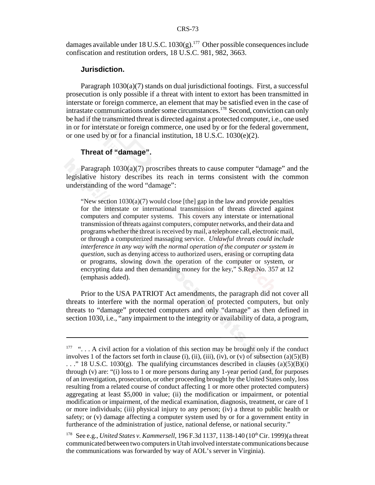damages available under 18 U.S.C. 1030(g).<sup>177</sup> Other possible consequences include confiscation and restitution orders, 18 U.S.C. 981, 982, 3663.

#### **Jurisdiction.**

Paragraph 1030(a)(7) stands on dual jurisdictional footings. First, a successful prosecution is only possible if a threat with intent to extort has been transmitted in interstate or foreign commerce, an element that may be satisfied even in the case of intrastate communications under some circumstances.178 Second, conviction can only be had if the transmitted threat is directed against a protected computer, i.e., one used in or for interstate or foreign commerce, one used by or for the federal government, or one used by or for a financial institution, 18 U.S.C. 1030(e)(2).

## **Threat of "damage".**

Paragraph  $1030(a)(7)$  proscribes threats to cause computer "damage" and the legislative history describes its reach in terms consistent with the common understanding of the word "damage":

"New section  $1030(a)(7)$  would close [the] gap in the law and provide penalties for the interstate or international transmission of threats directed against computers and computer systems. This covers any interstate or international transmission of threats against computers, computer networks, and their data and programs whether the threat is received by mail, a telephone call, electronic mail, or through a computerized massaging service. *Unlawful threats could include interference in any way with the normal operation of the computer or system in question*, such as denying access to authorized users, erasing or corrupting data or programs, slowing down the operation of the computer or system, or encrypting data and then demanding money for the key," S.Rep.No. 357 at 12 (emphasis added).

Prior to the USA PATRIOT Act amendments, the paragraph did not cover all threats to interfere with the normal operation of protected computers, but only threats to "damage" protected computers and only "damage" as then defined in section 1030, i.e., "any impairment to the integrity or availability of data, a program,

 $177$  "... A civil action for a violation of this section may be brought only if the conduct involves 1 of the factors set forth in clause (i), (ii), (iii), (iv), or (v) of subsection  $(a)(5)(B)$  $\ldots$ ." 18 U.S.C. 1030(g). The qualifying circumstances described in clauses (a)(5)(B)(i) through (v) are: "(i) loss to 1 or more persons during any 1-year period (and, for purposes of an investigation, prosecution, or other proceeding brought by the United States only, loss resulting from a related course of conduct affecting 1 or more other protected computers) aggregating at least \$5,000 in value; (ii) the modification or impairment, or potential modification or impairment, of the medical examination, diagnosis, treatment, or care of 1 or more individuals; (iii) physical injury to any person; (iv) a threat to public health or safety; or (v) damage affecting a computer system used by or for a government entity in furtherance of the administration of justice, national defense, or national security."

<sup>&</sup>lt;sup>178</sup> See e.g., *United States v. Kammersell*, 196 F.3d 1137, 1138-140 (10<sup>th</sup> Cir. 1999) (a threat communicated between two computers in Utah involved interstate communications because the communications was forwarded by way of AOL's server in Virginia).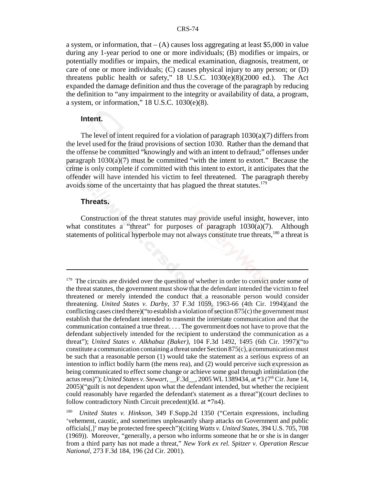a system, or information, that  $-(A)$  causes loss aggregating at least \$5,000 in value during any 1-year period to one or more individuals; (B) modifies or impairs, or potentially modifies or impairs, the medical examination, diagnosis, treatment, or care of one or more individuals; (C) causes physical injury to any person; or (D) threatens public health or safety," 18 U.S.C.  $1030(e)(8)(2000 ed.)$ . The Act expanded the damage definition and thus the coverage of the paragraph by reducing the definition to "any impairment to the integrity or availability of data, a program, a system, or information," 18 U.S.C. 1030(e)(8).

## **Intent.**

The level of intent required for a violation of paragraph 1030(a)(7) differs from the level used for the fraud provisions of section 1030. Rather than the demand that the offense be committed "knowingly and with an intent to defraud;" offenses under paragraph  $1030(a)(7)$  must be committed "with the intent to extort." Because the crime is only complete if committed with this intent to extort, it anticipates that the offender will have intended his victim to feel threatened. The paragraph thereby avoids some of the uncertainty that has plagued the threat statutes.<sup>179</sup>

## **Threats.**

Construction of the threat statutes may provide useful insight, however, into what constitutes a "threat" for purposes of paragraph  $1030(a)(7)$ . Although statements of political hyperbole may not always constitute true threats, <sup>180</sup> a threat is

<sup>&</sup>lt;sup>179</sup> The circuits are divided over the question of whether in order to convict under some of the threat statutes, the government must show that the defendant intended the victim to feel threatened or merely intended the conduct that a reasonable person would consider threatening. *United States v. Darby*, 37 F.3d 1059, 1963-66 (4th Cir. 1994)(and the conflicting cases cited there)("to establish a violation of section 875(c) the government must establish that the defendant intended to transmit the interstate communication and that the communication contained a true threat. . . . The government does not have to prove that the defendant subjectively intended for the recipient to understand the communication as a threat"); *United States v. Alkhabaz (Baker)*, 104 F.3d 1492, 1495 (6th Cir. 1997)("to constitute a communication containing a threat under Section 875(c), a communication must be such that a reasonable person (1) would take the statement as a serious express of an intention to inflict bodily harm (the mens rea), and (2) would perceive such expression as being communicated to effect some change or achieve some goal through intimidation (the actus reus)"); *United States v. Stewart*, F.3d \_, 2005 WL 1389434, at \*3 (7<sup>th</sup> Cir. June 14, 2005)("guilt is not dependent upon what the defendant intended, but whether the recipient could reasonably have regarded the defendant's statement as a threat")(court declines to follow contradictory Ninth Circuit precedent)(Id. at \*7n4).

<sup>180</sup> *United States v. Hinkson,* 349 F.Supp.2d 1350 ("Certain expressions, including 'vehement, caustic, and sometimes unpleasantly sharp attacks on Government and public officials[,]' may be protected free speech")(citing *Watts v. United States*, 394 U.S. 705, 708 (1969)). Moreover, "generally, a person who informs someone that he or she is in danger from a third party has not made a threat," *New York ex rel. Spitzer v. Operation Rescue National*, 273 F.3d 184, 196 (2d Cir. 2001).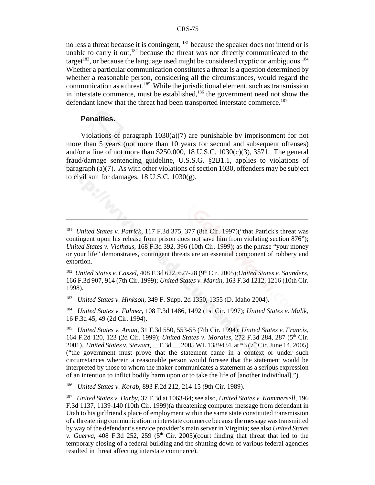no less a threat because it is contingent, 181 because the speaker does not intend or is unable to carry it out,<sup>182</sup> because the threat was not directly communicated to the  $t \text{ are} t^{183}$ , or because the language used might be considered cryptic or ambiguous.<sup>184</sup> Whether a particular communication constitutes a threat is a question determined by whether a reasonable person, considering all the circumstances, would regard the communication as a threat.<sup>185</sup> While the jurisdictional element, such as transmission in interstate commerce, must be established,<sup>186</sup> the government need not show the defendant knew that the threat had been transported interstate commerce.<sup>187</sup>

## **Penalties.**

Violations of paragraph 1030(a)(7) are punishable by imprisonment for not more than 5 years (not more than 10 years for second and subsequent offenses) and/or a fine of not more than \$250,000, 18 U.S.C.  $1030(c)(3)$ ,  $3571$ . The general fraud/damage sentencing guideline, U.S.S.G. §2B1.1, applies to violations of paragraph (a)(7). As with other violations of section 1030, offenders may be subject to civil suit for damages, 18 U.S.C. 1030(g).

<sup>183</sup> *United States v. Hinkson*, 349 F. Supp. 2d 1350, 1355 (D. Idaho 2004).

184 *United States v. Fulmer*, 108 F.3d 1486, 1492 (1st Cir. 1997); *United States v. Malik*, 16 F.3d 45, 49 (2d Cir. 1994).

185 *United States v. Aman*, 31 F.3d 550, 553-55 (7th Cir. 1994); *United States v. Francis*, 164 F.2d 120, 123 (2d Cir. 1999); *United States v. Morales*, 272 F.3d 284, 287 (5<sup>th</sup> Cir. 2001). *United States v. Stewart*, \_\_F.3d\_\_, 2005 WL 1389434, at \*3 (7th Cir. June 14, 2005) ("the government must prove that the statement came in a context or under such circumstances wherein a reasonable person would foresee that the statement would be interpreted by those to whom the maker communicates a statement as a serious expression of an intention to inflict bodily harm upon or to take the life of [another individual].")

186 *United States v. Korab*, 893 F.2d 212, 214-15 (9th Cir. 1989).

<sup>181</sup> *United States v. Patrick*, 117 F.3d 375, 377 (8th Cir. 1997)("that Patrick's threat was contingent upon his release from prison does not save him from violating section 876"); *United States v. Viefhaus*, 168 F.3d 392, 396 (10th Cir. 1999); as the phrase "your money or your life" demonstrates, contingent threats are an essential component of robbery and extortion.

<sup>182</sup> *United States v. Cassel*, 408 F.3d 622, 627-28 (9th Cir. 2005);*United States v. Saunders*, 166 F.3d 907, 914 (7th Cir. 1999); *United States v. Martin*, 163 F.3d 1212, 1216 (10th Cir. 1998).

<sup>187</sup> *United States v. Darby*, 37 F.3d at 1063-64; see also, *United States v. Kammersell*, 196 F.3d 1137, 1139-140 (10th Cir. 1999)(a threatening computer message from defendant in Utah to his girlfriend's place of employment within the same state constituted transmission of a threatening communication in interstate commerce because the message was transmitted by way of the defendant's service provider's main server in Virginia; see also *United States v. Guerva*, 408 F.3d 252, 259  $(S<sup>th</sup>$  Cir. 2005)(court finding that threat that led to the temporary closing of a federal building and the shutting down of various federal agencies resulted in threat affecting interstate commerce).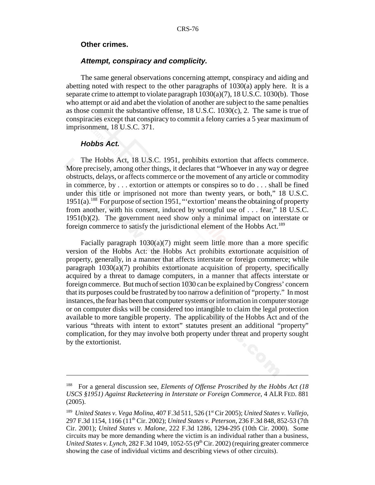## **Other crimes.**

## *Attempt, conspiracy and complicity.*

The same general observations concerning attempt, conspiracy and aiding and abetting noted with respect to the other paragraphs of 1030(a) apply here. It is a separate crime to attempt to violate paragraph 1030(a)(7), 18 U.S.C. 1030(b). Those who attempt or aid and abet the violation of another are subject to the same penalties as those commit the substantive offense, 18 U.S.C. 1030(c), 2. The same is true of conspiracies except that conspiracy to commit a felony carries a 5 year maximum of imprisonment, 18 U.S.C. 371.

#### *Hobbs Act.*

The Hobbs Act, 18 U.S.C. 1951, prohibits extortion that affects commerce. More precisely, among other things, it declares that "Whoever in any way or degree obstructs, delays, or affects commerce or the movement of any article or commodity in commerce, by . . . extortion or attempts or conspires so to do . . . shall be fined under this title or imprisoned not more than twenty years, or both," 18 U.S.C.  $1951(a)$ .<sup>188</sup> For purpose of section 1951, "extortion' means the obtaining of property from another, with his consent, induced by wrongful use of . . . fear," 18 U.S.C. 1951(b)(2). The government need show only a minimal impact on interstate or foreign commerce to satisfy the jurisdictional element of the Hobbs Act.<sup>189</sup>

Facially paragraph  $1030(a)(7)$  might seem little more than a more specific version of the Hobbs Act: the Hobbs Act prohibits extortionate acquisition of property, generally, in a manner that affects interstate or foreign commerce; while paragraph  $1030(a)(7)$  prohibits extortionate acquisition of property, specifically acquired by a threat to damage computers, in a manner that affects interstate or foreign commerce. But much of section 1030 can be explained by Congress' concern that its purposes could be frustrated by too narrow a definition of "property." In most instances, the fear has been that computer systems or information in computer storage or on computer disks will be considered too intangible to claim the legal protection available to more tangible property. The applicability of the Hobbs Act and of the various "threats with intent to extort" statutes present an additional "property" complication, for they may involve both property under threat and property sought by the extortionist.

<sup>188</sup> For a general discussion see, *Elements of Offense Proscribed by the Hobbs Act (18 USCS §1951) Against Racketeering in Interstate or Foreign Commerce*, 4 ALR FED. 881 (2005).

<sup>&</sup>lt;sup>189</sup> *United States v. Vega Molina*, 407 F.3d 511, 526 (1<sup>st</sup> Cir 2005); *United States v. Vallejo*, 297 F.3d 1154, 1166 (11th Cir. 2002); *United States v. Peterson*, 236 F.3d 848, 852-53 (7th Cir. 2001); *United States v. Malone*, 222 F.3d 1286, 1294-295 (10th Cir. 2000). Some circuits may be more demanding where the victim is an individual rather than a business, *United States v. Lynch*, 282 F.3d 1049, 1052-55 (9<sup>th</sup> Cir. 2002) (requiring greater commerce showing the case of individual victims and describing views of other circuits).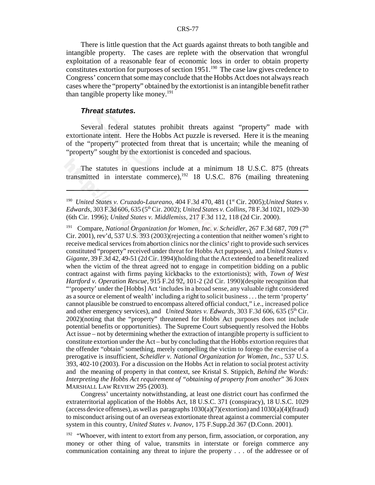There is little question that the Act guards against threats to both tangible and intangible property. The cases are replete with the observation that wrongful exploitation of a reasonable fear of economic loss in order to obtain property constitutes extortion for purposes of section  $1951$ <sup>190</sup>. The case law gives credence to Congress' concern that some may conclude that the Hobbs Act does not always reach cases where the "property" obtained by the extortionist is an intangible benefit rather than tangible property like money.<sup>191</sup>

#### *Threat statutes.*

Several federal statutes prohibit threats against "property" made with extortionate intent. Here the Hobbs Act puzzle is reversed. Here it is the meaning of the "property" protected from threat that is uncertain; while the meaning of "property" sought by the extortionist is conceded and spacious.

The statutes in questions include at a minimum 18 U.S.C. 875 (threats transmitted in interstate commerce),<sup>192</sup> 18 U.S.C. 876 (mailing threatening

<sup>191</sup> Compare, *National Organization for Women, Inc. v. Scheidler*, 267 F.3d 687, 709 (7<sup>th</sup> Cir. 2001), rev'd, 537 U.S. 393 (2003)(rejecting a contention that neither women's right to receive medical services from abortion clinics nor the clinics' right to provide such services constituted "property" received under threat for Hobbs Act purposes), and *United States v. Gigante*, 39 F.3d 42, 49-51 (2d Cir. 1994)(holding that the Act extended to a benefit realized when the victim of the threat agreed not to engage in competition bidding on a public contract against with firms paying kickbacks to the extortionists); with, *Town of West Hartford v. Operation Rescue*, 915 F.2d 92, 101-2 (2d Cir. 1990)(despite recognition that "'property' under the [Hobbs] Act 'includes in a broad sense, any valuable right considered as a source or element of wealth' including a right to solicit business . . . the term 'property' cannot plausible be construed to encompass altered official conduct," i.e., increased police and other emergency services), and *United States v. Edwards*, 303 F.3d 606, 635 (5<sup>th</sup> Cir. 2002)(noting that the "property" threatened for Hobbs Act purposes does not include potential benefits or opportunities). The Supreme Court subsequently resolved the Hobbs Act issue – not by determining whether the extraction of intangible property is sufficient to constitute extortion under the Act – but by concluding that the Hobbs extortion requires that the offender "obtain" something, merely compelling the victim to forego the exercise of a prerogative is insufficient, *Scheidler v. National Organization for Women, Inc.*, 537 U.S. 393, 402-10 (2003). For a discussion on the Hobbs Act in relation to social protest activity and the meaning of property in that context, see Kristal S. Stippich, *Behind the Words: Interpreting the Hobbs Act requirement of "obtaining of property from another*" 36 JOHN MARSHALL LAW REVIEW 295 (2003).

Congress' uncertainty notwithstanding, at least one district court has confirmed the extraterritorial application of the Hobbs Act, 18 U.S.C. 371 (conspiracy), 18 U.S.C. 1029 (access device offenses), as well as paragraphs  $1030(a)(7)($ extortion) and  $1030(a)(4)($ fraud) to misconduct arising out of an overseas extortionate threat against a commercial computer system in this country, *United States v. Ivanov*, 175 F.Supp.2d 367 (D.Conn. 2001).

<sup>192</sup> "Whoever, with intent to extort from any person, firm, association, or corporation, any money or other thing of value, transmits in interstate or foreign commerce any communication containing any threat to injure the property . . . of the addressee or of

<sup>&</sup>lt;sup>190</sup> *United States v. Cruzado-Laureano*, 404 F.3d 470, 481 (1<sup>st</sup> Cir. 2005);*United States v. Edwards*, 303 F.3d 606, 635 (5th Cir. 2002); *United States v. Collins*, 78 F.3d 1021, 1029-30 (6th Cir. 1996); *United States v. Middlemiss*, 217 F.3d 112, 118 (2d Cir. 2000).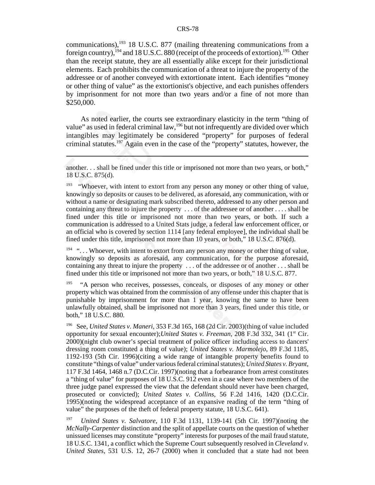communications), $^{193}$  18 U.S.C. 877 (mailing threatening communications from a foreign country),  $194$  and 18 U.S.C. 880 (receipt of the proceeds of extortion). <sup>195</sup> Other than the receipt statute, they are all essentially alike except for their jurisdictional elements. Each prohibits the communication of a threat to injure the property of the addressee or of another conveyed with extortionate intent. Each identifies "money or other thing of value" as the extortionist's objective, and each punishes offenders by imprisonment for not more than two years and/or a fine of not more than \$250,000.

As noted earlier, the courts see extraordinary elasticity in the term "thing of value" as used in federal criminal law,<sup>196</sup> but not infrequently are divided over which intangibles may legitimately be considered "property" for purposes of federal criminal statutes.197 Again even in the case of the "property" statutes, however, the

<sup>194</sup> "... Whoever, with intent to extort from any person any money or other thing of value, knowingly so deposits as aforesaid, any communication, for the purpose aforesaid, containing any threat to injure the property . . . of the addressee or of another . . . shall be fined under this title or imprisoned not more than two years, or both," 18 U.S.C. 877.

<sup>195</sup> "A person who receives, possesses, conceals, or disposes of any money or other property which was obtained from the commission of any offense under this chapter that is punishable by imprisonment for more than 1 year, knowing the same to have been unlawfully obtained, shall be imprisoned not more than 3 years, fined under this title, or both," 18 U.S.C. 880.

196 See, *United States v. Maneri,* 353 F.3d 165, 168 (2d Cir. 2003)(thing of value included opportunity for sexual encounter);*United States v. Freeman*, 208 F.3d 332, 341 (1<sup>st</sup> Cir. 2000)(night club owner's special treatment of police officer including access to dancers' dressing room constituted a thing of value); *United States v. Marmolejo*, 89 F.3d 1185, 1192-193 (5th Cir. 1996)(citing a wide range of intangible property benefits found to constitute "things of value" under various federal criminal statutes); *United States v. Bryant*, 117 F.3d 1464, 1468 n.7 (D.C.Cir. 1997)(noting that a forbearance from arrest constitutes a "thing of value" for purposes of 18 U.S.C. 912 even in a case where two members of the three judge panel expressed the view that the defendant should never have been charged, prosecuted or convicted); *United States v. Collins*, 56 F.2d 1416, 1420 (D.C.Cir. 1995)(noting the widespread acceptance of an expansive reading of the term "thing of value" the purposes of the theft of federal property statute, 18 U.S.C. 641).

197 *United States v. Salvatore*, 110 F.3d 1131, 1139-141 (5th Cir. 1997)(noting the *McNally-Carpenter* distinction and the split of appellate courts on the question of whether unissued licenses may constitute "property" interests for purposes of the mail fraud statute, 18 U.S.C. 1341, a conflict which the Supreme Court subsequently resolved in *Cleveland v. United States*, 531 U.S. 12, 26-7 (2000) when it concluded that a state had not been

another. . . shall be fined under this title or imprisoned not more than two years, or both," 18 U.S.C. 875(d).

<sup>&</sup>lt;sup>193</sup> "Whoever, with intent to extort from any person any money or other thing of value, knowingly so deposits or causes to be delivered, as aforesaid, any communication, with or without a name or designating mark subscribed thereto, addressed to any other person and containing any threat to injure the property . . . of the addressee or of another . . . . shall be fined under this title or imprisoned not more than two years, or both. If such a communication is addressed to a United Stats judge, a federal law enforcement officer, or an official who is covered by section 1114 [any federal employee], the individual shall be fined under this title, imprisoned not more than 10 years, or both," 18 U.S.C. 876(d).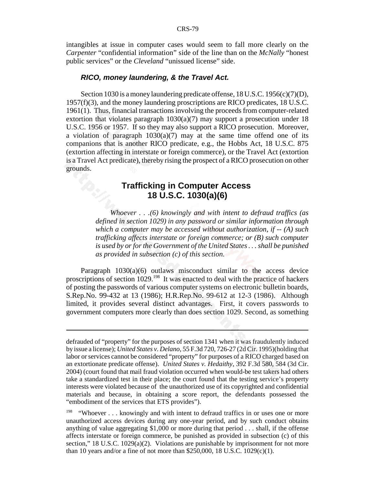intangibles at issue in computer cases would seem to fall more clearly on the *Carpenter* "confidential information" side of the line than on the *McNally* "honest public services" or the *Cleveland* "unissued license" side.

## *RICO, money laundering, & the Travel Act.*

Section 1030 is a money laundering predicate offense, 18 U.S.C. 1956(c)(7)(D), 1957(f)(3), and the money laundering proscriptions are RICO predicates, 18 U.S.C. 1961(1). Thus, financial transactions involving the proceeds from computer-related extortion that violates paragraph  $1030(a)(7)$  may support a prosecution under 18 U.S.C. 1956 or 1957. If so they may also support a RICO prosecution. Moreover, a violation of paragraph  $1030(a)(7)$  may at the same time offend one of its companions that is another RICO predicate, e.g., the Hobbs Act, 18 U.S.C. 875 (extortion affecting in interstate or foreign commerce), or the Travel Act (extortion is a Travel Act predicate), thereby rising the prospect of a RICO prosecution on other grounds.

# **Trafficking in Computer Access 18 U.S.C. 1030(a)(6)**

*Whoever . . .(6) knowingly and with intent to defraud traffics (as defined in section 1029) in any password or similar information through which a computer may be accessed without authorization, if -- (A) such trafficking affects interstate or foreign commerce; or (B) such computer is used by or for the Government of the United States . . . shall be punished as provided in subsection (c) of this section.*

Paragraph  $1030(a)(6)$  outlaws misconduct similar to the access device proscriptions of section 1029.<sup>198</sup> It was enacted to deal with the practice of hackers of posting the passwords of various computer systems on electronic bulletin boards, S.Rep.No. 99-432 at 13 (1986); H.R.Rep.No. 99-612 at 12-3 (1986). Although limited, it provides several distinct advantages. First, it covers passwords to government computers more clearly than does section 1029. Second, as something

defrauded of "property" for the purposes of section 1341 when it was fraudulently induced by issue a license); *United States v. Delano*, 55 F.3d 720, 726-27 (2d Cir. 1995)(holding that labor or services cannot be considered "property" for purposes of a RICO charged based on an extortionate predicate offense). *United States v. Hedaithy*, 392 F.3d 580, 584 (3d Cir. 2004) (court found that mail fraud violation occurred when would-be test takers had others take a standardized test in their place; the court found that the testing service's property interests were violated because of the unauthorized use of its copyrighted and confidential materials and because, in obtaining a score report, the defendants possessed the "embodiment of the services that ETS provides").

<sup>&</sup>lt;sup>198</sup> "Whoever . . . knowingly and with intent to defraud traffics in or uses one or more unauthorized access devices during any one-year period, and by such conduct obtains anything of value aggregating \$1,000 or more during that period . . . shall, if the offense affects interstate or foreign commerce, be punished as provided in subsection (c) of this section," 18 U.S.C. 1029(a)(2). Violations are punishable by imprisonment for not more than 10 years and/or a fine of not more than \$250,000, 18 U.S.C. 1029(c)(1).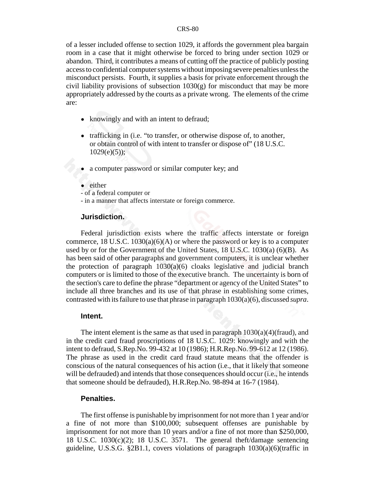of a lesser included offense to section 1029, it affords the government plea bargain room in a case that it might otherwise be forced to bring under section 1029 or abandon. Third, it contributes a means of cutting off the practice of publicly posting access to confidential computer systems without imposing severe penalties unless the misconduct persists. Fourth, it supplies a basis for private enforcement through the civil liability provisions of subsection 1030(g) for misconduct that may be more appropriately addressed by the courts as a private wrong. The elements of the crime are:

- knowingly and with an intent to defraud;
- trafficking in (i.e. "to transfer, or otherwise dispose of, to another, or obtain control of with intent to transfer or dispose of" (18 U.S.C.  $1029(e)(5)$ ;
- a computer password or similar computer key; and
- either
- of a federal computer or
- in a manner that affects interstate or foreign commerce.

#### **Jurisdiction.**

Federal jurisdiction exists where the traffic affects interstate or foreign commerce, 18 U.S.C.  $1030(a)(6)(A)$  or where the password or key is to a computer used by or for the Government of the United States,  $18 \text{ U.S.C. } 1030(a)$  (6)(B). As has been said of other paragraphs and government computers, it is unclear whether the protection of paragraph  $1030(a)(6)$  cloaks legislative and judicial branch computers or is limited to those of the executive branch. The uncertainty is born of the section's care to define the phrase "department or agency of the United States" to include all three branches and its use of that phrase in establishing some crimes, contrasted with its failure to use that phrase in paragraph 1030(a)(6), discussed *supra*.

#### **Intent.**

The intent element is the same as that used in paragraph  $1030(a)(4)$ (fraud), and in the credit card fraud proscriptions of 18 U.S.C. 1029: knowingly and with the intent to defraud, S.Rep.No. 99-432 at 10 (1986); H.R.Rep.No. 99-612 at 12 (1986). The phrase as used in the credit card fraud statute means that the offender is conscious of the natural consequences of his action (i.e., that it likely that someone will be defrauded) and intends that those consequences should occur (i.e., he intends that someone should be defrauded), H.R.Rep.No. 98-894 at 16-7 (1984).

## **Penalties.**

The first offense is punishable by imprisonment for not more than 1 year and/or a fine of not more than \$100,000; subsequent offenses are punishable by imprisonment for not more than 10 years and/or a fine of not more than \$250,000, 18 U.S.C. 1030(c)(2); 18 U.S.C. 3571. The general theft/damage sentencing guideline, U.S.S.G. §2B1.1, covers violations of paragraph 1030(a)(6)(traffic in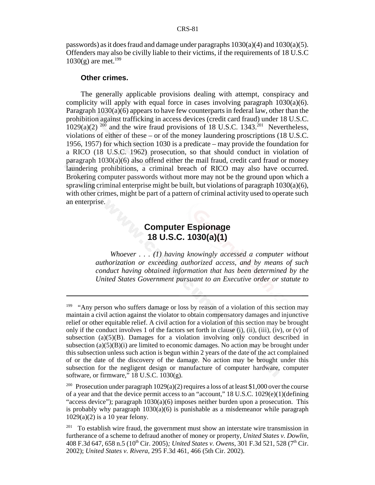passwords) as it does fraud and damage under paragraphs  $1030(a)(4)$  and  $1030(a)(5)$ . Offenders may also be civilly liable to their victims, if the requirements of 18 U.S.C  $1030(g)$  are met.<sup>199</sup>

## **Other crimes.**

The generally applicable provisions dealing with attempt, conspiracy and complicity will apply with equal force in cases involving paragraph  $1030(a)(6)$ . Paragraph 1030(a)(6) appears to have few counterparts in federal law, other than the prohibition against trafficking in access devices (credit card fraud) under 18 U.S.C.  $1029(a)(2)^{200}$  and the wire fraud provisions of 18 U.S.C. 1343.<sup>201</sup> Nevertheless, violations of either of these – or of the money laundering proscriptions (18 U.S.C. 1956, 1957) for which section 1030 is a predicate – may provide the foundation for a RICO (18 U.S.C. 1962) prosecution, so that should conduct in violation of paragraph  $1030(a)(6)$  also offend either the mail fraud, credit card fraud or money laundering prohibitions, a criminal breach of RICO may also have occurred. Brokering computer passwords without more may not be the ground upon which a sprawling criminal enterprise might be built, but violations of paragraph 1030(a)(6), with other crimes, might be part of a pattern of criminal activity used to operate such an enterprise.

# **Computer Espionage 18 U.S.C. 1030(a)(1)**

*Whoever . . . (1) having knowingly accessed a computer without authorization or exceeding authorized access, and by means of such conduct having obtained information that has been determined by the United States Government pursuant to an Executive order or statute to*

<sup>&</sup>lt;sup>199</sup> "Any person who suffers damage or loss by reason of a violation of this section may maintain a civil action against the violator to obtain compensatory damages and injunctive relief or other equitable relief. A civil action for a violation of this section may be brought only if the conduct involves 1 of the factors set forth in clause  $(i)$ ,  $(ii)$ ,  $(iii)$ ,  $(iv)$ , or  $(v)$  of subsection (a) $(5)(B)$ . Damages for a violation involving only conduct described in subsection (a) $(5)(B)(i)$  are limited to economic damages. No action may be brought under this subsection unless such action is begun within 2 years of the date of the act complained of or the date of the discovery of the damage. No action may be brought under this subsection for the negligent design or manufacture of computer hardware, computer software, or firmware," 18 U.S.C. 1030(g).

<sup>&</sup>lt;sup>200</sup> Prosecution under paragraph 1029(a)(2) requires a loss of at least \$1,000 over the course of a year and that the device permit access to an "account," 18 U.S.C. 1029(e)(1)(defining "access device"); paragraph 1030(a)(6) imposes neither burden upon a prosecution. This is probably why paragraph  $1030(a)(6)$  is punishable as a misdemeanor while paragraph  $1029(a)(2)$  is a 10 year felony.

 $201$  To establish wire fraud, the government must show an interstate wire transmission in furtherance of a scheme to defraud another of money or property, *United States v. Dowlin,* 408 F.3d 647, 658 n.5 (10<sup>th</sup> Cir. 2005); United States v. Owens, 301 F.3d 521, 528 (7<sup>th</sup> Cir. 2002); *United States v. Rivera*, 295 F.3d 461, 466 (5th Cir. 2002).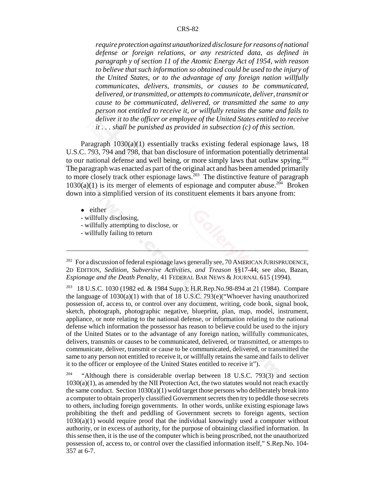*require protection against unauthorized disclosure for reasons of national defense or foreign relations, or any restricted data, as defined in paragraph y of section 11 of the Atomic Energy Act of 1954, with reason to believe that such information so obtained could be used to the injury of the United States, or to the advantage of any foreign nation willfully communicates, delivers, transmits, or causes to be communicated, delivered, or transmitted, or attempts to communicate, deliver, transmit or cause to be communicated, delivered, or transmitted the same to any person not entitled to receive it, or willfully retains the same and fails to deliver it to the officer or employee of the United States entitled to receive it . . . shall be punished as provided in subsection (c) of this section.*

Paragraph  $1030(a)(1)$  essentially tracks existing federal espionage laws, 18 U.S.C. 793, 794 and 798, that ban disclosure of information potentially detrimental to our national defense and well being, or more simply laws that outlaw spying.<sup>202</sup> The paragraph was enacted as part of the original act and has been amended primarily to more closely track other espionage laws.<sup>203</sup> The distinctive feature of paragraph  $1030(a)(1)$  is its merger of elements of espionage and computer abuse.<sup>204</sup> Broken down into a simplified version of its constituent elements it bars anyone from:

- either
- willfully disclosing,
- willfully attempting to disclose, or
- willfully failing to return

<sup>&</sup>lt;sup>202</sup> For a discussion of federal espionage laws generally see, 70 AMERICAN JURISPRUDENCE, 2D EDITION, *Sedition, Subversive Activities, and Treason* §§17-44; see also, Bazan, *Espionage and the Death Penalty*, 41 FEDERAL BAR NEWS & JOURNAL 615 (1994).

<sup>&</sup>lt;sup>203</sup> 18 U.S.C. 1030 (1982 ed. & 1984 Supp.); H.R.Rep.No.98-894 at 21 (1984). Compare the language of 1030(a)(1) with that of 18 U.S.C. 793(e)("Whoever having unauthorized possession of, access to, or control over any document, writing, code book, signal book, sketch, photograph, photographic negative, blueprint, plan, map, model, instrument, appliance, or note relating to the national defense, or information relating to the national defense which information the possessor has reason to believe could be used to the injury of the United States or to the advantage of any foreign nation, willfully communicates, delivers, transmits or causes to be communicated, delivered, or transmitted, or attempts to communicate, deliver, transmit or cause to be communicated, delivered, or transmitted the same to any person not entitled to receive it, or willfully retains the same and fails to deliver it to the officer or employee of the United States entitled to receive it").

<sup>&</sup>lt;sup>204</sup> "Although there is considerable overlap between 18 U.S.C. 793(3) and section  $1030(a)(1)$ , as amended by the NII Protection Act, the two statutes would not reach exactly the same conduct. Section  $1030(a)(1)$  wold target those persons who deliberately break into a computer to obtain properly classified Government secrets then try to peddle those secrets to others, including foreign governments. In other words, unlike existing espionage laws prohibiting the theft and peddling of Government secrets to foreign agents, section  $1030(a)(1)$  would require proof that the individual knowingly used a computer without authority, or in excess of authority, for the purpose of obtaining classified information. In this sense then, it is the use of the computer which is being proscribed, not the unauthorized possession of, access to, or control over the classified information itself," S.Rep.No. 104- 357 at 6-7.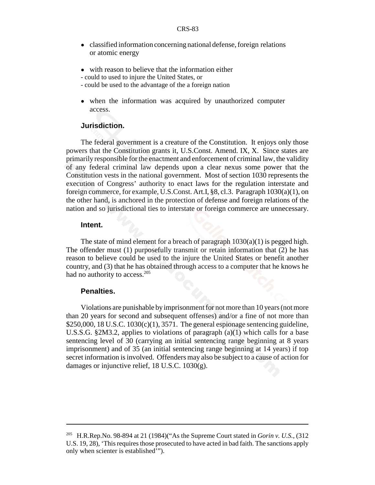- classified information concerning national defense, foreign relations or atomic energy
- with reason to believe that the information either
- could to used to injure the United States, or
- could be used to the advantage of the a foreign nation
- when the information was acquired by unauthorized computer access.

## **Jurisdiction.**

The federal government is a creature of the Constitution. It enjoys only those powers that the Constitution grants it, U.S.Const. Amend. IX, X. Since states are primarily responsible for the enactment and enforcement of criminal law, the validity of any federal criminal law depends upon a clear nexus some power that the Constitution vests in the national government. Most of section 1030 represents the execution of Congress' authority to enact laws for the regulation interstate and foreign commerce, for example, U.S.Const. Art.I, §8, cl.3. Paragraph 1030(a)(1), on the other hand, is anchored in the protection of defense and foreign relations of the nation and so jurisdictional ties to interstate or foreign commerce are unnecessary.

#### **Intent.**

The state of mind element for a breach of paragraph 1030(a)(1) is pegged high. The offender must (1) purposefully transmit or retain information that (2) he has reason to believe could be used to the injure the United States or benefit another country, and (3) that he has obtained through access to a computer that he knows he had no authority to access.<sup>205</sup>

## **Penalties.**

Violations are punishable by imprisonment for not more than 10 years (not more than 20 years for second and subsequent offenses) and/or a fine of not more than  $$250,000, 18$  U.S.C. 1030(c)(1), 3571. The general espionage sentencing guideline, U.S.S.G. §2M3.2, applies to violations of paragraph  $(a)(1)$  which calls for a base sentencing level of 30 (carrying an initial sentencing range beginning at 8 years imprisonment) and of 35 (an initial sentencing range beginning at 14 years) if top secret information is involved. Offenders may also be subject to a cause of action for damages or injunctive relief, 18 U.S.C. 1030(g).

<sup>205</sup> H.R.Rep.No. 98-894 at 21 (1984)("As the Supreme Court stated in *Gorin v. U.S.*, (312 U.S. 19, 28), 'This requires those prosecuted to have acted in bad faith. The sanctions apply only when scienter is established'").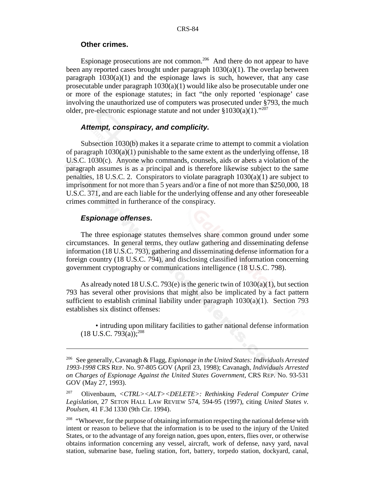## **Other crimes.**

Espionage prosecutions are not common.<sup>206</sup> And there do not appear to have been any reported cases brought under paragraph 1030(a)(1). The overlap between paragraph  $1030(a)(1)$  and the espionage laws is such, however, that any case prosecutable under paragraph 1030(a)(1) would like also be prosecutable under one or more of the espionage statutes; in fact "the only reported 'espionage' case involving the unauthorized use of computers was prosecuted under §793, the much older, pre-electronic espionage statute and not under  $$1030(a)(1)$ ."<sup>207</sup>

## *Attempt, conspiracy, and complicity.*

Subsection 1030(b) makes it a separate crime to attempt to commit a violation of paragraph  $1030(a)(1)$  punishable to the same extent as the underlying offense, 18 U.S.C. 1030(c). Anyone who commands, counsels, aids or abets a violation of the paragraph assumes is as a principal and is therefore likewise subject to the same penalties, 18 U.S.C. 2. Conspirators to violate paragraph  $1030(a)(1)$  are subject to imprisonment for not more than 5 years and/or a fine of not more than \$250,000, 18 U.S.C. 371, and are each liable for the underlying offense and any other foreseeable crimes committed in furtherance of the conspiracy.

## *Espionage offenses.*

The three espionage statutes themselves share common ground under some circumstances. In general terms, they outlaw gathering and disseminating defense information (18 U.S.C. 793), gathering and disseminating defense information for a foreign country (18 U.S.C. 794), and disclosing classified information concerning government cryptography or communications intelligence (18 U.S.C. 798).

As already noted 18 U.S.C. 793(e) is the generic twin of 1030(a)(1), but section 793 has several other provisions that might also be implicated by a fact pattern sufficient to establish criminal liability under paragraph 1030(a)(1). Section 793 establishes six distinct offenses:

• intruding upon military facilities to gather national defense information  $(18 \text{ U.S.C. } 793(a))$ ;<sup>208</sup>

<sup>206</sup> See generally, Cavanagh & Flagg, *Espionage in the United States: Individuals Arrested 1993-1998* CRS REP. No. 97-805 GOV (April 23, 1998); Cavanagh, *Individuals Arrested on Charges of Espionage Against the United States Government*, CRS REP. No. 93-531 GOV (May 27, 1993).

<sup>207</sup> Olivenbaum, *<CTRL><ALT><DELETE>: Rethinking Federal Computer Crime Legislation*, 27 SETON HALL LAW REVIEW 574, 594-95 (1997), citing *United States v. Poulsen*, 41 F.3d 1330 (9th Cir. 1994).

<sup>&</sup>lt;sup>208</sup> "Whoever, for the purpose of obtaining information respecting the national defense with intent or reason to believe that the information is to be used to the injury of the United States, or to the advantage of any foreign nation, goes upon, enters, flies over, or otherwise obtains information concerning any vessel, aircraft, work of defense, navy yard, naval station, submarine base, fueling station, fort, battery, torpedo station, dockyard, canal,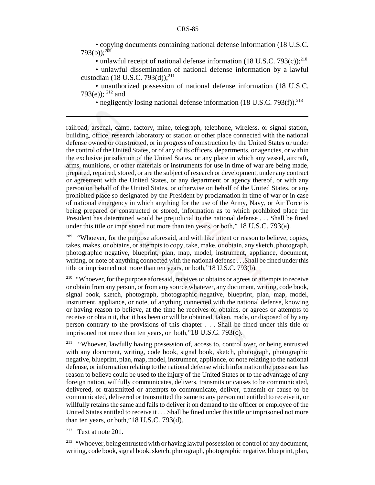• copying documents containing national defense information (18 U.S.C.  $793(b)$ ;<sup>209</sup>

• unlawful receipt of national defense information (18 U.S.C. 793(c)):<sup>210</sup>

• unlawful dissemination of national defense information by a lawful custodian (18 U.S.C. 793(d));<sup>211</sup>

• unauthorized possession of national defense information (18 U.S.C. 793(e));  $^{212}$  and

• negligently losing national defense information  $(18 \text{ U.S.C. } 793 \text{ (f)}).$ <sup>213</sup>

railroad, arsenal, camp, factory, mine, telegraph, telephone, wireless, or signal station, building, office, research laboratory or station or other place connected with the national defense owned or constructed, or in progress of construction by the United States or under the control of the United States, or of any of its officers, departments, or agencies, or within the exclusive jurisdiction of the United States, or any place in which any vessel, aircraft, arms, munitions, or other materials or instruments for use in time of war are being made, prepared, repaired, stored, or are the subject of research or development, under any contract or agreement with the United States, or any department or agency thereof, or with any person on behalf of the United States, or otherwise on behalf of the United States, or any prohibited place so designated by the President by proclamation in time of war or in case of national emergency in which anything for the use of the Army, Navy, or Air Force is being prepared or constructed or stored, information as to which prohibited place the President has determined would be prejudicial to the national defense . . . Shall be fined under this title or imprisoned not more than ten years, or both," 18 U.S.C. 793(a).

<sup>209</sup> "Whoever, for the purpose aforesaid, and with like intent or reason to believe, copies, takes, makes, or obtains, or attempts to copy, take, make, or obtain, any sketch, photograph, photographic negative, blueprint, plan, map, model, instrument, appliance, document, writing, or note of anything connected with the national defense . . .Shall be fined under this title or imprisoned not more than ten years, or both,"18 U.S.C. 793(b).

<sup>210</sup> "Whoever, for the purpose aforesaid, receives or obtains or agrees or attempts to receive or obtain from any person, or from any source whatever, any document, writing, code book, signal book, sketch, photograph, photographic negative, blueprint, plan, map, model, instrument, appliance, or note, of anything connected with the national defense, knowing or having reason to believe, at the time he receives or obtains, or agrees or attempts to receive or obtain it, that it has been or will be obtained, taken, made, or disposed of by any person contrary to the provisions of this chapter . . . Shall be fined under this title or imprisoned not more than ten years, or both,"18 U.S.C. 793(c).

<sup>211</sup> "Whoever, lawfully having possession of, access to, control over, or being entrusted with any document, writing, code book, signal book, sketch, photograph, photographic negative, blueprint, plan, map, model, instrument, appliance, or note relating to the national defense, or information relating to the national defense which information the possessor has reason to believe could be used to the injury of the United States or to the advantage of any foreign nation, willfully communicates, delivers, transmits or causes to be communicated, delivered, or transmitted or attempts to communicate, deliver, transmit or cause to be communicated, delivered or transmitted the same to any person not entitled to receive it, or willfully retains the same and fails to deliver it on demand to the officer or employee of the United States entitled to receive it . . . Shall be fined under this title or imprisoned not more than ten years, or both,"18 U.S.C. 793(d).

 $212$  Text at note 201.

<sup>213</sup> "Whoever, being entrusted with or having lawful possession or control of any document, writing, code book, signal book, sketch, photograph, photographic negative, blueprint, plan,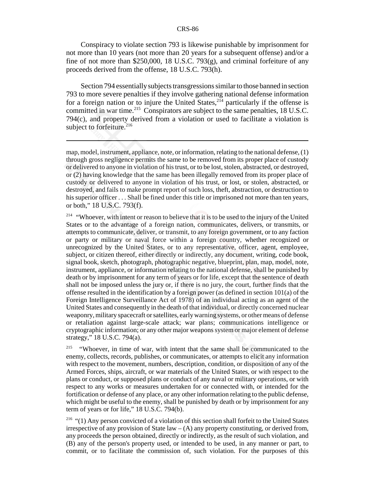Conspiracy to violate section 793 is likewise punishable by imprisonment for not more than 10 years (not more than 20 years for a subsequent offense) and/or a fine of not more than \$250,000, 18 U.S.C. 793 $(g)$ , and criminal forfeiture of any proceeds derived from the offense, 18 U.S.C. 793(h).

Section 794 essentially subjects transgressions similar to those banned in section 793 to more severe penalties if they involve gathering national defense information for a foreign nation or to injure the United States,  $2\frac{14}{4}$  particularly if the offense is committed in war time.<sup>215</sup> Conspirators are subject to the same penalties, 18 U.S.C. 794(c), and property derived from a violation or used to facilitate a violation is subject to forfeiture. $216$ 

map, model, instrument, appliance, note, or information, relating to the national defense, (1) through gross negligence permits the same to be removed from its proper place of custody or delivered to anyone in violation of his trust, or to be lost, stolen, abstracted, or destroyed, or (2) having knowledge that the same has been illegally removed from its proper place of custody or delivered to anyone in violation of his trust, or lost, or stolen, abstracted, or destroyed, and fails to make prompt report of such loss, theft, abstraction, or destruction to his superior officer . . . Shall be fined under this title or imprisoned not more than ten years, or both," 18 U.S.C. 793(f).

<sup>214</sup> "Whoever, with intent or reason to believe that it is to be used to the injury of the United States or to the advantage of a foreign nation, communicates, delivers, or transmits, or attempts to communicate, deliver, or transmit, to any foreign government, or to any faction or party or military or naval force within a foreign country, whether recognized or unrecognized by the United States, or to any representative, officer, agent, employee, subject, or citizen thereof, either directly or indirectly, any document, writing, code book, signal book, sketch, photograph, photographic negative, blueprint, plan, map, model, note, instrument, appliance, or information relating to the national defense, shall be punished by death or by imprisonment for any term of years or for life, except that the sentence of death shall not be imposed unless the jury or, if there is no jury, the court, further finds that the offense resulted in the identification by a foreign power (as defined in section 101(a) of the Foreign Intelligence Surveillance Act of 1978) of an individual acting as an agent of the United States and consequently in the death of that individual, or directly concerned nuclear weaponry, military spacecraft or satellites, early warning systems, or other means of defense or retaliation against large-scale attack; war plans; communications intelligence or cryptographic information; or any other major weapons system or major element of defense strategy," 18 U.S.C. 794(a).

<sup>215</sup> "Whoever, in time of war, with intent that the same shall be communicated to the enemy, collects, records, publishes, or communicates, or attempts to elicit any information with respect to the movement, numbers, description, condition, or disposition of any of the Armed Forces, ships, aircraft, or war materials of the United States, or with respect to the plans or conduct, or supposed plans or conduct of any naval or military operations, or with respect to any works or measures undertaken for or connected with, or intended for the fortification or defense of any place, or any other information relating to the public defense, which might be useful to the enemy, shall be punished by death or by imprisonment for any term of years or for life," 18 U.S.C. 794(b).

<sup>216</sup> "(1) Any person convicted of a violation of this section shall forfeit to the United States irrespective of any provision of State law  $-(A)$  any property constituting, or derived from, any proceeds the person obtained, directly or indirectly, as the result of such violation, and (B) any of the person's property used, or intended to be used, in any manner or part, to commit, or to facilitate the commission of, such violation. For the purposes of this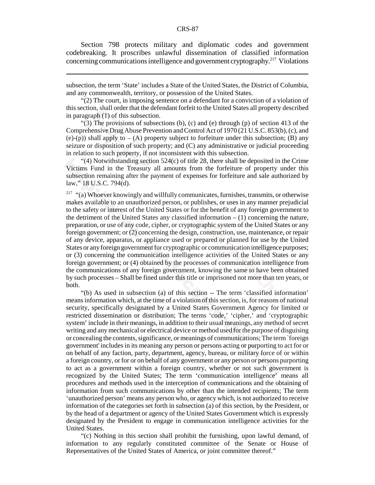Section 798 protects military and diplomatic codes and government codebreaking. It proscribes unlawful dissemination of classified information concerning communications intelligence and government cryptography.217 Violations

 $(3)$  The provisions of subsections (b), (c) and (e) through (p) of section 413 of the Comprehensive Drug Abuse Prevention and Control Act of 1970 (21 U.S.C. 853(b), (c), and (e)-(p)) shall apply to  $-$  (A) property subject to forfeiture under this subsection; (B) any seizure or disposition of such property; and (C) any administrative or judicial proceeding in relation to such property, if not inconsistent with this subsection.

 $\degree$ (4) Notwithstanding section 524(c) of title 28, there shall be deposited in the Crime Victims Fund in the Treasury all amounts from the forfeiture of property under this subsection remaining after the payment of expenses for forfeiture and sale authorized by law," 18 U.S.C. 794(d).

<sup>217</sup> "(a) Whoever knowingly and willfully communicates, furnishes, transmits, or otherwise makes available to an unauthorized person, or publishes, or uses in any manner prejudicial to the safety or interest of the United States or for the benefit of any foreign government to the detriment of the United States any classified information  $- (1)$  concerning the nature, preparation, or use of any code, cipher, or cryptographic system of the United States or any foreign government; or (2) concerning the design, construction, use, maintenance, or repair of any device, apparatus, or appliance used or prepared or planned for use by the United States or any foreign government for cryptographic or communication intelligence purposes; or (3) concerning the communication intelligence activities of the United States or any foreign government; or (4) obtained by the processes of communication intelligence from the communications of any foreign government, knowing the same to have been obtained by such processes – Shall be fined under this title or imprisoned not more than ten years, or both.

"(b) As used in subsection (a) of this section -- The term 'classified information' means information which, at the time of a violation of this section, is, for reasons of national security, specifically designated by a United States Government Agency for limited or restricted dissemination or distribution; The terms 'code,' 'cipher,' and 'cryptographic system' include in their meanings, in addition to their usual meanings, any method of secret writing and any mechanical or electrical device or method used for the purpose of disguising or concealing the contents, significance, or meanings of communications; The term `foreign government' includes in its meaning any person or persons acting or purporting to act for or on behalf of any faction, party, department, agency, bureau, or military force of or within a foreign country, or for or on behalf of any government or any person or persons purporting to act as a government within a foreign country, whether or not such government is recognized by the United States; The term 'communication intelligence' means all procedures and methods used in the interception of communications and the obtaining of information from such communications by other than the intended recipients; The term 'unauthorized person' means any person who, or agency which, is not authorized to receive information of the categories set forth in subsection (a) of this section, by the President, or by the head of a department or agency of the United States Government which is expressly designated by the President to engage in communication intelligence activities for the United States.

"(c) Nothing in this section shall prohibit the furnishing, upon lawful demand, of information to any regularly constituted committee of the Senate or House of Representatives of the United States of America, or joint committee thereof."

subsection, the term 'State' includes a State of the United States, the District of Columbia, and any commonwealth, territory, or possession of the United States.

<sup>&</sup>quot;(2) The court, in imposing sentence on a defendant for a conviction of a violation of this section, shall order that the defendant forfeit to the United States all property described in paragraph (1) of this subsection.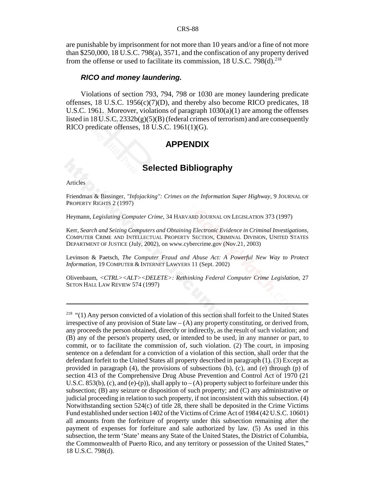are punishable by imprisonment for not more than 10 years and/or a fine of not more than \$250,000, 18 U.S.C. 798(a), 3571, and the confiscation of any property derived from the offense or used to facilitate its commission,  $18$  U.S.C. 798(d).<sup>218</sup>

#### *RICO and money laundering.*

Violations of section 793, 794, 798 or 1030 are money laundering predicate offenses, 18 U.S.C. 1956(c)(7)(D), and thereby also become RICO predicates, 18 U.S.C. 1961. Moreover, violations of paragraph 1030(a)(1) are among the offenses listed in 18 U.S.C. 2332b(g)(5)(B) (federal crimes of terrorism) and are consequently RICO predicate offenses, 18 U.S.C. 1961(1)(G).

## **APPENDIX**

# **Selected Bibliography**

#### Articles

Friendman & Bissinger, *"Infojacking": Crimes on the Information Super Highway*, 9 JOURNAL OF PROPERTY RIGHTS 2 (1997)

Heymann, *Legislating Computer Crime*, 34 HARVARD JOURNAL ON LEGISLATION 373 (1997)

Kerr, *Search and Seizing Computers and Obtaining Electronic Evidence in Criminal Investigations*, COMPUTER CRIME AND INTELLECTUAL PROPERTY SECTION, CRIMINAL DIVISION, UNITED STATES DEPARTMENT OF JUSTICE (July, 2002), on www.cybercrime.gov (Nov.21, 2003)

Levinson & Paetsch, *The Computer Fraud and Abuse Act: A Powerful New Way to Protect Information,* 19 COMPUTER & INTERNET LAWYERS 11 (Sept. 2002)

Olivenbaum, *<CTRL><ALT><DELETE>: Rethinking Federal Computer Crime Legislation,* 27 SETON HALL LAW REVIEW 574 (1997)

<sup>&</sup>lt;sup>218</sup> " $(1)$  Any person convicted of a violation of this section shall forfeit to the United States irrespective of any provision of State  $law - (A)$  any property constituting, or derived from, any proceeds the person obtained, directly or indirectly, as the result of such violation; and (B) any of the person's property used, or intended to be used, in any manner or part, to commit, or to facilitate the commission of, such violation. (2) The court, in imposing sentence on a defendant for a conviction of a violation of this section, shall order that the defendant forfeit to the United States all property described in paragraph (1). (3) Except as provided in paragraph (4), the provisions of subsections (b), (c), and (e) through (p) of section 413 of the Comprehensive Drug Abuse Prevention and Control Act of 1970 (21 U.S.C. 853(b), (c), and (e)-(p)), shall apply to  $-(A)$  property subject to forfeiture under this subsection; (B) any seizure or disposition of such property; and (C) any administrative or judicial proceeding in relation to such property, if not inconsistent with this subsection. (4) Notwithstanding section 524(c) of title 28, there shall be deposited in the Crime Victims Fund established under section 1402 of the Victims of Crime Act of 1984 (42 U.S.C. 10601) all amounts from the forfeiture of property under this subsection remaining after the payment of expenses for forfeiture and sale authorized by law. (5) As used in this subsection, the term 'State' means any State of the United States, the District of Columbia, the Commonwealth of Puerto Rico, and any territory or possession of the United States," 18 U.S.C. 798(d).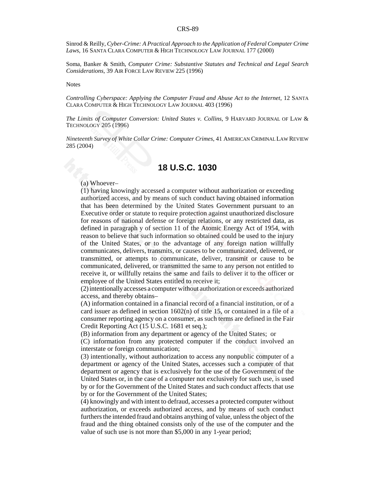Sinrod & Reilly, *Cyber-Crime: A Practical Approach to the Application of Federal Computer Crime Laws*, 16 SANTA CLARA COMPUTER & HIGH TECHNOLOGY LAW JOURNAL 177 (2000)

Soma, Banker & Smith, *Computer Crime: Substantive Statutes and Technical and Legal Search Considerations*, 39 AIR FORCE LAW REVIEW 225 (1996)

Notes

*Controlling Cyberspace: Applying the Computer Fraud and Abuse Act to the Internet*, 12 SANTA CLARA COMPUTER & HIGH TECHNOLOGY LAW JOURNAL 403 (1996)

*The Limits of Computer Conversion: United States v. Collins*, 9 HARVARD JOURNAL OF LAW & TECHNOLOGY 205 (1996)

*Nineteenth Survey of White Collar Crime: Computer Crimes*, 41 AMERICAN CRIMINAL LAW REVIEW 285 (2004)

# **18 U.S.C. 1030**

(a) Whoever–

(1) having knowingly accessed a computer without authorization or exceeding authorized access, and by means of such conduct having obtained information that has been determined by the United States Government pursuant to an Executive order or statute to require protection against unauthorized disclosure for reasons of national defense or foreign relations, or any restricted data, as defined in paragraph y of section 11 of the Atomic Energy Act of 1954, with reason to believe that such information so obtained could be used to the injury of the United States, or to the advantage of any foreign nation willfully communicates, delivers, transmits, or causes to be communicated, delivered, or transmitted, or attempts to communicate, deliver, transmit or cause to be communicated, delivered, or transmitted the same to any person not entitled to receive it, or willfully retains the same and fails to deliver it to the officer or employee of the United States entitled to receive it;

(2) intentionally accesses a computer without authorization or exceeds authorized access, and thereby obtains–

(A) information contained in a financial record of a financial institution, or of a card issuer as defined in section  $1602(n)$  of title 15, or contained in a file of a consumer reporting agency on a consumer, as such terms are defined in the Fair Credit Reporting Act (15 U.S.C. 1681 et seq.);

(B) information from any department or agency of the United States; or

(C) information from any protected computer if the conduct involved an interstate or foreign communication;

(3) intentionally, without authorization to access any nonpublic computer of a department or agency of the United States, accesses such a computer of that department or agency that is exclusively for the use of the Government of the United States or, in the case of a computer not exclusively for such use, is used by or for the Government of the United States and such conduct affects that use by or for the Government of the United States;

(4) knowingly and with intent to defraud, accesses a protected computer without authorization, or exceeds authorized access, and by means of such conduct furthers the intended fraud and obtains anything of value, unless the object of the fraud and the thing obtained consists only of the use of the computer and the value of such use is not more than \$5,000 in any 1-year period;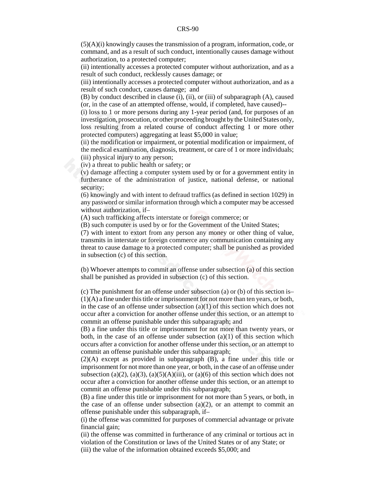$(5)(A)(i)$  knowingly causes the transmission of a program, information, code, or command, and as a result of such conduct, intentionally causes damage without authorization, to a protected computer;

(ii) intentionally accesses a protected computer without authorization, and as a result of such conduct, recklessly causes damage; or

(iii) intentionally accesses a protected computer without authorization, and as a result of such conduct, causes damage; and

(B) by conduct described in clause (i), (ii), or (iii) of subparagraph (A), caused (or, in the case of an attempted offense, would, if completed, have caused)--

(i) loss to 1 or more persons during any 1-year period (and, for purposes of an investigation, prosecution, or other proceeding brought by the United States only, loss resulting from a related course of conduct affecting 1 or more other protected computers) aggregating at least \$5,000 in value;

(ii) the modification or impairment, or potential modification or impairment, of the medical examination, diagnosis, treatment, or care of 1 or more individuals; (iii) physical injury to any person;

(iv) a threat to public health or safety; or

(v) damage affecting a computer system used by or for a government entity in furtherance of the administration of justice, national defense, or national security;

(6) knowingly and with intent to defraud traffics (as defined in section 1029) in any password or similar information through which a computer may be accessed without authorization, if–

(A) such trafficking affects interstate or foreign commerce; or

(B) such computer is used by or for the Government of the United States;

(7) with intent to extort from any person any money or other thing of value, transmits in interstate or foreign commerce any communication containing any threat to cause damage to a protected computer; shall be punished as provided in subsection (c) of this section.

(b) Whoever attempts to commit an offense under subsection (a) of this section shall be punished as provided in subsection (c) of this section.

(c) The punishment for an offense under subsection (a) or (b) of this section is– (1)(A) a fine under this title or imprisonment for not more than ten years, or both, in the case of an offense under subsection  $(a)(1)$  of this section which does not occur after a conviction for another offense under this section, or an attempt to commit an offense punishable under this subparagraph; and

(B) a fine under this title or imprisonment for not more than twenty years, or both, in the case of an offense under subsection  $(a)(1)$  of this section which occurs after a conviction for another offense under this section, or an attempt to commit an offense punishable under this subparagraph;

(2)(A) except as provided in subparagraph (B), a fine under this title or imprisonment for not more than one year, or both, in the case of an offense under subsection (a)(2), (a)(3), (a)(5)(A)(iii), or (a)(6) of this section which does not occur after a conviction for another offense under this section, or an attempt to commit an offense punishable under this subparagraph;

(B) a fine under this title or imprisonment for not more than 5 years, or both, in the case of an offense under subsection  $(a)(2)$ , or an attempt to commit an offense punishable under this subparagraph, if–

(i) the offense was committed for purposes of commercial advantage or private financial gain;

(ii) the offense was committed in furtherance of any criminal or tortious act in violation of the Constitution or laws of the United States or of any State; or

(iii) the value of the information obtained exceeds \$5,000; and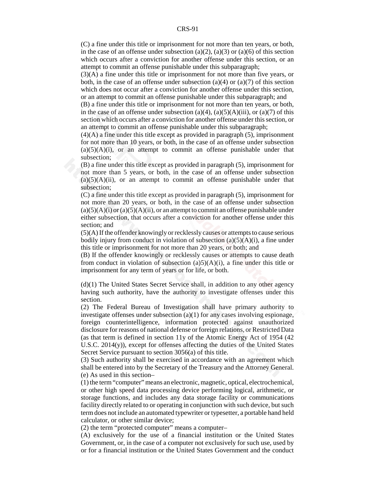(C) a fine under this title or imprisonment for not more than ten years, or both, in the case of an offense under subsection (a)(2), (a)(3) or (a)(6) of this section which occurs after a conviction for another offense under this section, or an attempt to commit an offense punishable under this subparagraph;

(3)(A) a fine under this title or imprisonment for not more than five years, or both, in the case of an offense under subsection (a)(4) or (a)(7) of this section which does not occur after a conviction for another offense under this section, or an attempt to commit an offense punishable under this subparagraph; and

(B) a fine under this title or imprisonment for not more than ten years, or both, in the case of an offense under subsection (a)(4), (a)(5)(A)(iii), or (a)(7) of this section which occurs after a conviction for another offense under this section, or an attempt to commit an offense punishable under this subparagraph;

 $(4)(A)$  a fine under this title except as provided in paragraph  $(5)$ , imprisonment for not more than 10 years, or both, in the case of an offense under subsection  $(a)(5)(A)(i)$ , or an attempt to commit an offense punishable under that subsection;

(B) a fine under this title except as provided in paragraph (5), imprisonment for not more than 5 years, or both, in the case of an offense under subsection  $(a)(5)(A)(ii)$ , or an attempt to commit an offense punishable under that subsection;

(C) a fine under this title except as provided in paragraph (5), imprisonment for not more than 20 years, or both, in the case of an offense under subsection  $(a)(5)(A)(i)$  or  $(a)(5)(A)(ii)$ , or an attempt to commit an offense punishable under either subsection, that occurs after a conviction for another offense under this section; and

(5)(A) If the offender knowingly or recklessly causes or attempts to cause serious bodily injury from conduct in violation of subsection  $(a)(5)(A)(i)$ , a fine under this title or imprisonment for not more than 20 years, or both; and

(B) If the offender knowingly or recklessly causes or attempts to cause death from conduct in violation of subsection  $(a)5(A)(i)$ , a fine under this title or imprisonment for any term of years or for life, or both.

(d)(1) The United States Secret Service shall, in addition to any other agency having such authority, have the authority to investigate offenses under this section.

(2) The Federal Bureau of Investigation shall have primary authority to investigate offenses under subsection  $(a)(1)$  for any cases involving espionage, foreign counterintelligence, information protected against unauthorized disclosure for reasons of national defense or foreign relations, or Restricted Data (as that term is defined in section 11y of the Atomic Energy Act of 1954 (42 U.S.C. 2014(y)), except for offenses affecting the duties of the United States Secret Service pursuant to section 3056(a) of this title.

(3) Such authority shall be exercised in accordance with an agreement which shall be entered into by the Secretary of the Treasury and the Attorney General. (e) As used in this section–

(1) the term "computer" means an electronic, magnetic, optical, electrochemical, or other high speed data processing device performing logical, arithmetic, or storage functions, and includes any data storage facility or communications facility directly related to or operating in conjunction with such device, but such term does not include an automated typewriter or typesetter, a portable hand held calculator, or other similar device;

(2) the term "protected computer" means a computer–

(A) exclusively for the use of a financial institution or the United States Government, or, in the case of a computer not exclusively for such use, used by or for a financial institution or the United States Government and the conduct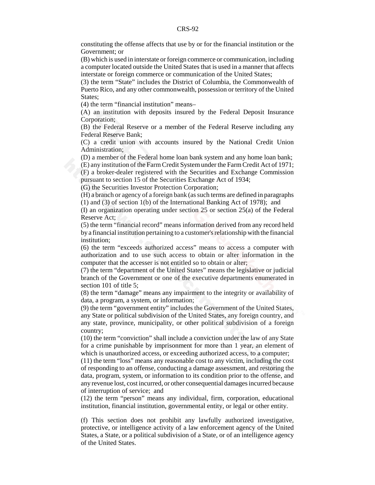constituting the offense affects that use by or for the financial institution or the Government; or

(B) which is used in interstate or foreign commerce or communication, including a computer located outside the United States that is used in a manner that affects interstate or foreign commerce or communication of the United States;

(3) the term "State" includes the District of Columbia, the Commonwealth of Puerto Rico, and any other commonwealth, possession or territory of the United States;

(4) the term "financial institution" means–

(A) an institution with deposits insured by the Federal Deposit Insurance Corporation;

(B) the Federal Reserve or a member of the Federal Reserve including any Federal Reserve Bank;

(C) a credit union with accounts insured by the National Credit Union Administration;

(D) a member of the Federal home loan bank system and any home loan bank;

(E) any institution of the Farm Credit System under the Farm Credit Act of 1971; (F) a broker-dealer registered with the Securities and Exchange Commission pursuant to section 15 of the Securities Exchange Act of 1934;

(G) the Securities Investor Protection Corporation;

(H) a branch or agency of a foreign bank (as such terms are defined in paragraphs (1) and (3) of section 1(b) of the International Banking Act of 1978); and

(I) an organization operating under section 25 or section 25(a) of the Federal Reserve Act;

(5) the term "financial record" means information derived from any record held by a financial institution pertaining to a customer's relationship with the financial institution;

(6) the term "exceeds authorized access" means to access a computer with authorization and to use such access to obtain or alter information in the computer that the accesser is not entitled so to obtain or alter;

(7) the term "department of the United States" means the legislative or judicial branch of the Government or one of the executive departments enumerated in section 101 of title 5;

(8) the term "damage" means any impairment to the integrity or availability of data, a program, a system, or information;

(9) the term "government entity" includes the Government of the United States, any State or political subdivision of the United States, any foreign country, and any state, province, municipality, or other political subdivision of a foreign country;

(10) the term "conviction" shall include a conviction under the law of any State for a crime punishable by imprisonment for more than 1 year, an element of which is unauthorized access, or exceeding authorized access, to a computer;

(11) the term "loss" means any reasonable cost to any victim, including the cost of responding to an offense, conducting a damage assessment, and restoring the data, program, system, or information to its condition prior to the offense, and any revenue lost, cost incurred, or other consequential damages incurred because of interruption of service; and

(12) the term "person" means any individual, firm, corporation, educational institution, financial institution, governmental entity, or legal or other entity.

(f) This section does not prohibit any lawfully authorized investigative, protective, or intelligence activity of a law enforcement agency of the United States, a State, or a political subdivision of a State, or of an intelligence agency of the United States.